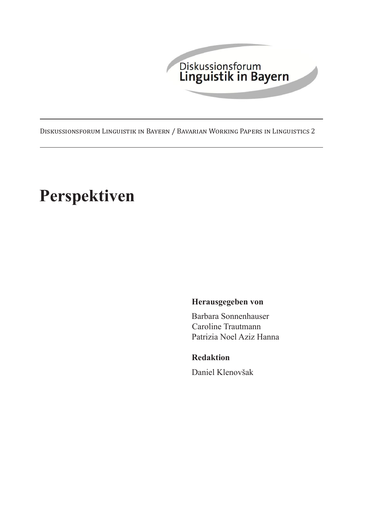

Diskussionsforum Linguistik in Bayern / Bavarian Working Papers in Linguistics 2

# **Perspektiven**

# **Herausgegeben von**

Barbara Sonnenhauser Caroline Trautmann Patrizia Noel Aziz Hanna

## **Redaktion**

Daniel Klenovšak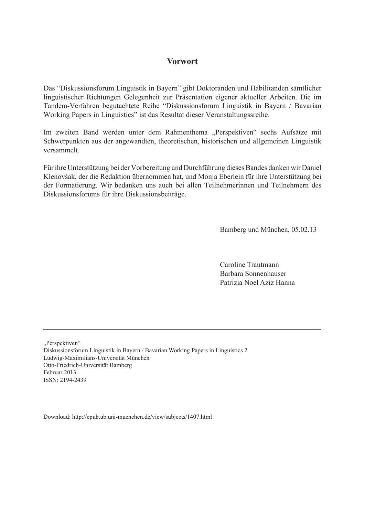## **Vorwort**

Das "Diskussionsforum Linguistik in Bayern" gibt Doktoranden und Habilitanden sämtlicher linguistischer Richtungen Gelegenheit zur Präsentation eigener aktueller Arbeiten. Die im Tandem-Verfahren begutachtete Reihe "Diskussionsforum Linguistik in Bayern / Bavarian Working Papers in Linguistics" ist das Resultat dieser Veranstaltungssreihe.

Im zweiten Band werden unter dem Rahmenthema "Perspektiven" sechs Aufsätze mit Schwerpunkten aus der angewandten, theoretischen, historischen und allgemeinen Linguistik versammelt.

Für ihre Unterstützung bei der Vorbereitung und Durchführung dieses Bandes danken wir Daniel Klenovšak, der die Redaktion übernommen hat, und Monja Eberlein für ihre Unterstützung bei der Formatierung. Wir bedanken uns auch bei allen Teilnehmerinnen und Teilnehmern des Diskussionsforums für ihre Diskussionsbeiträge.

Bamberg und München, 05.02.13

 Caroline Trautmann Barbara Sonnenhauser Patrizia Noel Aziz Hanna

"Perspektiven"

Diskussionsforum Linguistik in Bayern / Bavarian Working Papers in Linguistics 2 Ludwig-Maximilians-Universität München Otto-Friedrich-Universität Bamberg Februar 2013 ISSN: 2194-2439

Download: http://epub.ub.uni-muenchen.de/view/subjects/1407.html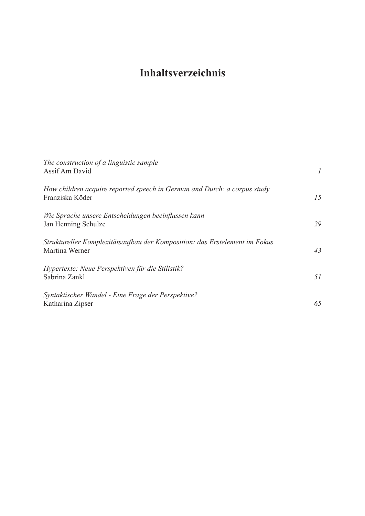# **Inhaltsverzeichnis**

| The construction of a linguistic sample<br>Assif Am David                                    |    |
|----------------------------------------------------------------------------------------------|----|
| How children acquire reported speech in German and Dutch: a corpus study<br>Franziska Köder  | 15 |
| Wie Sprache unsere Entscheidungen beeinflussen kann<br>Jan Henning Schulze                   | 29 |
| Struktureller Komplexitätsaufbau der Komposition: das Erstelement im Fokus<br>Martina Werner | 43 |
| Hypertexte: Neue Perspektiven für die Stilistik?<br>Sabrina Zankl                            | 51 |
| Syntaktischer Wandel - Eine Frage der Perspektive?<br>Katharina Zipser                       | 65 |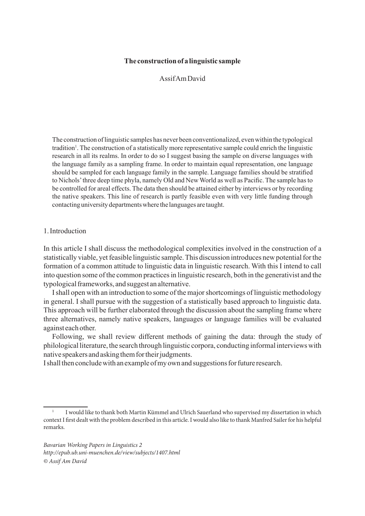#### **The construction of a linguistic sample**

Assif Am David

The construction of linguistic samples has never been conventionalized, even within the typological tradition<sup>1</sup>. The construction of a statistically more representative sample could enrich the linguistic research in all its realms. In order to do so I suggest basing the sample on diverse languages with the language family as a sampling frame. In order to maintain equal representation, one language should be sampled for each language family in the sample. Language families should be stratified to Nichols' three deep time phyla, namely Old and New World as well as Pacific. The sample has to be controlled for areal effects. The data then should be attained either by interviews or by recording the native speakers. This line of research is partly feasible even with very little funding through contacting university departments where the languages are taught.

#### 1. Introduction

In this article I shall discuss the methodological complexities involved in the construction of a statistically viable, yet feasible linguistic sample. This discussion introduces new potential for the formation of a common attitude to linguistic data in linguistic research. With this I intend to call into question some of the common practices in linguistic research, both in the generativist and the typological frameworks, and suggest an alternative.

I shall open with an introduction to some of the major shortcomings of linguistic methodology in general. I shall pursue with the suggestion of a statistically based approach to linguistic data. This approach will be further elaborated through the discussion about the sampling frame where three alternatives, namely native speakers, languages or language families will be evaluated against each other.

Following, we shall review different methods of gaining the data: through the study of philological literature, the search through linguistic corpora, conducting informal interviews with native speakers and asking them for their judgments.

I shall then conclude with an example of my own and suggestions for future research.

<sup>1</sup> I would like to thank both Martin Kümmel and Ulrich Sauerland who supervised my dissertation in which context I first dealt with the problem described in this article. I would also like to thank Manfred Sailer for his helpful remarks.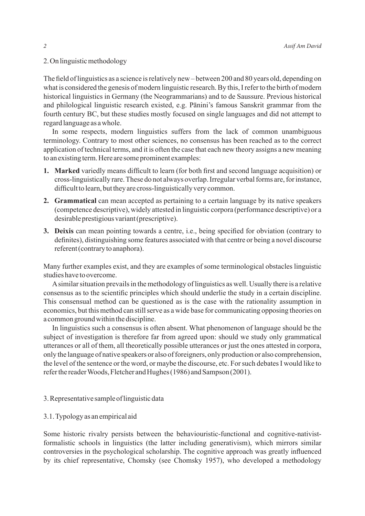#### 2. On linguistic methodology

The field of linguistics as a science is relatively new – between 200 and 80 years old, depending on what is considered the genesis of modern linguistic research. By this, I refer to the birth of modern historical linguistics in Germany (the Neogrammarians) and to de Saussure. Previous historical and philological linguistic research existed, e.g. Pānini's famous Sanskrit grammar from the fourth century BC, but these studies mostly focused on single languages and did not attempt to regard language as a whole.

In some respects, modern linguistics suffers from the lack of common unambiguous terminology. Contrary to most other sciences, no consensus has been reached as to the correct application of technical terms, and it is often the case that each new theory assigns a new meaning to an existing term. Here are some prominent examples:

- **1. Marked** variedly means difficult to learn (for both first and second language acquisition) or cross-linguistically rare. These do not always overlap. Irregular verbal forms are, for instance, difficult to learn, but they are cross-linguistically very common.
- **2. Grammatical** can mean accepted as pertaining to a certain language by its native speakers (competence descriptive), widely attested in linguistic corpora (performance descriptive) or a desirable prestigious variant (prescriptive).
- **3. Deixis** can mean pointing towards a centre, i.e., being specified for obviation (contrary to definites), distinguishing some features associated with that centre or being a novel discourse referent (contrary to anaphora).

Many further examples exist, and they are examples of some terminological obstacles linguistic studies have to overcome.

A similar situation prevails in the methodology of linguistics as well. Usually there is a relative consensus as to the scientific principles which should underlie the study in a certain discipline. This consensual method can be questioned as is the case with the rationality assumption in economics, but this method can still serve as a wide base for communicating opposing theories on a common ground within the discipline.

In linguistics such a consensus is often absent. What phenomenon of language should be the subject of investigation is therefore far from agreed upon: should we study only grammatical utterances or all of them, all theoretically possible utterances or just the ones attested in corpora, only the language of native speakers or also of foreigners, only production or also comprehension, the level of the sentence or the word, or maybe the discourse, etc. For such debates I would like to refer the reader Woods, Fletcher and Hughes (1986) and Sampson (2001).

#### 3. Representative sample of linguistic data

#### 3.1. Typology as an empirical aid

Some historic rivalry persists between the behaviouristic-functional and cognitive-nativistformalistic schools in linguistics (the latter including generativism), which mirrors similar controversies in the psychological scholarship. The cognitive approach was greatly influenced by its chief representative, Chomsky (see Chomsky 1957), who developed a methodology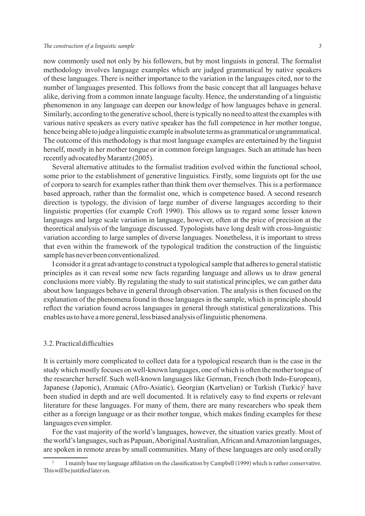#### *The construction of a linguistic sample 3*

now commonly used not only by his followers, but by most linguists in general. The formalist methodology involves language examples which are judged grammatical by native speakers of these languages. There is neither importance to the variation in the languages cited, nor to the number of languages presented. This follows from the basic concept that all languages behave alike, deriving from a common innate language faculty. Hence, the understanding of a linguistic phenomenon in any language can deepen our knowledge of how languages behave in general. Similarly, according to the generative school, there is typically no need to attest the examples with various native speakers as every native speaker has the full competence in her mother tongue, hence being able to judge a linguistic example in absolute terms as grammatical or ungrammatical. The outcome of this methodology is that most language examples are entertained by the linguist herself, mostly in her mother tongue or in common foreign languages. Such an attitude has been recently advocated by Marantz (2005).

Several alternative attitudes to the formalist tradition evolved within the functional school, some prior to the establishment of generative linguistics. Firstly, some linguists opt for the use of corpora to search for examples rather than think them over themselves. This is a performance based approach, rather than the formalist one, which is competence based. A second research direction is typology, the division of large number of diverse languages according to their linguistic properties (for example Croft 1990). This allows us to regard some lesser known languages and large scale variation in language, however, often at the price of precision at the theoretical analysis of the language discussed. Typologists have long dealt with cross-linguistic variation according to large samples of diverse languages. Nonetheless, it is important to stress that even within the framework of the typological tradition the construction of the linguistic sample has never been conventionalized.

I consider it a great advantage to construct a typological sample that adheres to general statistic principles as it can reveal some new facts regarding language and allows us to draw general conclusions more viably. By regulating the study to suit statistical principles, we can gather data about how languages behave in general through observation. The analysis is then focused on the explanation of the phenomena found in those languages in the sample, which in principle should reflect the variation found across languages in general through statistical generalizations. This enables us to have a more general, less biased analysis of linguistic phenomena.

#### 3.2. Practical difficulties

It is certainly more complicated to collect data for a typological research than is the case in the study which mostly focuses on well-known languages, one of which is often the mother tongue of the researcher herself. Such well-known languages like German, French (both Indo-European), Japanese (Japonic), Aramaic (Afro-Asiatic), Georgian (Kartvelian) or Turkish (Turkic)<sup>2</sup> have been studied in depth and are well documented. It is relatively easy to find experts or relevant literature for these languages. For many of them, there are many researchers who speak them either as a foreign language or as their mother tongue, which makes finding examples for these languages even simpler.

For the vast majority of the world's languages, however, the situation varies greatly. Most of the world's languages, such as Papuan, Aboriginal Australian, African and Amazonian languages, are spoken in remote areas by small communities. Many of these languages are only used orally

<sup>2</sup> I mainly base my language affiliation on the classification by Campbell (1999) which is rather conservative. This will be justified later on.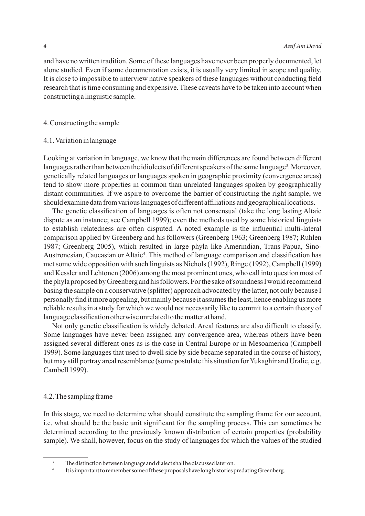and have no written tradition. Some of these languages have never been properly documented, let alone studied. Even if some documentation exists, it is usually very limited in scope and quality. It is close to impossible to interview native speakers of these languages without conducting field research that is time consuming and expensive. These caveats have to be taken into account when constructing a linguistic sample.

#### 4. Constructing the sample

#### 4.1. Variation in language

Looking at variation in language, we know that the main differences are found between different languages rather than between the idiolects of different speakers of the same language<sup>3</sup>. Moreover, genetically related languages or languages spoken in geographic proximity (convergence areas) tend to show more properties in common than unrelated languages spoken by geographically distant communities. If we aspire to overcome the barrier of constructing the right sample, we should examine data from various languages of different affiliations and geographical locations.

The genetic classification of languages is often not consensual (take the long lasting Altaic dispute as an instance; see Campbell 1999); even the methods used by some historical linguists to establish relatedness are often disputed. A noted example is the influential multi-lateral comparison applied by Greenberg and his followers (Greenberg 1963; Greenberg 1987; Ruhlen 1987; Greenberg 2005), which resulted in large phyla like Amerindian, Trans-Papua, Sino-Austronesian, Caucasian or Altaic<sup>4</sup>. This method of language comparison and classification has met some wide opposition with such linguists as Nichols (1992), Ringe (1992), Campbell (1999) and Kessler and Lehtonen (2006) among the most prominent ones, who call into question most of the phyla proposed by Greenberg and his followers. For the sake of soundness I would recommend basing the sample on a conservative (splitter) approach advocated by the latter, not only because I personally find it more appealing, but mainly because it assumes the least, hence enabling us more reliable results in a study for which we would not necessarily like to commit to a certain theory of language classification otherwise unrelated to the matter at hand.

Not only genetic classification is widely debated. Areal features are also difficult to classify. Some languages have never been assigned any convergence area, whereas others have been assigned several different ones as is the case in Central Europe or in Mesoamerica (Campbell 1999). Some languages that used to dwell side by side became separated in the course of history, but may still portray areal resemblance (some postulate this situation for Yukaghir and Uralic, e.g. Cambell 1999).

#### 4.2. The sampling frame

In this stage, we need to determine what should constitute the sampling frame for our account, i.e. what should be the basic unit significant for the sampling process. This can sometimes be determined according to the previously known distribution of certain properties (probability sample). We shall, however, focus on the study of languages for which the values of the studied

 $3$  The distinction between language and dialect shall be discussed later on.

It is important to remember some of these proposals have long histories predating Greenberg.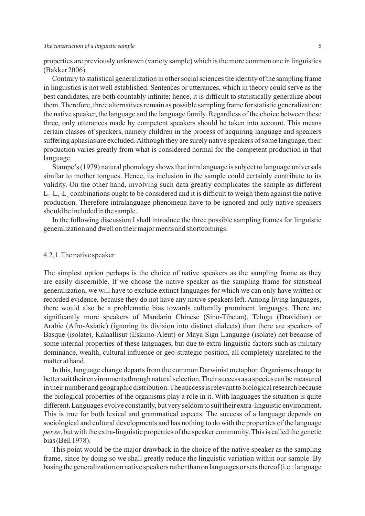#### *The construction of a linguistic sample 5*

properties are previously unknown (variety sample) which is the more common one in linguistics (Bakker 2006).

Contrary to statistical generalization in other social sciences the identity of the sampling frame in linguistics is not well established. Sentences or utterances, which in theory could serve as the best candidates, are both countably infinite; hence, it is difficult to statistically generalize about them. Therefore, three alternatives remain as possible sampling frame for statistic generalization: the native speaker, the language and the language family. Regardless of the choice between these three, only utterances made by competent speakers should be taken into account. This means certain classes of speakers, namely children in the process of acquiring language and speakers suffering aphasias are excluded. Although they are surely native speakers of some language, their production varies greatly from what is considered normal for the competent production in that language.

Stampe's (1979) natural phonology shows that intralanguage is subject to language universals similar to mother tongues. Hence, its inclusion in the sample could certainly contribute to its validity. On the other hand, involving such data greatly complicates the sample as different  $L_1$ - $L_2$ - $L_n$  combinations ought to be considered and it is difficult to weigh them against the native production. Therefore intralanguage phenomena have to be ignored and only native speakers should be included in the sample.

In the following discussion I shall introduce the three possible sampling frames for linguistic generalization and dwell on their major merits and shortcomings.

#### 4.2.1. The native speaker

The simplest option perhaps is the choice of native speakers as the sampling frame as they are easily discernible. If we choose the native speaker as the sampling frame for statistical generalization, we will have to exclude extinct languages for which we can only have written or recorded evidence, because they do not have any native speakers left. Among living languages, there would also be a problematic bias towards culturally prominent languages. There are significantly more speakers of Mandarin Chinese (Sino-Tibetan), Telugu (Dravidian) or Arabic (Afro-Asiatic) (ignoring its division into distinct dialects) than there are speakers of Basque (isolate), Kalaallisut (Eskimo-Aleut) or Maya Sign Language (isolate) not because of some internal properties of these languages, but due to extra-linguistic factors such as military dominance, wealth, cultural influence or geo-strategic position, all completely unrelated to the matter at hand.

In this, language change departs from the common Darwinist metaphor. Organisms change to better suit their environments through natural selection. Their success as a species can be measured in their number and geographic distribution. The success is relevant to biological research because the biological properties of the organisms play a role in it. With languages the situation is quite different. Languages evolve constantly, but very seldom to suit their extra-linguistic environment. This is true for both lexical and grammatical aspects. The success of a language depends on sociological and cultural developments and has nothing to do with the properties of the language *per se*, but with the extra-linguistic properties of the speaker community. This is called the genetic bias (Bell 1978).

This point would be the major drawback in the choice of the native speaker as the sampling frame, since by doing so we shall greatly reduce the linguistic variation within our sample. By basing the generalization on native speakers rather than on languages or sets thereof (i.e.: language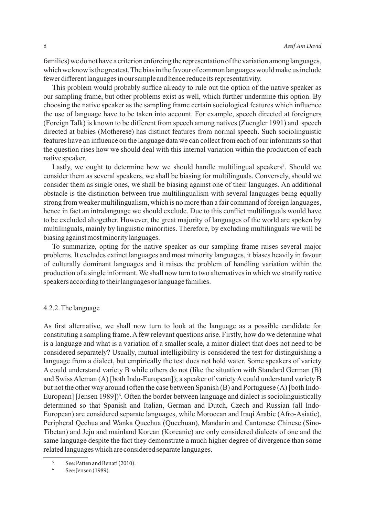families) we do not have a criterion enforcing the representation of the variation among languages, which we know is the greatest. The bias in the favour of common languages would make us include fewer different languages in our sample and hence reduce its representativity.

This problem would probably suffice already to rule out the option of the native speaker as our sampling frame, but other problems exist as well, which further undermine this option. By choosing the native speaker as the sampling frame certain sociological features which influence the use of language have to be taken into account. For example, speech directed at foreigners (Foreign Talk) is known to be different from speech among natives (Zuengler 1991) and speech directed at babies (Motherese) has distinct features from normal speech. Such sociolinguistic features have an influence on the language data we can collect from each of our informants so that the question rises how we should deal with this internal variation within the production of each native speaker.

Lastly, we ought to determine how we should handle multilingual speakers<sup>5</sup>. Should we consider them as several speakers, we shall be biasing for multilinguals. Conversely, should we consider them as single ones, we shall be biasing against one of their languages. An additional obstacle is the distinction between true multilingualism with several languages being equally strong from weaker multilingualism, which is no more than a fair command of foreign languages, hence in fact an intralanguage we should exclude. Due to this conflict multilinguals would have to be excluded altogether. However, the great majority of languages of the world are spoken by multilinguals, mainly by linguistic minorities. Therefore, by excluding multilinguals we will be biasing against most minority languages.

To summarize, opting for the native speaker as our sampling frame raises several major problems. It excludes extinct languages and most minority languages, it biases heavily in favour of culturally dominant languages and it raises the problem of handling variation within the production of a single informant. We shall now turn to two alternatives in which we stratify native speakers according to their languages or language families.

#### 4.2.2. The language

As first alternative, we shall now turn to look at the language as a possible candidate for constituting a sampling frame. A few relevant questions arise. Firstly, how do we determine what is a language and what is a variation of a smaller scale, a minor dialect that does not need to be considered separately? Usually, mutual intelligibility is considered the test for distinguishing a language from a dialect, but empirically the test does not hold water. Some speakers of variety A could understand variety B while others do not (like the situation with Standard German (B) and Swiss Aleman (A) [both Indo-European]); a speaker of variety A could understand variety B but not the other way around (often the case between Spanish (B) and Portuguese (A) [both Indo-European] [Jensen 1989])<sup>6</sup>. Often the border between language and dialect is sociolinguistically determined so that Spanish and Italian, German and Dutch, Czech and Russian (all Indo-European) are considered separate languages, while Moroccan and Iraqi Arabic (Afro-Asiatic), Peripheral Qechua and Wanka Quechua (Quechuan), Mandarin and Cantonese Chinese (Sino-Tibetan) and Jeju and mainland Korean (Koreanic) are only considered dialects of one and the same language despite the fact they demonstrate a much higher degree of divergence than some related languages which are considered separate languages.

<sup>&</sup>lt;sup>5</sup> See: Patten and Benati (2010).<br><sup>6</sup> See: Jensen (1989).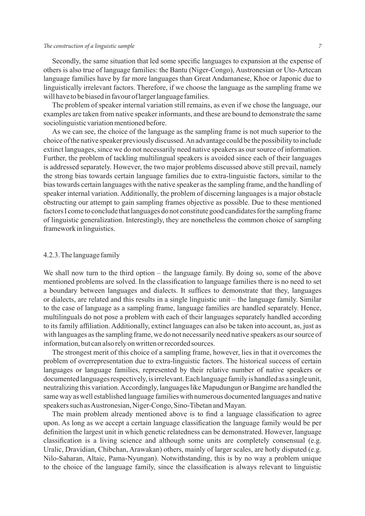#### *The construction of a linguistic sample 7*

Secondly, the same situation that led some specific languages to expansion at the expense of others is also true of language families: the Bantu (Niger-Congo), Austronesian or Uto-Aztecan language families have by far more languages than Great Andamanese, Khoe or Japonic due to linguistically irrelevant factors. Therefore, if we choose the language as the sampling frame we will have to be biased in favour of larger language families.

The problem of speaker internal variation still remains, as even if we chose the language, our examples are taken from native speaker informants, and these are bound to demonstrate the same sociolinguistic variation mentioned before.

As we can see, the choice of the language as the sampling frame is not much superior to the choice of the native speaker previously discussed. An advantage could be the possibility to include extinct languages, since we do not necessarily need native speakers as our source of information. Further, the problem of tackling multilingual speakers is avoided since each of their languages is addressed separately. However, the two major problems discussed above still prevail, namely the strong bias towards certain language families due to extra-linguistic factors, similar to the bias towards certain languages with the native speaker as the sampling frame, and the handling of speaker internal variation. Additionally, the problem of discerning languages is a major obstacle obstructing our attempt to gain sampling frames objective as possible. Due to these mentioned factors I come to conclude that languages do not constitute good candidates for the sampling frame of linguistic generalization. Interestingly, they are nonetheless the common choice of sampling framework in linguistics.

#### 4.2.3. The language family

We shall now turn to the third option – the language family. By doing so, some of the above mentioned problems are solved. In the classification to language families there is no need to set a boundary between languages and dialects. It suffices to demonstrate that they, languages or dialects, are related and this results in a single linguistic unit – the language family. Similar to the case of language as a sampling frame, language families are handled separately. Hence, multilinguals do not pose a problem with each of their languages separately handled according to its family affiliation. Additionally, extinct languages can also be taken into account, as, just as with languages as the sampling frame, we do not necessarily need native speakers as our source of information, but can also rely on written or recorded sources.

The strongest merit of this choice of a sampling frame, however, lies in that it overcomes the problem of overrepresentation due to extra-linguistic factors. The historical success of certain languages or language families, represented by their relative number of native speakers or documented languages respectively, is irrelevant. Each language family is handled as a single unit, neutralizing this variation. Accordingly, languages like Mapudungun or Bangime are handled the same way as well established language families with numerous documented languages and native speakers such as Austronesian, Niger-Congo, Sino-Tibetan and Mayan.

The main problem already mentioned above is to find a language classification to agree upon. As long as we accept a certain language classification the language family would be per definition the largest unit in which genetic relatedness can be demonstrated. However, language classification is a living science and although some units are completely consensual (e.g. Uralic, Dravidian, Chibchan, Arawakan) others, mainly of larger scales, are hotly disputed (e.g. Nilo-Saharan, Altaic, Pama-Nyungan). Notwithstanding, this is by no way a problem unique to the choice of the language family, since the classification is always relevant to linguistic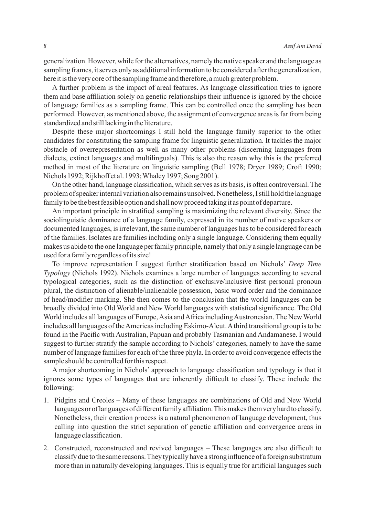generalization. However, while for the alternatives, namely the native speaker and the language as sampling frames, it serves only as additional information to be considered after the generalization, here it is the very core of the sampling frame and therefore, a much greater problem.

A further problem is the impact of areal features. As language classification tries to ignore them and base affiliation solely on genetic relationships their influence is ignored by the choice of language families as a sampling frame. This can be controlled once the sampling has been performed. However, as mentioned above, the assignment of convergence areas is far from being standardized and still lacking in the literature.

Despite these major shortcomings I still hold the language family superior to the other candidates for constituting the sampling frame for linguistic generalization. It tackles the major obstacle of overrepresentation as well as many other problems (discerning languages from dialects, extinct languages and multilinguals). This is also the reason why this is the preferred method in most of the literature on linguistic sampling (Bell 1978; Dryer 1989; Croft 1990; Nichols 1992; Rijkhoff et al. 1993; Whaley 1997; Song 2001).

On the other hand, language classification, which serves as its basis, is often controversial. The problem of speaker internal variation also remains unsolved. Nonetheless, I still hold the language family to be the best feasible option and shall now proceed taking it as point of departure.

An important principle in stratified sampling is maximizing the relevant diversity. Since the sociolinguistic dominance of a language family, expressed in its number of native speakers or documented languages, is irrelevant, the same number of languages has to be considered for each of the families. Isolates are families including only a single language. Considering them equally makes us abide to the one language per family principle, namely that only a single language can be used for a family regardless of its size!

To improve representation I suggest further stratification based on Nichols' *Deep Time Typology* (Nichols 1992). Nichols examines a large number of languages according to several typological categories, such as the distinction of exclusive/inclusive first personal pronoun plural, the distinction of alienable/inalienable possession, basic word order and the dominance of head/modifier marking. She then comes to the conclusion that the world languages can be broadly divided into Old World and New World languages with statistical significance. The Old World includes all languages of Europe, Asia and Africa including Austronesian. The New World includes all languages of the Americas including Eskimo-Aleut. A third transitional group is to be found in the Pacific with Australian, Papuan and probably Tasmanian and Andamanese. I would suggest to further stratify the sample according to Nichols' categories, namely to have the same number of language families for each of the three phyla. In order to avoid convergence effects the sample should be controlled for this respect.

A major shortcoming in Nichols' approach to language classification and typology is that it ignores some types of languages that are inherently difficult to classify. These include the following:

- 1. Pidgins and Creoles Many of these languages are combinations of Old and New World languages or of languages of different family affiliation. This makes them very hard to classify. Nonetheless, their creation process is a natural phenomenon of language development, thus calling into question the strict separation of genetic affiliation and convergence areas in language classification.
- 2. Constructed, reconstructed and revived languages These languages are also difficult to classify due to the same reasons. They typically have a strong influence of a foreign substratum more than in naturally developing languages. This is equally true for artificial languages such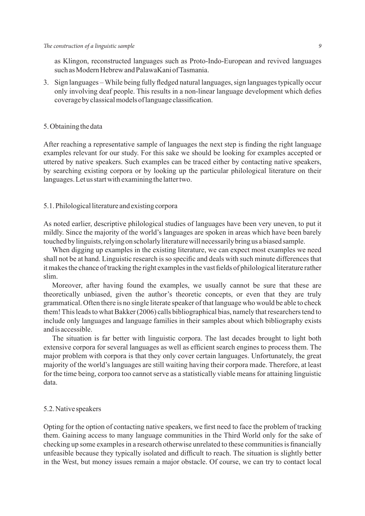#### *The construction of a linguistic sample 9*

as Klingon, reconstructed languages such as Proto-Indo-European and revived languages such as Modern Hebrew and PalawaKani of Tasmania.

3. Sign languages – While being fully fledged natural languages, sign languages typically occur only involving deaf people. This results in a non-linear language development which defies coverage by classical models of language classification.

#### 5. Obtaining the data

After reaching a representative sample of languages the next step is finding the right language examples relevant for our study. For this sake we should be looking for examples accepted or uttered by native speakers. Such examples can be traced either by contacting native speakers, by searching existing corpora or by looking up the particular philological literature on their languages. Let us start with examining the latter two.

#### 5.1. Philological literature and existing corpora

As noted earlier, descriptive philological studies of languages have been very uneven, to put it mildly. Since the majority of the world's languages are spoken in areas which have been barely touched by linguists, relying on scholarly literature will necessarily bring us a biased sample.

When digging up examples in the existing literature, we can expect most examples we need shall not be at hand. Linguistic research is so specific and deals with such minute differences that it makes the chance of tracking the right examples in the vast fields of philological literature rather slim.

Moreover, after having found the examples, we usually cannot be sure that these are theoretically unbiased, given the author's theoretic concepts, or even that they are truly grammatical. Often there is no single literate speaker of that language who would be able to check them! This leads to what Bakker (2006) calls bibliographical bias, namely that researchers tend to include only languages and language families in their samples about which bibliography exists and is accessible.

The situation is far better with linguistic corpora. The last decades brought to light both extensive corpora for several languages as well as efficient search engines to process them. The major problem with corpora is that they only cover certain languages. Unfortunately, the great majority of the world's languages are still waiting having their corpora made. Therefore, at least for the time being, corpora too cannot serve as a statistically viable means for attaining linguistic data.

#### 5.2. Native speakers

Opting for the option of contacting native speakers, we first need to face the problem of tracking them. Gaining access to many language communities in the Third World only for the sake of checking up some examples in a research otherwise unrelated to these communities is financially unfeasible because they typically isolated and difficult to reach. The situation is slightly better in the West, but money issues remain a major obstacle. Of course, we can try to contact local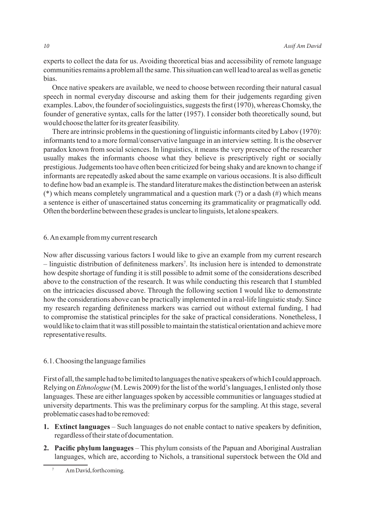experts to collect the data for us. Avoiding theoretical bias and accessibility of remote language communities remains a problem all the same. This situation can well lead to areal as well as genetic bias.

Once native speakers are available, we need to choose between recording their natural casual speech in normal everyday discourse and asking them for their judgements regarding given examples. Labov, the founder of sociolinguistics, suggests the first (1970), whereas Chomsky, the founder of generative syntax, calls for the latter (1957). I consider both theoretically sound, but would choose the latter for its greater feasibility.

There are intrinsic problems in the questioning of linguistic informants cited by Labov (1970): informants tend to a more formal/conservative language in an interview setting. It is the observer paradox known from social sciences. In linguistics, it means the very presence of the researcher usually makes the informants choose what they believe is prescriptively right or socially prestigious. Judgements too have often been criticized for being shaky and are known to change if informants are repeatedly asked about the same example on various occasions. It is also difficult to define how bad an example is. The standard literature makes the distinction between an asterisk (\*) which means completely ungrammatical and a question mark (?) or a dash (#) which means a sentence is either of unascertained status concerning its grammaticality or pragmatically odd. Often the borderline between these grades is unclear to linguists, let alone speakers.

#### 6. An example from my current research

Now after discussing various factors I would like to give an example from my current research – linguistic distribution of definiteness markers<sup>7</sup> . Its inclusion here is intended to demonstrate how despite shortage of funding it is still possible to admit some of the considerations described above to the construction of the research. It was while conducting this research that I stumbled on the intricacies discussed above. Through the following section I would like to demonstrate how the considerations above can be practically implemented in a real-life linguistic study. Since my research regarding definiteness markers was carried out without external funding, I had to compromise the statistical principles for the sake of practical considerations. Nonetheless, I would like to claim that it was still possible to maintain the statistical orientation and achieve more representative results.

#### 6.1. Choosing the language families

First of all, the sample had to be limited to languages the native speakers of which I could approach. Relying on *Ethnologue* (M. Lewis 2009) for the list of the world's languages, I enlisted only those languages. These are either languages spoken by accessible communities or languages studied at university departments. This was the preliminary corpus for the sampling. At this stage, several problematic cases had to be removed:

- **1. Extinct languages** Such languages do not enable contact to native speakers by definition, regardless of their state of documentation.
- **2. Pacific phylum languages** This phylum consists of the Papuan and Aboriginal Australian languages, which are, according to Nichols, a transitional superstock between the Old and

<sup>7</sup> Am David, forthcoming.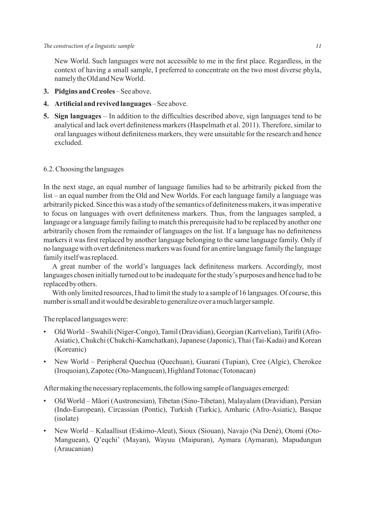New World. Such languages were not accessible to me in the first place. Regardless, in the context of having a small sample, I preferred to concentrate on the two most diverse phyla, namely the Old and New World.

- **3. Pidgins and Creoles** See above.
- **4. Artificial and revived languages**  See above.
- **5. Sign languages** In addition to the difficulties described above, sign languages tend to be analytical and lack overt definiteness markers (Haspelmath et al. 2011). Therefore, similar to oral languages without definiteness markers, they were unsuitable for the research and hence excluded.

#### 6.2. Choosing the languages

In the next stage, an equal number of language families had to be arbitrarily picked from the list – an equal number from the Old and New Worlds. For each language family a language was arbitrarily picked. Since this was a study of the semantics of definiteness makers, it was imperative to focus on languages with overt definiteness markers. Thus, from the languages sampled, a language or a language family failing to match this prerequisite had to be replaced by another one arbitrarily chosen from the remainder of languages on the list. If a language has no definiteness markers it was first replaced by another language belonging to the same language family. Only if no language with overt definiteness markers was found for an entire language family the language family itself was replaced.

A great number of the world's languages lack definiteness markers. Accordingly, most languages chosen initially turned out to be inadequate for the study's purposes and hence had to be replaced by others.

With only limited resources, I had to limit the study to a sample of 16 languages. Of course, this number is small and it would be desirable to generalize over a much larger sample.

The replaced languages were:

- Old World Swahili (Niger-Congo), Tamil (Dravidian), Georgian (Kartvelian), Tarifit (Afro-Asiatic), Chukchi (Chukchi-Kamchatkan), Japanese (Japonic), Thai (Tai-Kadai) and Korean (Koreanic)
- New World Peripheral Quechua (Quechuan), Guaraní (Tupian), Cree (Algic), Cherokee (Iroquoian), Zapotec (Oto-Manguean), Highland Totonac (Totonacan)

After making the necessary replacements, the following sample of languages emerged:

- Old World Māori (Austronesian), Tibetan (Sino-Tibetan), Malayalam (Dravidian), Persian (Indo-European), Circassian (Pontic), Turkish (Turkic), Amharic (Afro-Asiatic), Basque (isolate)
- New World Kalaallisut (Eskimo-Aleut), Sioux (Siouan), Navajo (Na Dené), Otomí (Oto-Manguean), Q'eqchi' (Mayan), Wayuu (Maipuran), Aymara (Aymaran), Mapudungun (Araucanian)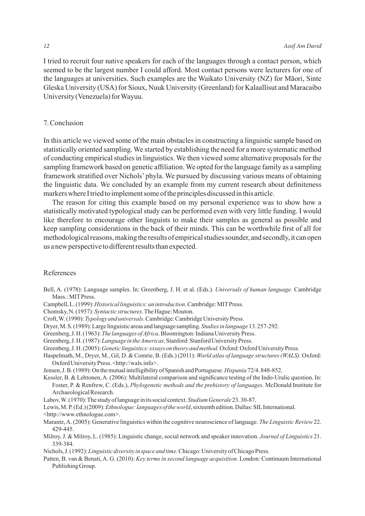I tried to recruit four native speakers for each of the languages through a contact person, which seemed to be the largest number I could afford. Most contact persons were lecturers for one of the languages at universities. Such examples are the Waikato University (NZ) for Māori, Sinte Gleska University (USA) for Sioux, Nuuk University (Greenland) for Kalaallisut and Maracaibo University (Venezuela) for Wayuu.

#### 7. Conclusion

In this article we viewed some of the main obstacles in constructing a linguistic sample based on statistically oriented sampling. We started by establishing the need for a more systematic method of conducting empirical studies in linguistics. We then viewed some alternative proposals for the sampling framework based on genetic affiliation. We opted for the language family as a sampling framework stratified over Nichols' phyla. We pursued by discussing various means of obtaining the linguistic data. We concluded by an example from my current research about definiteness markers where I tried to implement some of the principles discussed in this article.

The reason for citing this example based on my personal experience was to show how a statistically motivated typological study can be performed even with very little funding. I would like therefore to encourage other linguists to make their samples as general as possible and keep sampling considerations in the back of their minds. This can be worthwhile first of all for methodological reasons, making the results of empirical studies sounder, and secondly, it can open us a new perspective to different results than expected.

#### References

- Bell, A. (1978): Language samples. In: Greenberg, J. H. et al. (Eds.). *Universals of human language.* Cambridge Mass.: MIT Press.
- Campbell, L. (1999): *Historical linguistics: an introduction*. Cambridge: MIT Press.
- Chomsky, N. (1957): *Syntactic structures*. The Hague: Mouton.
- Croft, W. (1990): *Typology and universals*. Cambridge: Cambridge University Press.
- Dryer, M. S. (1989): Large linguistic areas and language sampling. *Studies in language* 13. 257-292.
- Greenberg, J. H. (1963): *The languages of Africa*. Bloomington: Indiana University Press.
- Greenberg, J. H.(1987):*Language in the Americas*. Stanford:Stanford University Press.
- Greenberg, J. H. (2005):*Genetic linguistics: essays on theory and method.* Oxford: Oxford University Press.
- Haspelmath, M., Dryer, M., Gil, D. & Comrie, B. (Eds.) (2011): *World atlas of language structures (WALS).* Oxford: Oxford University Press. <http://wals.info>.
- Jensen, J. B. (1989): On the mutual intelligibility of Spanish and Portuguese. *Hispania* 72/4. 848-852.
- Kessler, B. & Lehtonen, A. (2006): Multilateral comparison and significance testing of the Indo-Uralic question. In: Foster, P. & Renfrew, C. (Eds.), *Phylogenetic methods and the prehistory of languages*. McDonald Institute for Archaeological Research.
- Labov, W. (1970): The study of language in its social context. *Studium Generale* 23. 30-87.
- Lewis, M. P. (Ed.) (2009): *Ethnologue: languages of the world*, sixteenth edition. Dallas: SIL International. <http://www.ethnologue.com>.
- Marantz, A. (2005): Generative linguistics within the cognitive neuroscience of language. *The Linguistic Review* 22. 429-445.
- Milroy, J. & Milroy, L. (1985): Linguistic change, social network and speaker innovation. *Journal of Linguistics* 21. 339-384.
- Nichols, J. (1992): *Linguistic diversity in space and time.* Chicago: University of Chicago Press.
- Patten, B. van & Benati, A. G. (2010): *Key terms in second language acquisition.* London: Continuum International Publishing Group.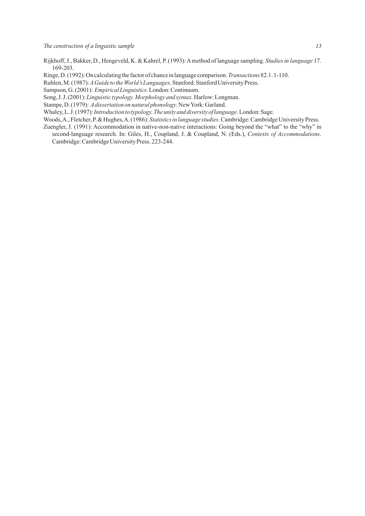- Rijkhoff, J., Bakker, D., Hengeveld, K. & Kahrel, P. (1993): A method of language sampling. *Studies in language* 17. 169-203.
- Ringe, D. (1992): On calculating the factor of chance in language comparison. *Transactions*82.1. 1-110.
- Ruhlen, M.(1987): *A Guide to the World's Languages*. Stanford:Stanford University Press.
- Sampson, G. (2001): *Empirical Linguistics*. London: Continuum.
- Song, J. J. (2001): *Linguistic typology. Morphology and syntax.* Harlow: Longman.
- Stampe, D. (1979): *A dissertation on natural phonology*. New York: Garland.
- Whaley, L. J. (1997): *Introduction to typology. The unity and diversity of language.* London: Sage.
- Woods, A., Fletcher, P. & Hughes, A. (1986): *Statistics in language studies.* Cambridge: Cambridge University Press.
- Zuengler, J. (1991): Accommodation in native-non-native interactions: Going beyond the "what" to the "why" in second-language research. In: Giles, H., Coupland, J. & Coupland, N. (Eds.), *Contexts of Accommodations*. Cambridge: Cambridge University Press. 223-244.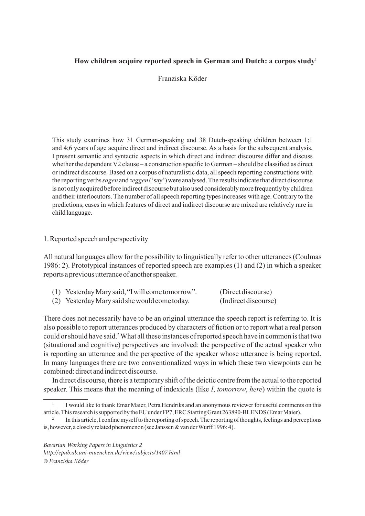#### **How children acquire reported speech in German and Dutch: a corpus study**<sup>1</sup>

Franziska Köder

This study examines how 31 German-speaking and 38 Dutch-speaking children between 1;1 and 4;6 years of age acquire direct and indirect discourse. As a basis for the subsequent analysis, I present semantic and syntactic aspects in which direct and indirect discourse differ and discuss whether the dependent V2 clause – a construction specific to German – should be classified as direct or indirect discourse. Based on a corpus of naturalistic data, all speech reporting constructions with the reporting verbs *sagen* and *zeggen* ('say') were analysed. The results indicate that direct discourse is not only acquired before indirect discourse but also used considerably more frequently by children and their interlocutors. The number of all speech reporting types increases with age. Contrary to the predictions, cases in which features of direct and indirect discourse are mixed are relatively rare in child language.

#### 1. Reported speech and perspectivity

All natural languages allow for the possibility to linguistically refer to other utterances (Coulmas 1986: 2). Prototypical instances of reported speech are examples (1) and (2) in which a speaker reports a previous utterance of another speaker.

| (1) Yesterday Mary said, "I will come tomorrow". | (Direct discourse)   |
|--------------------------------------------------|----------------------|
| (2) Yesterday Mary said she would come today.    | (Indirect discourse) |

There does not necessarily have to be an original utterance the speech report is referring to. It is also possible to report utterances produced by characters of fiction or to report what a real person could or should have said.<sup>2</sup> What all these instances of reported speech have in common is that two (situational and cognitive) perspectives are involved: the perspective of the actual speaker who is reporting an utterance and the perspective of the speaker whose utterance is being reported. In many languages there are two conventionalized ways in which these two viewpoints can be combined: direct and indirect discourse.

In direct discourse, there is a temporary shift of the deictic centre from the actual to the reported speaker. This means that the meaning of indexicals (like *I*, *tomorrow*, *here*) within the quote is

<sup>1</sup> I would like to thank Emar Maier, Petra Hendriks and an anonymous reviewer for useful comments on this article. This research is supported by the EU under FP7, ERC Starting Grant 263890-BLENDS (Emar Maier).

<sup>2</sup> In this article, I confine myself to the reporting of speech. The reporting of thoughts, feelings and perceptions is, however, a closely related phenomenon (see Janssen & van der Wurff 1996: 4).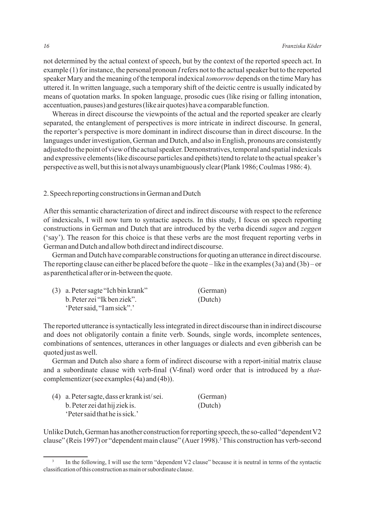not determined by the actual context of speech, but by the context of the reported speech act. In example (1) for instance, the personal pronoun *I* refers not to the actual speaker but to the reported speaker Mary and the meaning of the temporal indexical *tomorrow* depends on the time Mary has uttered it. In written language, such a temporary shift of the deictic centre is usually indicated by means of quotation marks. In spoken language, prosodic cues (like rising or falling intonation, accentuation, pauses) and gestures (like air quotes) have a comparable function.

Whereas in direct discourse the viewpoints of the actual and the reported speaker are clearly separated, the entanglement of perspectives is more intricate in indirect discourse. In general, the reporter's perspective is more dominant in indirect discourse than in direct discourse. In the languages under investigation, German and Dutch, and also in English, pronouns are consistently adjusted to the point of view of the actual speaker. Demonstratives, temporal and spatial indexicals and expressive elements (like discourse particles and epithets) tend to relate to the actual speaker's perspective as well, but this is not always unambiguously clear (Plank 1986; Coulmas 1986: 4).

2. Speech reporting constructions in German and Dutch

After this semantic characterization of direct and indirect discourse with respect to the reference of indexicals, I will now turn to syntactic aspects. In this study, I focus on speech reporting constructions in German and Dutch that are introduced by the verba dicendi *sagen* and *zeggen* ('say'). The reason for this choice is that these verbs are the most frequent reporting verbs in German and Dutch and allow both direct and indirect discourse.

German and Dutch have comparable constructions for quoting an utterance in direct discourse. The reporting clause can either be placed before the quote – like in the examples (3a) and (3b) – or as parenthetical after or in-between the quote.

| $(3)$ a. Peter sagte "Ich bin krank" | (German) |
|--------------------------------------|----------|
| b. Peter zei "Ik ben ziek".          | (Dutch)  |
| 'Peter said, "I am sick".'           |          |

The reported utterance is syntactically less integrated in direct discourse than in indirect discourse and does not obligatorily contain a finite verb. Sounds, single words, incomplete sentences, combinations of sentences, utterances in other languages or dialects and even gibberish can be quoted just as well.

German and Dutch also share a form of indirect discourse with a report-initial matrix clause and a subordinate clause with verb-final (V-final) word order that is introduced by a *that*complementizer (see examples (4a) and (4b)).

| (4) a. Peter sagte, dass er krank ist/sei. | (German) |
|--------------------------------------------|----------|
| b. Peter zei dat hij ziek is.              | (Dutch)  |
| <i>'</i> Peter said that he is sick.'      |          |

Unlike Dutch, German has another construction for reporting speech, the so-called "dependent V2 clause" (Reis 1997) or "dependent main clause" (Auer 1998).<sup>3</sup> This construction has verb-second

In the following, I will use the term "dependent V2 clause" because it is neutral in terms of the syntactic classification of this construction as main or subordinate clause.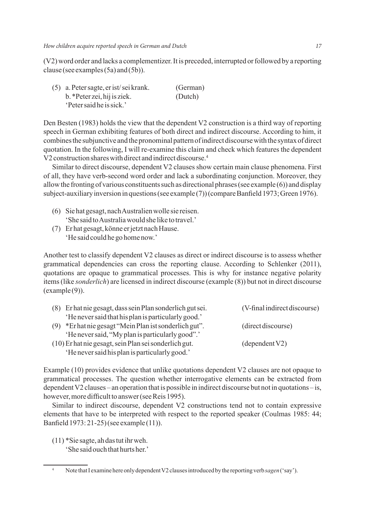(V2) word order and lacks a complementizer. It is preceded, interrupted or followed by a reporting clause (see examples (5a) and (5b)).

(5) a. Peter sagte, er ist/ sei krank. (German) b. \*Peter zei, hij is ziek. (Dutch) 'Peter said he is sick.'

Den Besten (1983) holds the view that the dependent V2 construction is a third way of reporting speech in German exhibiting features of both direct and indirect discourse. According to him, it combines the subjunctive and the pronominal pattern of indirect discourse with the syntax of direct quotation. In the following, I will re-examine this claim and check which features the dependent V2 construction shares with direct and indirect discourse.<sup>4</sup>

Similar to direct discourse, dependent V2 clauses show certain main clause phenomena. First of all, they have verb-second word order and lack a subordinating conjunction. Moreover, they allow the fronting of various constituents such as directional phrases (see example (6)) and display subject-auxiliary inversion in questions (see example (7)) (compare Banfield 1973; Green 1976).

- (6) Sie hat gesagt, nach Australien wolle sie reisen. 'She said to Australia would she like to travel.'
- (7) Er hat gesagt, könne er jetzt nach Hause. 'He said could he go home now.'

Another test to classify dependent V2 clauses as direct or indirect discourse is to assess whether grammatical dependencies can cross the reporting clause. According to Schlenker (2011), quotations are opaque to grammatical processes. This is why for instance negative polarity items (like *sonderlich*) are licensed in indirect discourse (example (8)) but not in direct discourse  $(example(9)).$ 

| (8) Er hat nie gesagt, dass sein Plan sonderlich gut sei. | (V-final indirect discourse) |
|-----------------------------------------------------------|------------------------------|
| 'He never said that his plan is particularly good.'       |                              |
| (9) *Er hat nie gesagt "Mein Plan ist sonderlich gut".    | (direct discourse)           |
| 'He never said, "My plan is particularly good".'          |                              |
| (10) Er hat nie gesagt, sein Plan sei sonderlich gut.     | (dependent V2)               |
| 'He never said his plan is particularly good.'            |                              |

Example (10) provides evidence that unlike quotations dependent V2 clauses are not opaque to grammatical processes. The question whether interrogative elements can be extracted from dependent V2 clauses – an operation that is possible in indirect discourse but not in quotations – is, however, more difficult to answer (see Reis 1995).

Similar to indirect discourse, dependent V2 constructions tend not to contain expressive elements that have to be interpreted with respect to the reported speaker (Coulmas 1985: 44; Banfield 1973: 21-25) (see example (11)).

(11) \*Sie sagte, ah das tut ihr weh. 'She said ouch that hurts her.'

<sup>4</sup> Note that I examine here only dependent V2 clauses introduced by the reporting verb *sagen* ('say').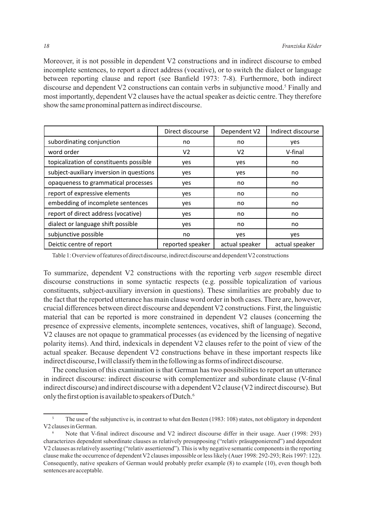Moreover, it is not possible in dependent V2 constructions and in indirect discourse to embed incomplete sentences, to report a direct address (vocative), or to switch the dialect or language between reporting clause and report (see Banfield 1973: 7-8). Furthermore, both indirect discourse and dependent V2 constructions can contain verbs in subjunctive mood.<sup>5</sup> Finally and most importantly, dependent V2 clauses have the actual speaker as deictic centre. They therefore show the same pronominal pattern as indirect discourse.

|                                          | Direct discourse | Dependent V2   | Indirect discourse |
|------------------------------------------|------------------|----------------|--------------------|
| subordinating conjunction                | no               | no             | yes                |
| word order                               | V <sub>2</sub>   | V <sub>2</sub> | V-final            |
| topicalization of constituents possible  | yes              | yes            | no                 |
| subject-auxiliary inversion in questions | yes              | yes            | no                 |
| opaqueness to grammatical processes      | yes              | no             | no                 |
| report of expressive elements            | yes              | no             | no                 |
| embedding of incomplete sentences        | yes              | no             | no                 |
| report of direct address (vocative)      | yes              | no             | no                 |
| dialect or language shift possible       | yes              | no             | no                 |
| subjunctive possible                     | no               | yes            | yes                |
| Deictic centre of report                 | reported speaker | actual speaker | actual speaker     |

Table 1: Overview of features of direct discourse, indirect discourse and dependent V2 constructions

To summarize, dependent V2 constructions with the reporting verb *sagen* resemble direct discourse constructions in some syntactic respects (e.g. possible topicalization of various constituents, subject-auxiliary inversion in questions). These similarities are probably due to the fact that the reported utterance has main clause word order in both cases. There are, however, crucial differences between direct discourse and dependent V2 constructions. First, the linguistic material that can be reported is more constrained in dependent V2 clauses (concerning the presence of expressive elements, incomplete sentences, vocatives, shift of language). Second, V2 clauses are not opaque to grammatical processes (as evidenced by the licensing of negative polarity items). And third, indexicals in dependent V2 clauses refer to the point of view of the actual speaker. Because dependent V2 constructions behave in these important respects like indirect discourse, I will classify them in the following as forms of indirect discourse.

The conclusion of this examination is that German has two possibilities to report an utterance in indirect discourse: indirect discourse with complementizer and subordinate clause (V-final indirect discourse) and indirect discourse with a dependent V2 clause (V2 indirect discourse). But only the first option is available to speakers of Dutch.<sup>6</sup>

<sup>&</sup>lt;sup>5</sup> The use of the subjunctive is, in contrast to what den Besten (1983: 108) states, not obligatory in dependent V2 clauses in German.

<sup>6</sup> Note that V-final indirect discourse and V2 indirect discourse differ in their usage. Auer (1998: 293) characterizes dependent subordinate clauses as relatively presupposing ("relativ präsupponierend") and dependent V2 clauses as relatively asserting ("relativ assertierend"). This is why negative semantic components in the reporting clause make the occurrence of dependent V2 clauses impossible or less likely (Auer 1998: 292-293; Reis 1997: 122). Consequently, native speakers of German would probably prefer example (8) to example (10), even though both sentences are acceptable.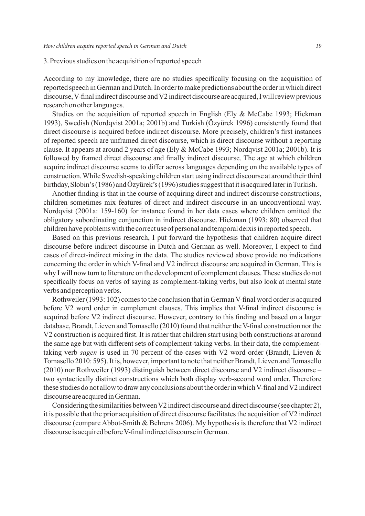#### 3. Previous studies on the acquisition of reported speech

According to my knowledge, there are no studies specifically focusing on the acquisition of reported speech in German and Dutch. In order to make predictions about the order in which direct discourse, V-final indirect discourse and V2 indirect discourse are acquired, I will review previous research on other languages.

Studies on the acquisition of reported speech in English (Ely & McCabe 1993; Hickman 1993), Swedish (Nordqvist 2001a; 2001b) and Turkish (Özyürek 1996) consistently found that direct discourse is acquired before indirect discourse. More precisely, children's first instances of reported speech are unframed direct discourse, which is direct discourse without a reporting clause. It appears at around 2 years of age (Ely & McCabe 1993; Nordqvist 2001a; 2001b). It is followed by framed direct discourse and finally indirect discourse. The age at which children acquire indirect discourse seems to differ across languages depending on the available types of construction. While Swedish-speaking children start using indirect discourse at around their third birthday, Slobin's (1986) and Özyürek's (1996) studies suggest that it is acquired later in Turkish.

Another finding is that in the course of acquiring direct and indirect discourse constructions, children sometimes mix features of direct and indirect discourse in an unconventional way. Nordqvist (2001a: 159-160) for instance found in her data cases where children omitted the obligatory subordinating conjunction in indirect discourse. Hickman (1993: 80) observed that children have problems with the correct use of personal and temporal deixis in reported speech.

Based on this previous research, I put forward the hypothesis that children acquire direct discourse before indirect discourse in Dutch and German as well. Moreover, I expect to find cases of direct-indirect mixing in the data. The studies reviewed above provide no indications concerning the order in which V-final and V2 indirect discourse are acquired in German. This is why I will now turn to literature on the development of complement clauses. These studies do not specifically focus on verbs of saying as complement-taking verbs, but also look at mental state verbs and perception verbs.

Rothweiler (1993: 102) comes to the conclusion that in German V-final word order is acquired before V2 word order in complement clauses. This implies that V-final indirect discourse is acquired before V2 indirect discourse. However, contrary to this finding and based on a larger database, Brandt, Lieven and Tomasello (2010) found that neither the V-final construction nor the V2 construction is acquired first. It is rather that children start using both constructions at around the same age but with different sets of complement-taking verbs. In their data, the complementtaking verb *sagen* is used in 70 percent of the cases with V2 word order (Brandt, Lieven & Tomasello 2010: 595). It is, however, important to note that neither Brandt, Lieven and Tomasello (2010) nor Rothweiler (1993) distinguish between direct discourse and V2 indirect discourse – two syntactically distinct constructions which both display verb-second word order. Therefore these studies do not allow to draw any conclusions about the order in which V-final and V2 indirect discourse are acquired in German.

Considering the similarities between V2 indirect discourse and direct discourse (see chapter 2), it is possible that the prior acquisition of direct discourse facilitates the acquisition of V2 indirect discourse (compare Abbot-Smith & Behrens 2006). My hypothesis is therefore that V2 indirect discourse is acquired before V-final indirect discourse in German.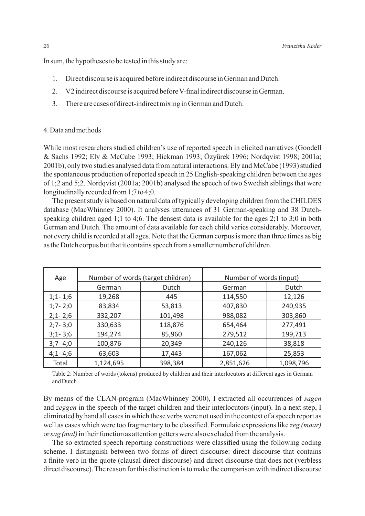In sum, the hypotheses to be tested in this study are:

- 1. Direct discourse is acquired before indirect discourse in German and Dutch.
- 2. V2 indirect discourse is acquired before V-final indirect discourse in German.
- 3. There are cases of direct-indirect mixing in German and Dutch.

#### 4. Data and methods

While most researchers studied children's use of reported speech in elicited narratives (Goodell & Sachs 1992; Ely & McCabe 1993; Hickman 1993; Özyürek 1996; Nordqvist 1998; 2001a; 2001b), only two studies analysed data from natural interactions. Ely and McCabe (1993) studied the spontaneous production of reported speech in 25 English-speaking children between the ages of 1;2 and 5;2. Nordqvist (2001a; 2001b) analysed the speech of two Swedish siblings that were longitudinally recorded from 1;7 to 4;0.

The present study is based on natural data of typically developing children from the CHILDES database (MacWhinney 2000). It analyses utterances of 31 German-speaking and 38 Dutchspeaking children aged 1;1 to 4;6. The densest data is available for the ages 2;1 to 3;0 in both German and Dutch. The amount of data available for each child varies considerably. Moreover, not every child is recorded at all ages. Note that the German corpus is more than three times as big as the Dutch corpus but that it contains speech from a smaller number of children.

| Age         | Number of words (target children) |         |           | Number of words (input) |  |
|-------------|-----------------------------------|---------|-----------|-------------------------|--|
|             | German                            | Dutch   | German    | Dutch                   |  |
| $1;1 - 1;6$ | 19,268                            | 445     | 114,550   | 12,126                  |  |
| $1;7 - 2;0$ | 83,834                            | 53,813  | 407,830   | 240,935                 |  |
| $2;1 - 2;6$ | 332,207                           | 101,498 | 988,082   | 303,860                 |  |
| $2;7 - 3;0$ | 330,633                           | 118,876 | 654,464   | 277,491                 |  |
| $3;1 - 3;6$ | 194,274                           | 85,960  | 279,512   | 199,713                 |  |
| $3;7 - 4;0$ | 100,876                           | 20,349  | 240,126   | 38,818                  |  |
| $4;1 - 4;6$ | 63,603                            | 17,443  | 167,062   | 25,853                  |  |
| Total       | 1,124,695                         | 398,384 | 2,851,626 | 1,098,796               |  |

Table 2: Number of words (tokens) produced by children and their interlocutors at different ages in German and Dutch

By means of the CLAN-program (MacWhinney 2000), I extracted all occurrences of *sagen* and *zeggen* in the speech of the target children and their interlocutors (input). In a next step, I eliminated by hand all cases in which these verbs were not used in the context of a speech report as well as cases which were too fragmentary to be classified. Formulaic expressions like *zeg (maar)* or *sag (mal)* in their function as attention getters were also excluded from the analysis.

The so extracted speech reporting constructions were classified using the following coding scheme. I distinguish between two forms of direct discourse: direct discourse that contains a finite verb in the quote (clausal direct discourse) and direct discourse that does not (verbless direct discourse). The reason for this distinction is to make the comparison with indirect discourse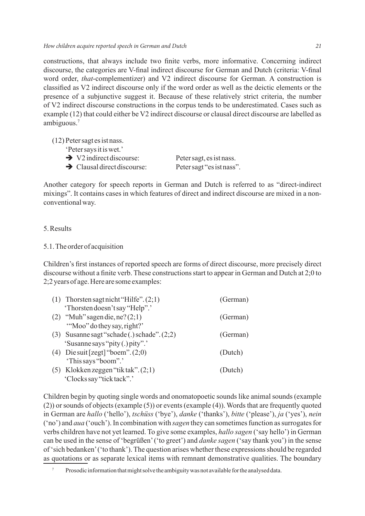constructions, that always include two finite verbs, more informative. Concerning indirect discourse, the categories are V-final indirect discourse for German and Dutch (criteria: V-final word order, *that*-complementizer) and V2 indirect discourse for German. A construction is classified as V2 indirect discourse only if the word order as well as the deictic elements or the presence of a subjunctive suggest it. Because of these relatively strict criteria, the number of V2 indirect discourse constructions in the corpus tends to be underestimated. Cases such as example (12) that could either be V2 indirect discourse or clausal direct discourse are labelled as ambiguous.7

(12) Peter sagt es ist nass.

- 'Peter says it is wet.'
- $\rightarrow$  V2 indirect discourse: Peter sagt, es ist nass.
- $\rightarrow$  Clausal direct discourse: Peter sagt "es ist nass".

Another category for speech reports in German and Dutch is referred to as "direct-indirect mixings". It contains cases in which features of direct and indirect discourse are mixed in a nonconventional way.

#### 5. Results

#### 5.1. The order of acquisition

Children's first instances of reported speech are forms of direct discourse, more precisely direct discourse without a finite verb. These constructions start to appear in German and Dutch at 2;0 to 2;2 years of age. Here are some examples:

| (1) Thorsten sagt nicht "Hilfe". $(2,1)$      | (German) |
|-----------------------------------------------|----------|
| 'Thorsten doesn't say "Help".'                |          |
| (2) "Muh" sagen die, ne? $(2,1)$              | (German) |
| "Moo" do they say, right?"                    |          |
| (3) Susanne sagt "schade (.) schade". $(2,2)$ | (German) |
| 'Susanne says "pity (.) pity".'               |          |
| (4) Die suit [zegt] "boem". $(2,0)$           | (Dutch)  |
| 'This says "boom".'                           |          |
| (5) Klokken zeggen "tik tak". $(2,1)$         | (Dutch)  |
| 'Clocks say "tick tack".'                     |          |
|                                               |          |

Children begin by quoting single words and onomatopoetic sounds like animal sounds (example (2)) or sounds of objects (example (5)) or events (example (4)). Words that are frequently quoted in German are *hallo* ('hello'), *tschüss* ('bye'), *danke* ('thanks'), *bitte* ('please'), *ja* ('yes'), *nein* ('no') and *aua* ('ouch'). In combination with *sagen* they can sometimes function as surrogates for verbs children have not yet learned. To give some examples, *hallo sagen* ('say hello') in German can be used in the sense of 'begrüßen' ('to greet') and *danke sagen* ('say thank you') in the sense of 'sich bedanken' ('to thank'). The question arises whether these expressions should be regarded as quotations or as separate lexical items with remnant demonstrative qualities. The boundary

<sup>&</sup>lt;sup>7</sup> Prosodic information that might solve the ambiguity was not available for the analysed data.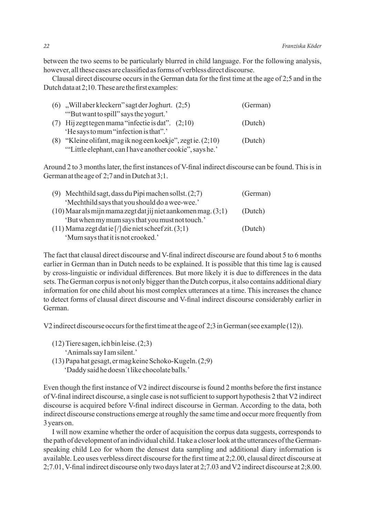between the two seems to be particularly blurred in child language. For the following analysis, however, all these cases are classified as forms of verbless direct discourse.

Clausal direct discourse occurs in the German data for the first time at the age of 2;5 and in the Dutch data at 2;10. These are the first examples:

| $(6)$ , Will aber kleckern" sagt der Joghurt. $(2,5)$          | (German) |
|----------------------------------------------------------------|----------|
| "But want to spill" says the yogurt."                          |          |
| (7) Hij zegt tegen mama "infectie is dat". $(2,10)$            | (Dutch)  |
| 'He says to mum "infection is that".'                          |          |
| (8) "Kleine olifant, mag ik nog een koekje", zegt ie. $(2,10)$ | (Dutch)  |
| "Little elephant, can I have another cookie", says he.'        |          |

Around 2 to 3 months later, the first instances of V-final indirect discourse can be found. This is in German at the age of 2;7 and in Dutch at 3;1.

| (9) Mechthild sagt, dass du Pipi machen sollst. $(2,7)$           | (German) |
|-------------------------------------------------------------------|----------|
| 'Mechthild says that you should do a wee-wee.'                    |          |
| $(10)$ Maar als mijn mama zegt dat jij niet aankomen mag. $(3,1)$ | (Dutch)  |
| 'But when my mum says that you must not touch.'                   |          |
| $(11)$ Mama zegt dat ie [/] die niet scheef zit. $(3,1)$          | (Dutch)  |
| 'Mum says that it is not crooked.'                                |          |

The fact that clausal direct discourse and V-final indirect discourse are found about 5 to 6 months earlier in German than in Dutch needs to be explained. It is possible that this time lag is caused by cross-linguistic or individual differences. But more likely it is due to differences in the data sets. The German corpus is not only bigger than the Dutch corpus, it also contains additional diary information for one child about his most complex utterances at a time. This increases the chance to detect forms of clausal direct discourse and V-final indirect discourse considerably earlier in German.

V2 indirect discourse occurs for the first time at the age of 2;3 in German (see example (12)).

- (12) Tiere sagen, ich bin leise. (2;3)
	- 'Animals say I am silent.'
- (13) Papa hat gesagt, er mag keine Schoko-Kugeln. (2;9) 'Daddy said he doesn´t like chocolate balls.'

Even though the first instance of V2 indirect discourse is found 2 months before the first instance of V-final indirect discourse, a single case is not sufficient to support hypothesis 2 that V2 indirect discourse is acquired before V-final indirect discourse in German. According to the data, both indirect discourse constructions emerge at roughly the same time and occur more frequently from 3 years on.

I will now examine whether the order of acquisition the corpus data suggests, corresponds to the path of development of an individual child. I take a closer look at the utterances of the Germanspeaking child Leo for whom the densest data sampling and additional diary information is available. Leo uses verbless direct discourse for the first time at 2;2.00, clausal direct discourse at 2;7.01, V-final indirect discourse only two days later at 2;7.03 and V2 indirect discourse at 2;8.00.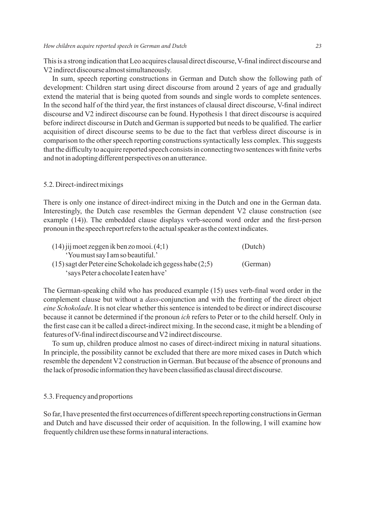This is a strong indication that Leo acquires clausal direct discourse, V-final indirect discourse and V2 indirect discourse almost simultaneously.

In sum, speech reporting constructions in German and Dutch show the following path of development: Children start using direct discourse from around 2 years of age and gradually extend the material that is being quoted from sounds and single words to complete sentences. In the second half of the third year, the first instances of clausal direct discourse, V-final indirect discourse and V2 indirect discourse can be found. Hypothesis 1 that direct discourse is acquired before indirect discourse in Dutch and German is supported but needs to be qualified. The earlier acquisition of direct discourse seems to be due to the fact that verbless direct discourse is in comparison to the other speech reporting constructions syntactically less complex. This suggests that the difficulty to acquire reported speech consists in connecting two sentences with finite verbs and not in adopting different perspectives on an utterance.

#### 5.2. Direct-indirect mixings

There is only one instance of direct-indirect mixing in the Dutch and one in the German data. Interestingly, the Dutch case resembles the German dependent V2 clause construction (see example (14)). The embedded clause displays verb-second word order and the first-person pronoun in the speech report refers to the actual speaker as the context indicates.

| $(14)$ jij moet zeggen ik ben zo mooi. $(4,1)$            | (Dutch)  |
|-----------------------------------------------------------|----------|
| 'You must say I am so beautiful.'                         |          |
| (15) sagt der Peter eine Schokolade ich gegess habe (2:5) | (German) |
| 'says Peter a chocolate I eaten have'                     |          |

The German-speaking child who has produced example (15) uses verb-final word order in the complement clause but without a *dass*-conjunction and with the fronting of the direct object *eine Schokolade*. It is not clear whether this sentence is intended to be direct or indirect discourse because it cannot be determined if the pronoun *ich* refers to Peter or to the child herself. Only in the first case can it be called a direct-indirect mixing. In the second case, it might be a blending of features of V-final indirect discourse and V2 indirect discourse.

To sum up, children produce almost no cases of direct-indirect mixing in natural situations. In principle, the possibility cannot be excluded that there are more mixed cases in Dutch which resemble the dependent V2 construction in German. But because of the absence of pronouns and the lack of prosodic information they have been classified as clausal direct discourse.

#### 5.3. Frequency and proportions

So far, I have presented the first occurrences of different speech reporting constructions in German and Dutch and have discussed their order of acquisition. In the following, I will examine how frequently children use these forms in natural interactions.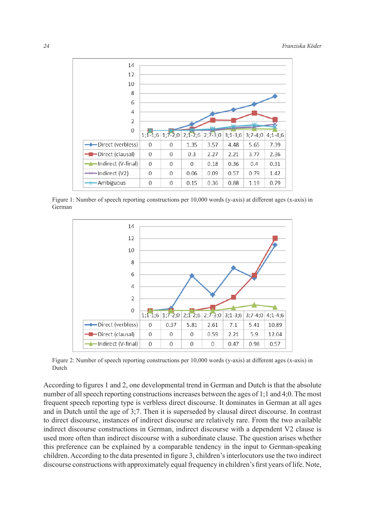

Figure 1: Number of speech reporting constructions per 10,000 words (y-axis) at different ages (x-axis) in German



Figure 2: Number of speech reporting constructions per 10,000 words (y-axis) at different ages (x-axis) in Dutch

According to figures 1 and 2, one developmental trend in German and Dutch is that the absolute number of all speech reporting constructions increases between the ages of 1;1 and 4;0. The most frequent speech reporting type is verbless direct discourse. It dominates in German at all ages and in Dutch until the age of 3;7. Then it is superseded by clausal direct discourse. In contrast to direct discourse, instances of indirect discourse are relatively rare. From the two available indirect discourse constructions in German, indirect discourse with a dependent V2 clause is used more often than indirect discourse with a subordinate clause. The question arises whether this preference can be explained by a comparable tendency in the input to German-speaking children. According to the data presented in figure 3, children's interlocutors use the two indirect discourse constructions with approximately equal frequency in children's first years of life. Note,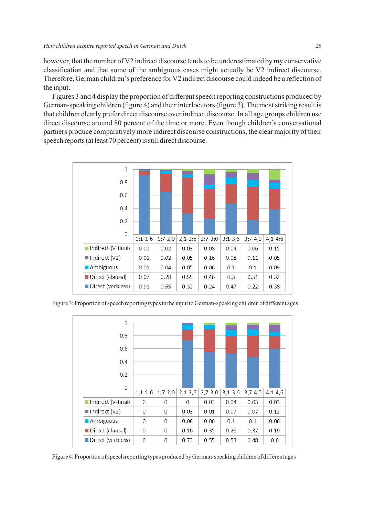however, that the number of V2 indirect discourse tends to be underestimated by my conservative classification and that some of the ambiguous cases might actually be V2 indirect discourse. Therefore, German children's preference for V2 indirect discourse could indeed be a reflection of the input.

Figures 3 and 4 display the proportion of different speech reporting constructions produced by German-speaking children (figure 4) and their interlocutors (figure 3). The most striking result is that children clearly prefer direct discourse over indirect discourse. In all age groups children use direct discourse around 80 percent of the time or more. Even though children's conversational partners produce comparatively more indirect discourse constructions, the clear majority of their speech reports (at least 70 percent) is still direct discourse.



Figure 3: Proportion of speech reporting types in the input to German-speaking children of different ages



Figure 4: Proportion of speech reporting types produced by German-speaking children of different ages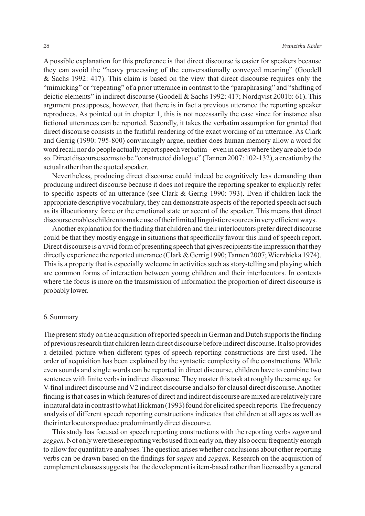A possible explanation for this preference is that direct discourse is easier for speakers because they can avoid the "heavy processing of the conversationally conveyed meaning" (Goodell & Sachs 1992: 417). This claim is based on the view that direct discourse requires only the "mimicking" or "repeating" of a prior utterance in contrast to the "paraphrasing" and "shifting of deictic elements" in indirect discourse (Goodell & Sachs 1992: 417; Nordqvist 2001b: 61). This argument presupposes, however, that there is in fact a previous utterance the reporting speaker reproduces. As pointed out in chapter 1, this is not necessarily the case since for instance also fictional utterances can be reported. Secondly, it takes the verbatim assumption for granted that direct discourse consists in the faithful rendering of the exact wording of an utterance. As Clark and Gerrig (1990: 795-800) convincingly argue, neither does human memory allow a word for word recall nor do people actually report speech verbatim – even in cases where they are able to do so. Direct discourse seems to be "constructed dialogue" (Tannen 2007: 102-132), a creation by the actual rather than the quoted speaker.

Nevertheless, producing direct discourse could indeed be cognitively less demanding than producing indirect discourse because it does not require the reporting speaker to explicitly refer to specific aspects of an utterance (see Clark & Gerrig 1990: 793). Even if children lack the appropriate descriptive vocabulary, they can demonstrate aspects of the reported speech act such as its illocutionary force or the emotional state or accent of the speaker. This means that direct discourse enables children to make use of their limited linguistic resources in very efficient ways.

Another explanation for the finding that children and their interlocutors prefer direct discourse could be that they mostly engage in situations that specifically favour this kind of speech report. Direct discourse is a vivid form of presenting speech that gives recipients the impression that they directly experience the reported utterance (Clark & Gerrig 1990; Tannen 2007; Wierzbicka 1974). This is a property that is especially welcome in activities such as story-telling and playing which are common forms of interaction between young children and their interlocutors. In contexts where the focus is more on the transmission of information the proportion of direct discourse is probably lower.

#### 6. Summary

The present study on the acquisition of reported speech in German and Dutch supports the finding of previous research that children learn direct discourse before indirect discourse. It also provides a detailed picture when different types of speech reporting constructions are first used. The order of acquisition has been explained by the syntactic complexity of the constructions. While even sounds and single words can be reported in direct discourse, children have to combine two sentences with finite verbs in indirect discourse. They master this task at roughly the same age for V-final indirect discourse and V2 indirect discourse and also for clausal direct discourse. Another finding is that cases in which features of direct and indirect discourse are mixed are relatively rare in natural data in contrast to what Hickman (1993) found for elicited speech reports. The frequency analysis of different speech reporting constructions indicates that children at all ages as well as their interlocutors produce predominantly direct discourse.

This study has focused on speech reporting constructions with the reporting verbs *sagen* and *zeggen*. Not only were these reporting verbs used from early on, they also occur frequently enough to allow for quantitative analyses. The question arises whether conclusions about other reporting verbs can be drawn based on the findings for *sagen* and *zeggen*. Research on the acquisition of complement clauses suggests that the development is item-based rather than licensed by a general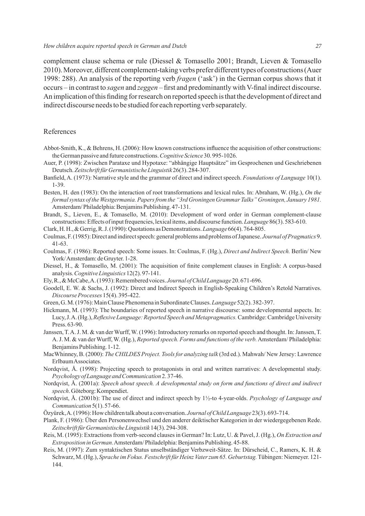complement clause schema or rule (Diessel & Tomasello 2001; Brandt, Lieven & Tomasello 2010). Moreover, different complement-taking verbs prefer different types of constructions (Auer 1998: 288). An analysis of the reporting verb *fragen* ('ask') in the German corpus shows that it occurs – in contrast to *sagen* and *zeggen* – first and predominantly with V-final indirect discourse. An implication of this finding for research on reported speech is that the development of direct and indirect discourse needs to be studied for each reporting verb separately.

#### References

- Abbot-Smith, K., & Behrens, H. (2006): How known constructions influence the acquisition of other constructions: the German passive and future constructions. *Cognitive Science* 30. 995-1026.
- Auer, P. (1998): Zwischen Parataxe und Hypotaxe: "abhängige Hauptsätze" im Gesprochenen und Geschriebenen Deutsch. *Zeitschrift für Germanistische Linguistik* 26(3). 284-307.
- Banfield, A. (1973): Narrative style and the grammar of direct and indirect speech. *Foundations of Language* 10(1). 1-39.
- Besten, H. den (1983): On the interaction of root transformations and lexical rules. In: Abraham, W. (Hg.), *On the formal syntax of the Westgermania. Papers from the "3rd Groningen Grammar Talks" Groningen, January 1981.* Amsterdam/ Philadelphia: Benjamins Publishing. 47-131.
- Brandt, S., Lieven, E., & Tomasello, M. (2010): Development of word order in German complement-clause constructions: Effects of input frequencies, lexical items, and discourse function. *Language* 86(3). 583-610.
- Clark, H. H., & Gerrig, R. J. (1990): Quotations as Demonstrations. *Language* 66(4). 764-805.
- Coulmas, F. (1985): Direct and indirect speech: general problems and problems of Japanese. *Journal of Pragmatics* 9. 41-63.
- Coulmas, F. (1986): Reported speech: Some issues. In: Coulmas, F. (Hg.), *Direct and Indirect Speech.* Berlin/ New York/ Amsterdam: de Gruyter. 1-28.
- Diessel, H., & Tomasello, M. (2001): The acquisition of finite complement clauses in English: A corpus-based analysis. *Cognitive Linguistics* 12(2). 97-141.
- Ely, R., & McCabe, A. (1993): Remembered voices. *Journal of Child Language* 20. 671-696.
- Goodell, E. W. & Sachs, J. (1992): Direct and Indirect Speech in English-Speaking Children's Retold Narratives. *Discourse Processes* 15(4). 395-422.
- Green, G. M. (1976): Main Clause Phenomena in Subordinate Clauses. *Language* 52(2). 382-397.
- Hickmann, M. (1993): The boundaries of reported speech in narrative discourse: some developmental aspects. In: Lucy, J. A. (Hg.), *Reflexive Language: Reported Speech and Metapragmatics.* Cambridge: Cambridge University Press. 63-90.
- Janssen, T. A. J. M. & van der Wurff, W. (1996): Introductory remarks on reported speech and thought. In: Janssen, T. A. J. M. & van der Wurff, W. (Hg.), *Reported speech. Forms and functions of the verb.* Amsterdam/ Philadelphia: Benjamins Publishing. 1-12.
- MacWhinney, B. (2000): *The CHILDES Project. Tools for analyzing talk* (3rd ed.). Mahwah/ New Jersey: Lawrence Erlbaum Associates.
- Nordqvist, Å. (1998): Projecting speech to protagonists in oral and written narratives: A developmental study. *Psychology of Language and Communication* 2. 37-46.
- Nordqvist, Å. (2001a): *Speech about speech. A developmental study on form and functions of direct and indirect speech*. Göteborg: Kompendiet.
- Nordqvist, Å. (2001b): The use of direct and indirect speech by 1½-to 4-year-olds. *Psychology of Language and Communication* 5(1). 57-66.
- Özyürek, A. (1996): How children talk about a conversation. *Journal of Child Language* 23(3). 693-714.
- Plank, F. (1986): Über den Personenwechsel und den anderer deiktischer Kategorien in der wiedergegebenen Rede. *Zeitschrift für Germanistische Linguistik* 14(3). 294-308.
- Reis, M. (1995): Extractions from verb-second clauses in German? In: Lutz, U. & Pavel, J. (Hg.), *On Extraction and Extraposition in German.*Amsterdam/ Philadelphia: Benjamins Publishing. 45-88.
- Reis, M. (1997): Zum syntaktischen Status unselbständiger Verbzweit-Sätze. In: Dürscheid, C., Ramers, K. H. & Schwarz, M. (Hg.), *Sprache im Fokus. Festschrift für Heinz Vater zum 65. Geburtstag.* Tübingen: Niemeyer. 121- 144.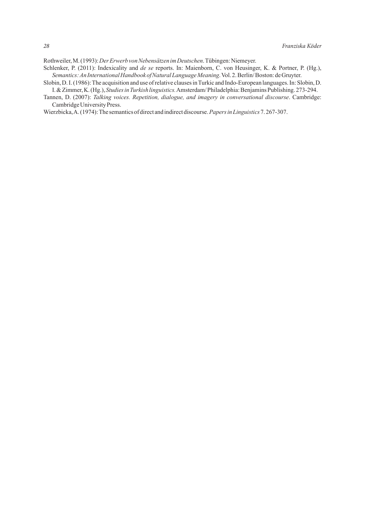Rothweiler, M. (1993): *Der Erwerb von Nebensätzen im Deutschen*. Tübingen: Niemeyer.

- Schlenker, P. (2011): Indexicality and *de se* reports. In: Maienborn, C. von Heusinger, K. & Portner, P. (Hg.), *Semantics: An International Handbook of Natural Language Meaning*. Vol. 2. Berlin/ Boston: de Gruyter.
- Slobin, D. I. (1986): The acquisition and use of relative clauses in Turkic and Indo-European languages. In: Slobin, D. I. & Zimmer, K. (Hg.), *Studies in Turkish linguistics.*Amsterdam/ Philadelphia: Benjamins Publishing. 273-294.
- Tannen, D. (2007): *Talking voices. Repetition, dialogue, and imagery in conversational discourse*. Cambridge: Cambridge University Press.

Wierzbicka, A. (1974): The semantics of direct and indirect discourse. *Papers in Linguistics* 7. 267-307.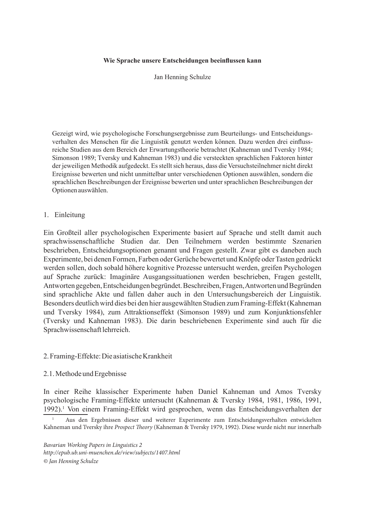#### **Wie Sprache unsere Entscheidungen beeinflussen kann**

Jan Henning Schulze

Gezeigt wird, wie psychologische Forschungsergebnisse zum Beurteilungs- und Entscheidungsverhalten des Menschen für die Linguistik genutzt werden können. Dazu werden drei einflussreiche Studien aus dem Bereich der Erwartungstheorie betrachtet (Kahneman und Tversky 1984; Simonson 1989; Tversky und Kahneman 1983) und die versteckten sprachlichen Faktoren hinter der jeweiligen Methodik aufgedeckt. Es stellt sich heraus, dass die Versuchsteilnehmer nicht direkt Ereignisse bewerten und nicht unmittelbar unter verschiedenen Optionen auswählen, sondern die sprachlichen Beschreibungen der Ereignisse bewerten und unter sprachlichen Beschreibungen der Optionen auswählen.

#### 1. Einleitung

Ein Großteil aller psychologischen Experimente basiert auf Sprache und stellt damit auch sprachwissenschaftliche Studien dar. Den Teilnehmern werden bestimmte Szenarien beschrieben, Entscheidungsoptionen genannt und Fragen gestellt. Zwar gibt es daneben auch Experimente, bei denen Formen, Farben oder Gerüche bewertet und Knöpfe oder Tasten gedrückt werden sollen, doch sobald höhere kognitive Prozesse untersucht werden, greifen Psychologen auf Sprache zurück: Imaginäre Ausgangssituationen werden beschrieben, Fragen gestellt, Antworten gegeben, Entscheidungen begründet. Beschreiben, Fragen, Antworten und Begründen sind sprachliche Akte und fallen daher auch in den Untersuchungsbereich der Linguistik. Besonders deutlich wird dies bei den hier ausgewählten Studien zum Framing-Effekt (Kahneman und Tversky 1984), zum Attraktionseffekt (Simonson 1989) und zum Konjunktionsfehler (Tversky und Kahneman 1983). Die darin beschriebenen Experimente sind auch für die Sprachwissenschaft lehrreich.

#### 2. Framing-Effekte: Die asiatische Krankheit

#### 2.1. Methode und Ergebnisse

In einer Reihe klassischer Experimente haben Daniel Kahneman und Amos Tversky psychologische Framing-Effekte untersucht (Kahneman & Tversky 1984, 1981, 1986, 1991, 1992).<sup>1</sup> Von einem Framing-Effekt wird gesprochen, wenn das Entscheidungsverhalten der

*Bavarian Working Papers in Linguistics 2 http://epub.ub.uni-muenchen.de/view/subjects/1407.html © Jan Henning Schulze*

<sup>1</sup> Aus den Ergebnissen dieser und weiterer Experimente zum Entscheidungsverhalten entwickelten Kahneman und Tversky ihre *Prospect Theory* (Kahneman & Tversky 1979, 1992). Diese wurde nicht nur innerhalb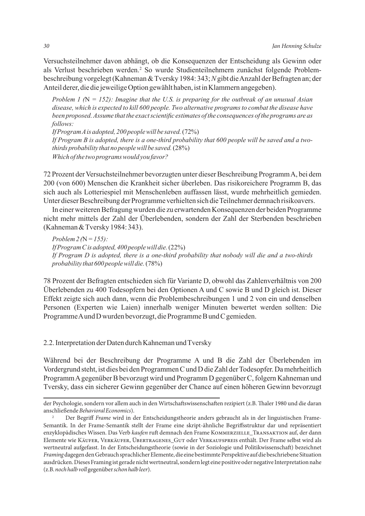Versuchsteilnehmer davon abhängt, ob die Konsequenzen der Entscheidung als Gewinn oder als Verlust beschrieben werden.<sup>2</sup> So wurde Studienteilnehmern zunächst folgende Problembeschreibung vorgelegt (Kahneman & Tversky 1984: 343; *N* gibt die Anzahl der Befragten an; der Anteil derer, die die jeweilige Option gewählt haben, ist in Klammern angegeben).

*Problem 1 (*N *= 152): Imagine that the U.S. is preparing for the outbreak of an unusual Asian disease, which is expected to kill 600 people. Two alternative programs to combat the disease have been proposed. Assume that the exact scientific estimates of the consequences of the programs are as follows:*

*If Program A is adopted, 200 people will be saved.* (72%) *If Program B is adopted, there is a one-third probability that 600 people will be saved and a twothirds probability that no people will be saved.* (28%) *Which of the two programs would you favor?*

72 Prozent der Versuchsteilnehmer bevorzugten unter dieser Beschreibung Programm A, bei dem 200 (von 600) Menschen die Krankheit sicher überleben. Das risikoreichere Programm B, das sich auch als Lotteriespiel mit Menschenleben auffassen lässt, wurde mehrheitlich gemieden. Unter dieser Beschreibung der Programme verhielten sich die Teilnehmer demnach risikoavers.

In einer weiteren Befragung wurden die zu erwartenden Konsequenzen der beiden Programme nicht mehr mittels der Zahl der Überlebenden, sondern der Zahl der Sterbenden beschrieben (Kahneman & Tversky 1984: 343).

*Problem 2 (*N *= 155): If Program C is adopted, 400 people will die.* (22%) *If Program D is adopted, there is a one-third probability that nobody will die and a two-thirds probability that 600 people will die.* (78%)

78 Prozent der Befragten entschieden sich für Variante D, obwohl das Zahlenverhältnis von 200 Überlebenden zu 400 Todesopfern bei den Optionen A und C sowie B und D gleich ist. Dieser Effekt zeigte sich auch dann, wenn die Problembeschreibungen 1 und 2 von ein und denselben Personen (Experten wie Laien) innerhalb weniger Minuten bewertet werden sollten: Die Programme A und D wurden bevorzugt, die Programme B und C gemieden.

2.2. Interpretation der Daten durch Kahneman und Tversky

Während bei der Beschreibung der Programme A und B die Zahl der Überlebenden im Vordergrund steht, ist dies bei den Programmen C und D die Zahl der Todesopfer. Da mehrheitlich Programm A gegenüber B bevorzugt wird und Programm D gegenüber C, folgern Kahneman und Tversky, dass ein sicherer Gewinn gegenüber der Chance auf einen höheren Gewinn bevorzugt

der Psychologie, sondern vor allem auch in den Wirtschaftswissenschaften rezipiert (z.B. Thaler 1980 und die daran anschließende *Behavioral Economics*).

<sup>&</sup>lt;sup>2</sup> Der Begriff *Frame* wird in der Entscheidungstheorie anders gebraucht als in der linguistischen Frame-Semantik. In der Frame-Semantik stellt der Frame eine skript-ähnliche Begriffsstruktur dar und repräsentiert enzyklopädisches Wissen. Das Verb *kaufen* ruft demnach den Frame KOMMERZIELLE\_TRANSAKTION auf, der dann Elemente wie Käufer, Verkäufer, Übertragenes Gut oder Verkaufspreis enthält. Der Frame selbst wird als wertneutral aufgefasst. In der Entscheidungstheorie (sowie in der Soziologie und Politikwissenschaft) bezeichnet *Framing* dagegen den Gebrauch sprachlicher Elemente, die eine bestimmte Perspektive auf die beschriebene Situation ausdrücken. Dieses Framing ist gerade nicht wertneutral, sondern legt eine positive oder negative Interpretation nahe (z.B. *noch halb voll* gegenüber *schon halb leer*).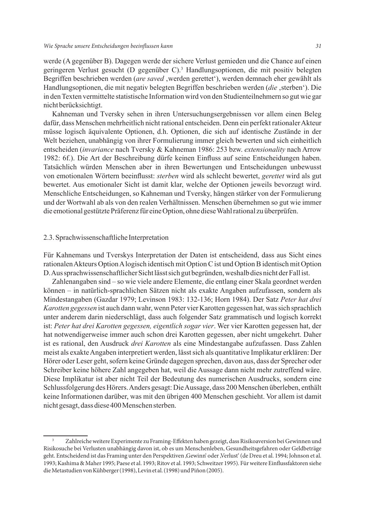werde (A gegenüber B). Dagegen werde der sichere Verlust gemieden und die Chance auf einen geringeren Verlust gesucht (D gegenüber C).3 Handlungsoptionen, die mit positiv belegten Begriffen beschrieben werden (*are saved* , werden gerettet'), werden demnach eher gewählt als Handlungsoptionen, die mit negativ belegten Begriffen beschrieben werden (*die* , sterben<sup>c</sup>). Die in den Texten vermittelte statistische Information wird von den Studienteilnehmern so gut wie gar nicht berücksichtigt.

Kahneman und Tversky sehen in ihren Untersuchungsergebnissen vor allem einen Beleg dafür, dass Menschen mehrheitlich nicht rational entscheiden. Denn ein perfekt rationaler Akteur müsse logisch äquivalente Optionen, d.h. Optionen, die sich auf identische Zustände in der Welt beziehen, unabhängig von ihrer Formulierung immer gleich bewerten und sich einheitlich entscheiden (*invariance* nach Tversky & Kahneman 1986: 253 bzw. *extensionality* nach Arrow 1982: 6f.). Die Art der Beschreibung dürfe keinen Einfluss auf seine Entscheidungen haben. Tatsächlich würden Menschen aber in ihren Bewertungen und Entscheidungen unbewusst von emotionalen Wörtern beeinflusst: *sterben* wird als schlecht bewertet, *gerettet* wird als gut bewertet. Aus emotionaler Sicht ist damit klar, welche der Optionen jeweils bevorzugt wird. Menschliche Entscheidungen, so Kahneman und Tversky, hängen stärker von der Formulierung und der Wortwahl ab als von den realen Verhältnissen. Menschen übernehmen so gut wie immer die emotional gestützte Präferenz für eine Option, ohne diese Wahl rational zu überprüfen.

#### 2.3. Sprachwissenschaftliche Interpretation

Für Kahnemans und Tverskys Interpretation der Daten ist entscheidend, dass aus Sicht eines rationalen Akteurs Option A logisch identisch mit Option C ist und Option B identisch mit Option D. Aus sprachwissenschaftlicher Sicht lässt sich gut begründen, weshalb dies nicht der Fall ist.

Zahlenangaben sind – so wie viele andere Elemente, die entlang einer Skala geordnet werden können – in natürlich-sprachlichen Sätzen nicht als exakte Angaben aufzufassen, sondern als Mindestangaben (Gazdar 1979; Levinson 1983: 132-136; Horn 1984). Der Satz *Peter hat drei Karotten gegessen* ist auch dann wahr, wenn Peter vier Karotten gegessen hat, was sich sprachlich unter anderem darin niederschlägt, dass auch folgender Satz grammatisch und logisch korrekt ist: *Peter hat drei Karotten gegessen, eigentlich sogar vier*. Wer vier Karotten gegessen hat, der hat notwendigerweise immer auch schon drei Karotten gegessen, aber nicht umgekehrt. Daher ist es rational, den Ausdruck *drei Karotten* als eine Mindestangabe aufzufassen. Dass Zahlen meist als exakte Angaben interpretiert werden, lässt sich als quantitative Implikatur erklären: Der Hörer oder Leser geht, sofern keine Gründe dagegen sprechen, davon aus, dass der Sprecher oder Schreiber keine höhere Zahl angegeben hat, weil die Aussage dann nicht mehr zutreffend wäre. Diese Implikatur ist aber nicht Teil der Bedeutung des numerischen Ausdrucks, sondern eine Schlussfolgerung des Hörers. Anders gesagt: Die Aussage, dass 200 Menschen überleben, enthält keine Informationen darüber, was mit den übrigen 400 Menschen geschieht. Vor allem ist damit nicht gesagt, dass diese 400 Menschen sterben.

<sup>3</sup> Zahlreiche weitere Experimente zu Framing-Effekten haben gezeigt, dass Risikoaversion bei Gewinnen und Risikosuche bei Verlusten unabhängig davon ist, ob es um Menschenleben, Gesundheitsgefahren oder Geldbeträge geht. Entscheidend ist das Framing unter den Perspektiven 'Gewinn' oder 'Verlust' (de Dreu et al. 1994; Johnson et al. 1993; Kashima & Maher 1995; Paese et al. 1993; Ritov et al. 1993; Schweitzer 1995). Für weitere Einflussfaktoren siehe die Metastudien von Kühberger (1998), Levin et al. (1998) und Piñon (2005).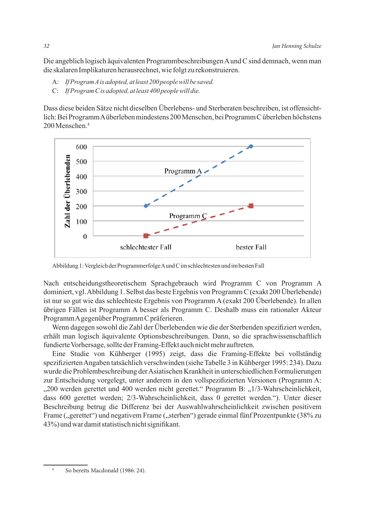Die angeblich logisch äquivalenten Programmbeschreibungen A und C sind demnach, wenn man die skalaren Implikaturen herausrechnet, wie folgt zu rekonstruieren.

- A: *If Program A is adopted, at least 200 people will be saved.*
- C: *If Program C is adopted, at least 400 people will die.*

Dass diese beiden Sätze nicht dieselben Überlebens- und Sterberaten beschreiben, ist offensichtlich: Bei Programm A überleben mindestens 200 Menschen, bei Programm C überleben höchstens 200 Menschen<sup>4</sup>



Abbildung 1: Vergleich der Programmerfolge A und C im schlechtesten und im besten Fall

Nach entscheidungstheoretischem Sprachgebrauch wird Programm C von Programm A dominiert, vgl. Abbildung 1. Selbst das beste Ergebnis von Programm C (exakt 200 Überlebende) ist nur so gut wie das schlechteste Ergebnis von Programm A (exakt 200 Überlebende). In allen übrigen Fällen ist Programm A besser als Programm C. Deshalb muss ein rationaler Akteur Programm A gegenüber Programm C präferieren.

Wenn dagegen sowohl die Zahl der Überlebenden wie die der Sterbenden spezifiziert werden, erhält man logisch äquivalente Optionsbeschreibungen. Dann, so die sprachwissenschaftlich fundierte Vorhersage, sollte der Framing-Effekt auch nicht mehr auftreten.

Eine Studie von Kühberger (1995) zeigt, dass die Framing-Effekte bei vollständig spezifizierten Angaben tatsächlich verschwinden (siehe Tabelle 3 in Kühberger 1995: 234). Dazu wurde die Problembeschreibung der Asiatischen Krankheit in unterschiedlichen Formulierungen zur Entscheidung vorgelegt, unter anderem in den vollspezifizierten Versionen (Programm A: "200 werden gerettet und 400 werden nicht gerettet." Programm B: "1/3-Wahrscheinlichkeit, dass 600 gerettet werden; 2/3-Wahrscheinlichkeit, dass 0 gerettet werden."). Unter dieser Beschreibung betrug die Differenz bei der Auswahlwahrscheinlichkeit zwischen positivem Frame ("gerettet") und negativem Frame ("sterben") gerade einmal fünf Prozentpunkte (38% zu 43%) und war damit statistisch nicht signifikant.

<sup>4</sup> So bereits Macdonald (1986: 24).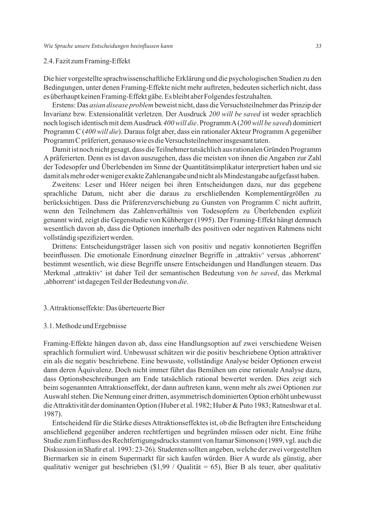# 2.4. Fazit zum Framing-Effekt

Die hier vorgestellte sprachwissenschaftliche Erklärung und die psychologischen Studien zu den Bedingungen, unter denen Framing-Effekte nicht mehr auftreten, bedeuten sicherlich nicht, dass es überhaupt keinen Framing-Effekt gäbe. Es bleibt aber Folgendes festzuhalten.

Erstens: Das *asian disease problem* beweist nicht, dass die Versuchsteilnehmer das Prinzip der Invarianz bzw. Extensionalität verletzen. Der Ausdruck *200 will be saved* ist weder sprachlich noch logisch identisch mit dem Ausdruck *400 will die*. ProgrammA (*200 will be saved*) dominiert Programm C (*400 will die*). Daraus folgt aber, dass ein rationaler Akteur Programm A gegenüber Programm C präferiert, genauso wie es die Versuchsteilnehmer insgesamt taten.

Damit ist noch nicht gesagt, dass die Teilnehmer tatsächlich aus rationalen Gründen Programm A präferierten. Denn es ist davon auszugehen, dass die meisten von ihnen die Angaben zur Zahl der Todesopfer und Überlebenden im Sinne der Quantitätsimplikatur interpretiert haben und sie damit als mehr oder weniger exakte Zahlenangabe und nicht als Mindestangabe aufgefasst haben.

Zweitens: Leser und Hörer neigen bei ihren Entscheidungen dazu, nur das gegebene sprachliche Datum, nicht aber die daraus zu erschließenden Komplementärgrößen zu berücksichtigen. Dass die Präferenzverschiebung zu Gunsten von Programm C nicht auftritt, wenn den Teilnehmern das Zahlenverhältnis von Todesopfern zu Überlebenden explizit genannt wird, zeigt die Gegenstudie von Kühberger (1995). Der Framing-Effekt hängt demnach wesentlich davon ab, dass die Optionen innerhalb des positiven oder negativen Rahmens nicht vollständig spezifiziert werden.

Drittens: Entscheidungsträger lassen sich von positiv und negativ konnotierten Begriffen beeinflussen. Die emotionale Einordnung einzelner Begriffe in ,attraktiv' versus ,abhorrent' bestimmt wesentlich, wie diese Begriffe unsere Entscheidungen und Handlungen steuern. Das Merkmal 'attraktiv' ist daher Teil der semantischen Bedeutung von *be saved*, das Merkmal 'abhorrent' ist dagegen Teil der Bedeutung von *die*.

#### 3. Attraktionseffekte: Das überteuerte Bier

#### 3.1. Methode und Ergebnisse

Framing-Effekte hängen davon ab, dass eine Handlungsoption auf zwei verschiedene Weisen sprachlich formuliert wird. Unbewusst schätzen wir die positiv beschriebene Option attraktiver ein als die negativ beschriebene. Eine bewusste, vollständige Analyse beider Optionen erweist dann deren Äquivalenz. Doch nicht immer führt das Bemühen um eine rationale Analyse dazu, dass Optionsbeschreibungen am Ende tatsächlich rational bewertet werden. Dies zeigt sich beim sogenannten Attraktionseffekt, der dann auftreten kann, wenn mehr als zwei Optionen zur Auswahl stehen. Die Nennung einer dritten, asymmetrisch dominierten Option erhöht unbewusst die Attraktivität der dominanten Option (Huber et al. 1982; Huber & Puto 1983; Ratneshwar et al. 1987).

Entscheidend für die Stärke dieses Attraktionseffektes ist, ob die Befragten ihre Entscheidung anschließend gegenüber anderen rechtfertigen und begründen müssen oder nicht. Eine frühe Studie zum Einfluss des Rechtfertigungsdrucks stammt von Itamar Simonson (1989, vgl. auch die Diskussion in Shafir et al. 1993: 23-26). Studenten sollten angeben, welche der zwei vorgestellten Biermarken sie in einem Supermarkt für sich kaufen würden. Bier A wurde als günstig, aber qualitativ weniger gut beschrieben (\$1,99 / Qualität = 65), Bier B als teuer, aber qualitativ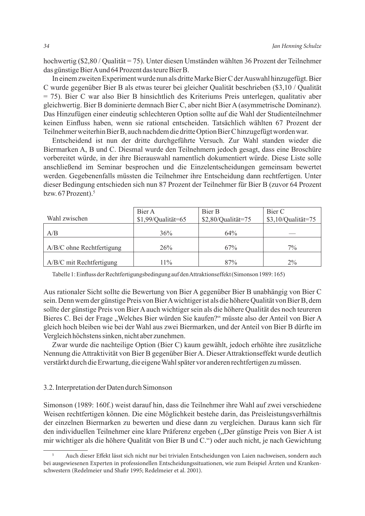hochwertig (\$2,80 / Qualität = 75). Unter diesen Umständen wählten 36 Prozent der Teilnehmer das günstige Bier A und 64 Prozent das teure Bier B.

In einem zweiten Experiment wurde nun als dritte Marke Bier C der Auswahl hinzugefügt. Bier C wurde gegenüber Bier B als etwas teurer bei gleicher Qualität beschrieben (\$3,10 / Qualität = 75). Bier C war also Bier B hinsichtlich des Kriteriums Preis unterlegen, qualitativ aber gleichwertig. Bier B dominierte demnach Bier C, aber nicht Bier A (asymmetrische Dominanz). Das Hinzufügen einer eindeutig schlechteren Option sollte auf die Wahl der Studienteilnehmer keinen Einfluss haben, wenn sie rational entscheiden. Tatsächlich wählten 67 Prozent der Teilnehmer weiterhin Bier B, auch nachdem die dritte Option Bier C hinzugefügt worden war.

Entscheidend ist nun der dritte durchgeführte Versuch. Zur Wahl standen wieder die Biermarken A, B und C. Diesmal wurde den Teilnehmern jedoch gesagt, dass eine Broschüre vorbereitet würde, in der ihre Bierauswahl namentlich dokumentiert würde. Diese Liste solle anschließend im Seminar besprochen und die Einzelentscheidungen gemeinsam bewertet werden. Gegebenenfalls müssten die Teilnehmer ihre Entscheidung dann rechtfertigen. Unter dieser Bedingung entschieden sich nun 87 Prozent der Teilnehmer für Bier B (zuvor 64 Prozent bzw. 67 Prozent).<sup>5</sup>

|                             | Bier A               | Bier B             | Bier C               |
|-----------------------------|----------------------|--------------------|----------------------|
| Wahl zwischen               | $$1,99/Q$ ualität=65 | \$2,80/Qualität=75 | $$3,10/Q$ ualität=75 |
|                             |                      |                    |                      |
| A/B                         | 36%                  | 64%                |                      |
|                             |                      |                    |                      |
| $A/B/C$ ohne Rechtfertigung | 26%                  | 67%                | $7\%$                |
|                             |                      |                    |                      |
| A/B/C mit Rechtfertigung    | $11\%$               | 87%                | $2\%$                |

Tabelle 1: Einfluss der Rechtfertigungsbedingung auf den Attraktionseffekt (Simonson 1989: 165)

Aus rationaler Sicht sollte die Bewertung von Bier A gegenüber Bier B unabhängig von Bier C sein. Denn wem der günstige Preis von Bier A wichtiger ist als die höhere Qualität von Bier B, dem sollte der günstige Preis von Bier A auch wichtiger sein als die höhere Qualität des noch teureren Bieres C. Bei der Frage "Welches Bier würden Sie kaufen?" müsste also der Anteil von Bier A gleich hoch bleiben wie bei der Wahl aus zwei Biermarken, und der Anteil von Bier B dürfte im Vergleich höchstens sinken, nicht aber zunehmen.

Zwar wurde die nachteilige Option (Bier C) kaum gewählt, jedoch erhöhte ihre zusätzliche Nennung die Attraktivität von Bier B gegenüber Bier A. Dieser Attraktionseffekt wurde deutlich verstärkt durch die Erwartung, die eigene Wahl später vor anderen rechtfertigen zu müssen.

# 3.2. Interpretation der Daten durch Simonson

Simonson (1989: 160f.) weist darauf hin, dass die Teilnehmer ihre Wahl auf zwei verschiedene Weisen rechtfertigen können. Die eine Möglichkeit bestehe darin, das Preisleistungsverhältnis der einzelnen Biermarken zu bewerten und diese dann zu vergleichen. Daraus kann sich für den individuellen Teilnehmer eine klare Präferenz ergeben ("Der günstige Preis von Bier A ist mir wichtiger als die höhere Qualität von Bier B und C.") oder auch nicht, je nach Gewichtung

<sup>5</sup> Auch dieser Effekt lässt sich nicht nur bei trivialen Entscheidungen von Laien nachweisen, sondern auch bei ausgewiesenen Experten in professionellen Entscheidungssituationen, wie zum Beispiel Ärzten und Krankenschwestern (Redelmeier und Shafir 1995; Redelmeier et al. 2001).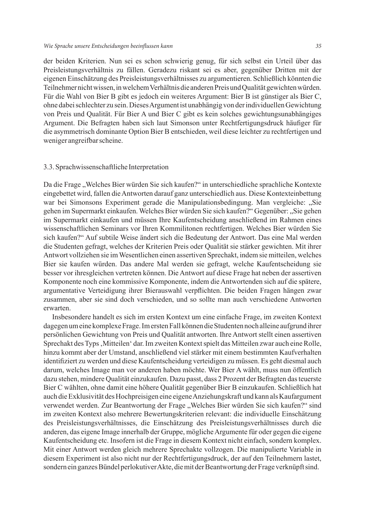der beiden Kriterien. Nun sei es schon schwierig genug, für sich selbst ein Urteil über das Preisleistungsverhältnis zu fällen. Geradezu riskant sei es aber, gegenüber Dritten mit der eigenen Einschätzung des Preisleistungsverhältnisses zu argumentieren. Schließlich könnten die Teilnehmer nicht wissen, in welchem Verhältnis die anderen Preis und Qualität gewichten würden. Für die Wahl von Bier B gibt es jedoch ein weiteres Argument: Bier B ist günstiger als Bier C, ohne dabei schlechter zu sein. Dieses Argument ist unabhängig von der individuellen Gewichtung von Preis und Qualität. Für Bier A und Bier C gibt es kein solches gewichtungsunabhängiges Argument. Die Befragten haben sich laut Simonson unter Rechtfertigungsdruck häufiger für die asymmetrisch dominante Option Bier B entschieden, weil diese leichter zu rechtfertigen und weniger angreifbar scheine.

## 3.3. Sprachwissenschaftliche Interpretation

Da die Frage "Welches Bier würden Sie sich kaufen?" in unterschiedliche sprachliche Kontexte eingebettet wird, fallen die Antworten darauf ganz unterschiedlich aus. Diese Kontexteinbettung war bei Simonsons Experiment gerade die Manipulationsbedingung. Man vergleiche: "Sie gehen im Supermarkt einkaufen. Welches Bier würden Sie sich kaufen?" Gegenüber: "Sie gehen im Supermarkt einkaufen und müssen Ihre Kaufentscheidung anschließend im Rahmen eines wissenschaftlichen Seminars vor Ihren Kommilitonen rechtfertigen. Welches Bier würden Sie sich kaufen?" Auf subtile Weise ändert sich die Bedeutung der Antwort. Das eine Mal werden die Studenten gefragt, welches der Kriterien Preis oder Qualität sie stärker gewichten. Mit ihrer Antwort vollziehen sie im Wesentlichen einen assertiven Sprechakt, indem sie mitteilen, welches Bier sie kaufen würden. Das andere Mal werden sie gefragt, welche Kaufentscheidung sie besser vor ihresgleichen vertreten können. Die Antwort auf diese Frage hat neben der assertiven Komponente noch eine kommissive Komponente, indem die Antwortenden sich auf die spätere, argumentative Verteidigung ihrer Bierauswahl verpflichten. Die beiden Fragen hängen zwar zusammen, aber sie sind doch verschieden, und so sollte man auch verschiedene Antworten erwarten.

Insbesondere handelt es sich im ersten Kontext um eine einfache Frage, im zweiten Kontext dagegen um eine komplexe Frage. Im ersten Fall können die Studenten noch alleine aufgrund ihrer persönlichen Gewichtung von Preis und Qualität antworten. Ihre Antwort stellt einen assertiven Sprechakt des Typs 'Mitteilen' dar. Im zweiten Kontext spielt das Mitteilen zwar auch eine Rolle, hinzu kommt aber der Umstand, anschließend viel stärker mit einem bestimmten Kaufverhalten identifiziert zu werden und diese Kaufentscheidung verteidigen zu müssen. Es geht diesmal auch darum, welches Image man vor anderen haben möchte. Wer Bier A wählt, muss nun öffentlich dazu stehen, mindere Qualität einzukaufen. Dazu passt, dass 2 Prozent der Befragten das teuerste Bier C wählten, ohne damit eine höhere Qualität gegenüber Bier B einzukaufen. Schließlich hat auch die Exklusivität des Hochpreisigen eine eigene Anziehungskraft und kann als Kaufargument verwendet werden. Zur Beantwortung der Frage "Welches Bier würden Sie sich kaufen?" sind im zweiten Kontext also mehrere Bewertungskriterien relevant: die individuelle Einschätzung des Preisleistungsverhältnisses, die Einschätzung des Preisleistungsverhältnisses durch die anderen, das eigene Image innerhalb der Gruppe, mögliche Argumente für oder gegen die eigene Kaufentscheidung etc. Insofern ist die Frage in diesem Kontext nicht einfach, sondern komplex. Mit einer Antwort werden gleich mehrere Sprechakte vollzogen. Die manipulierte Variable in diesem Experiment ist also nicht nur der Rechtfertigungsdruck, der auf den Teilnehmern lastet, sondern ein ganzes Bündel perlokutiver Akte, die mit der Beantwortung der Frage verknüpft sind.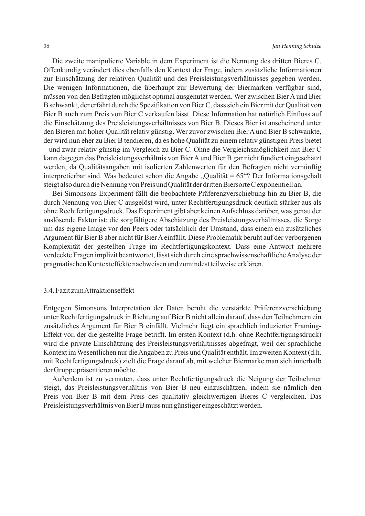Die zweite manipulierte Variable in dem Experiment ist die Nennung des dritten Bieres C. Offenkundig verändert dies ebenfalls den Kontext der Frage, indem zusätzliche Informationen zur Einschätzung der relativen Qualität und des Preisleistungsverhältnisses gegeben werden. Die wenigen Informationen, die überhaupt zur Bewertung der Biermarken verfügbar sind, müssen von den Befragten möglichst optimal ausgenutzt werden. Wer zwischen Bier A und Bier B schwankt, der erfährt durch die Spezifikation von Bier C, dass sich ein Bier mit der Qualität von Bier B auch zum Preis von Bier C verkaufen lässt. Diese Information hat natürlich Einfluss auf die Einschätzung des Preisleistungsverhältnisses von Bier B. Dieses Bier ist anscheinend unter den Bieren mit hoher Qualität relativ günstig. Wer zuvor zwischen Bier A und Bier B schwankte, der wird nun eher zu Bier B tendieren, da es hohe Qualität zu einem relativ günstigen Preis bietet – und zwar relativ günstig im Vergleich zu Bier C. Ohne die Vergleichsmöglichkeit mit Bier C kann dagegen das Preisleistungsverhältnis von Bier A und Bier B gar nicht fundiert eingeschätzt werden, da Qualitätsangaben mit isolierten Zahlenwerten für den Befragten nicht vernünftig interpretierbar sind. Was bedeutet schon die Angabe "Qualität =  $65^{\circ}$ ? Der Informationsgehalt steigt also durch die Nennung von Preis und Qualität der dritten Biersorte C exponentiell an.

Bei Simonsons Experiment fällt die beobachtete Präferenzverschiebung hin zu Bier B, die durch Nennung von Bier C ausgelöst wird, unter Rechtfertigungsdruck deutlich stärker aus als ohne Rechtfertigungsdruck. Das Experiment gibt aber keinen Aufschluss darüber, was genau der auslösende Faktor ist: die sorgfältigere Abschätzung des Preisleistungsverhältnisses, die Sorge um das eigene Image vor den Peers oder tatsächlich der Umstand, dass einem ein zusätzliches Argument für Bier B aber nicht für Bier A einfällt. Diese Problematik beruht auf der verborgenen Komplexität der gestellten Frage im Rechtfertigungskontext. Dass eine Antwort mehrere verdeckte Fragen implizit beantwortet, lässt sich durch eine sprachwissenschaftliche Analyse der pragmatischen Kontexteffekte nachweisen und zumindest teilweise erklären.

#### 3.4. Fazit zum Attraktionseffekt

Entgegen Simonsons Interpretation der Daten beruht die verstärkte Präferenzverschiebung unter Rechtfertigungsdruck in Richtung auf Bier B nicht allein darauf, dass den Teilnehmern ein zusätzliches Argument für Bier B einfällt. Vielmehr liegt ein sprachlich induzierter Framing-Effekt vor, der die gestellte Frage betrifft. Im ersten Kontext (d.h. ohne Rechtfertigungsdruck) wird die private Einschätzung des Preisleistungsverhältnisses abgefragt, weil der sprachliche Kontext im Wesentlichen nur die Angaben zu Preis und Qualität enthält. Im zweiten Kontext (d.h. mit Rechtfertigungsdruck) zielt die Frage darauf ab, mit welcher Biermarke man sich innerhalb der Gruppe präsentieren möchte.

Außerdem ist zu vermuten, dass unter Rechtfertigungsdruck die Neigung der Teilnehmer steigt, das Preisleistungsverhältnis von Bier B neu einzuschätzen, indem sie nämlich den Preis von Bier B mit dem Preis des qualitativ gleichwertigen Bieres C vergleichen. Das Preisleistungsverhältnis von Bier B muss nun günstiger eingeschätzt werden.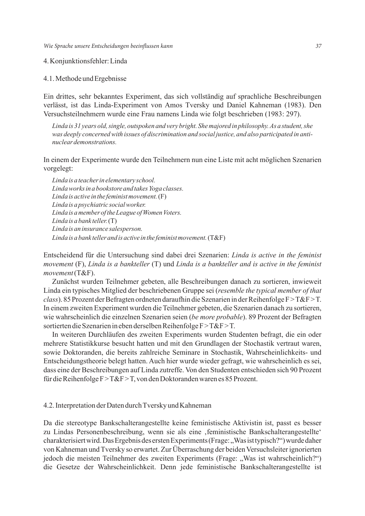4. Konjunktionsfehler: Linda

#### 4.1. Methode und Ergebnisse

Ein drittes, sehr bekanntes Experiment, das sich vollständig auf sprachliche Beschreibungen verlässt, ist das Linda-Experiment von Amos Tversky und Daniel Kahneman (1983). Den Versuchsteilnehmern wurde eine Frau namens Linda wie folgt beschrieben (1983: 297).

*Linda is 31 years old, single, outspoken and very bright. She majored in philosophy. As a student, she was deeply concerned with issues of discrimination and social justice, and also participated in antinuclear demonstrations.*

In einem der Experimente wurde den Teilnehmern nun eine Liste mit acht möglichen Szenarien vorgelegt:

*Linda is a teacher in elementary school. Linda works in a bookstore and takes Yoga classes. Linda is active in the feminist movement.* (F) *Linda is a psychiatric social worker. Linda is a member of the League of Women Voters. Linda is a bank teller.* (T) *Linda is an insurance salesperson. Linda is a bank teller and is active in the feminist movement.* (T&F)

Entscheidend für die Untersuchung sind dabei drei Szenarien: *Linda is active in the feminist movement* (F), *Linda is a bankteller* (T) und *Linda is a bankteller and is active in the feminist movement* (T&F).

Zunächst wurden Teilnehmer gebeten, alle Beschreibungen danach zu sortieren, inwieweit Linda ein typisches Mitglied der beschriebenen Gruppe sei (*resemble the typical member of that class*). 85 Prozent der Befragten ordneten daraufhin die Szenarien in der Reihenfolge F>T&F>T. In einem zweiten Experiment wurden die Teilnehmer gebeten, die Szenarien danach zu sortieren, wie wahrscheinlich die einzelnen Szenarien seien (*be more probable*). 89 Prozent der Befragten sortierten die Szenarien in eben derselben Reihenfolge F>T&F>T.

In weiteren Durchläufen des zweiten Experiments wurden Studenten befragt, die ein oder mehrere Statistikkurse besucht hatten und mit den Grundlagen der Stochastik vertraut waren, sowie Doktoranden, die bereits zahlreiche Seminare in Stochastik, Wahrscheinlichkeits- und Entscheidungstheorie belegt hatten. Auch hier wurde wieder gefragt, wie wahrscheinlich es sei, dass eine der Beschreibungen auf Linda zutreffe. Von den Studenten entschieden sich 90 Prozent für die Reihenfolge F>T&F>T, von den Doktoranden waren es 85 Prozent.

# 4.2. Interpretation der Daten durch Tversky und Kahneman

Da die stereotype Bankschalterangestellte keine feministische Aktivistin ist, passt es besser zu Lindas Personenbeschreibung, wenn sie als eine , feministische Bankschalterangestellte' charakterisiert wird. Das Ergebnis des ersten Experiments (Frage: "Was ist typisch?") wurde daher von Kahneman und Tversky so erwartet. Zur Überraschung der beiden Versuchsleiter ignorierten jedoch die meisten Teilnehmer des zweiten Experiments (Frage: "Was ist wahrscheinlich?") die Gesetze der Wahrscheinlichkeit. Denn jede feministische Bankschalterangestellte ist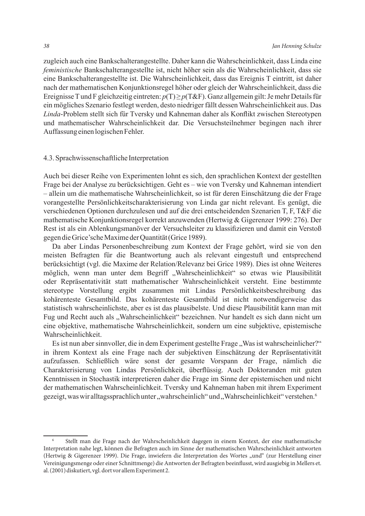zugleich auch eine Bankschalterangestellte. Daher kann die Wahrscheinlichkeit, dass Linda eine *feministische* Bankschalterangestellte ist, nicht höher sein als die Wahrscheinlichkeit, dass sie eine Bankschalterangestellte ist. Die Wahrscheinlichkeit, dass das Ereignis T eintritt, ist daher nach der mathematischen Konjunktionsregel höher oder gleich der Wahrscheinlichkeit, dass die Ereignisse T und F gleichzeitig eintreten: *p*(T) ≥ *p*(T&F). Ganz allgemein gilt: Je mehr Details für ein mögliches Szenario festlegt werden, desto niedriger fällt dessen Wahrscheinlichkeit aus. Das *Linda*-Problem stellt sich für Tversky und Kahneman daher als Konflikt zwischen Stereotypen und mathematischer Wahrscheinlichkeit dar. Die Versuchsteilnehmer begingen nach ihrer Auffassung einen logischen Fehler.

#### 4.3. Sprachwissenschaftliche Interpretation

Auch bei dieser Reihe von Experimenten lohnt es sich, den sprachlichen Kontext der gestellten Frage bei der Analyse zu berücksichtigen. Geht es – wie von Tversky und Kahneman intendiert – allein um die mathematische Wahrscheinlichkeit, so ist für deren Einschätzung die der Frage vorangestellte Persönlichkeitscharakterisierung von Linda gar nicht relevant. Es genügt, die verschiedenen Optionen durchzulesen und auf die drei entscheidenden Szenarien T, F, T&F die mathematische Konjunktionsregel korrekt anzuwenden (Hertwig & Gigerenzer 1999: 276). Der Rest ist als ein Ablenkungsmanöver der Versuchsleiter zu klassifizieren und damit ein Verstoß gegen die Grice'sche Maxime der Quantität (Grice 1989).

Da aber Lindas Personenbeschreibung zum Kontext der Frage gehört, wird sie von den meisten Befragten für die Beantwortung auch als relevant eingestuft und entsprechend berücksichtigt (vgl. die Maxime der Relation/Relevanz bei Grice 1989). Dies ist ohne Weiteres möglich, wenn man unter dem Begriff "Wahrscheinlichkeit" so etwas wie Plausibilität oder Repräsentativität statt mathematischer Wahrscheinlichkeit versteht. Eine bestimmte stereotype Vorstellung ergibt zusammen mit Lindas Persönlichkeitsbeschreibung das kohärenteste Gesamtbild. Das kohärenteste Gesamtbild ist nicht notwendigerweise das statistisch wahrscheinlichste, aber es ist das plausibelste. Und diese Plausibilität kann man mit Fug und Recht auch als "Wahrscheinlichkeit" bezeichnen. Nur handelt es sich dann nicht um eine objektive, mathematische Wahrscheinlichkeit, sondern um eine subjektive, epistemische Wahrscheinlichkeit.

Es ist nun aber sinnvoller, die in dem Experiment gestellte Frage "Was ist wahrscheinlicher?" in ihrem Kontext als eine Frage nach der subjektiven Einschätzung der Repräsentativität aufzufassen. Schließlich wäre sonst der gesamte Vorspann der Frage, nämlich die Charakterisierung von Lindas Persönlichkeit, überflüssig. Auch Doktoranden mit guten Kenntnissen in Stochastik interpretieren daher die Frage im Sinne der epistemischen und nicht der mathematischen Wahrscheinlichkeit. Tversky und Kahneman haben mit ihrem Experiment gezeigt, was wir alltagssprachlich unter "wahrscheinlich" und "Wahrscheinlichkeit" verstehen.<sup>6</sup>

<sup>6</sup> Stellt man die Frage nach der Wahrscheinlichkeit dagegen in einem Kontext, der eine mathematische Interpretation nahe legt, können die Befragten auch im Sinne der mathematischen Wahrscheinlichkeit antworten (Hertwig & Gigerenzer 1999). Die Frage, inwiefern die Interpretation des Wortes "und" (zur Herstellung einer Vereinigungsmenge oder einer Schnittmenge) die Antworten der Befragten beeinflusst, wird ausgiebig in Mellers et. al. (2001) diskutiert, vgl. dort vor allem Experiment 2.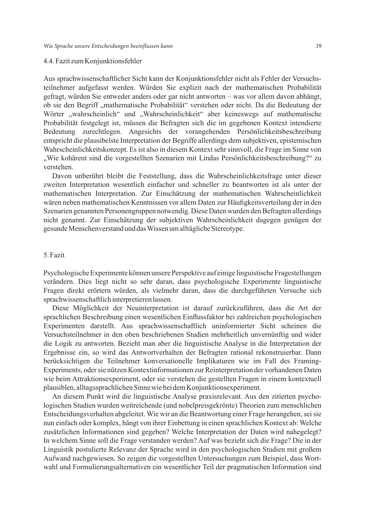### 4.4. Fazit zum Konjunktionsfehler

Aus sprachwissenschaftlicher Sicht kann der Konjunktionsfehler nicht als Fehler der Versuchsteilnehmer aufgefasst werden. Würden Sie explizit nach der mathematischen Probabilität gefragt, würden Sie entweder anders oder gar nicht antworten – was vor allem davon abhängt, ob sie den Begriff "mathematische Probabilität" verstehen oder nicht. Da die Bedeutung der Wörter "wahrscheinlich" und "Wahrscheinlichkeit" aber keineswegs auf mathematische Probabilität festgelegt ist, müssen die Befragten sich die im gegebenen Kontext intendierte Bedeutung zurechtlegen. Angesichts der vorangehenden Persönlichkeitsbeschreibung entspricht die plausibelste Interpretation der Begriffe allerdings dem subjektiven, epistemischen Wahrscheinlichkeitskonzept. Es ist also in diesem Kontext sehr sinnvoll, die Frage im Sinne von "Wie kohärent sind die vorgestellten Szenarien mit Lindas Persönlichkeitsbeschreibung?" zu verstehen.

Davon unberührt bleibt die Feststellung, dass die Wahrscheinlichkeitsfrage unter dieser zweiten Interpretation wesentlich einfacher und schneller zu beantworten ist als unter der mathematischen Interpretation. Zur Einschätzung der mathematischen Wahrscheinlichkeit wären neben mathematischen Kenntnissen vor allem Daten zur Häufigkeitsverteilung der in den Szenarien genannten Personengruppen notwendig. Diese Daten wurden den Befragten allerdings nicht genannt. Zur Einschätzung der subjektiven Wahrscheinlichkeit dagegen genügen der gesunde Menschenverstand und das Wissen um alltägliche Stereotype.

#### 5. Fazit

Psychologische Experimente können unsere Perspektive auf einige linguistische Fragestellungen verändern. Dies liegt nicht so sehr daran, dass psychologische Experimente linguistische Fragen direkt erörtern würden, als vielmehr daran, dass die durchgeführten Versuche sich sprachwissenschaftlich interpretieren lassen.

Diese Möglichkeit der Neuinterpretation ist darauf zurückzuführen, dass die Art der sprachlichen Beschreibung einen wesentlichen Einflussfaktor bei zahlreichen psychologischen Experimenten darstellt. Aus sprachwissenschaftlich uninformierter Sicht scheinen die Versuchsteilnehmer in den oben beschriebenen Studien mehrheitlich unvernünftig und wider die Logik zu antworten. Bezieht man aber die linguistische Analyse in die Interpretation der Ergebnisse ein, so wird das Antwortverhalten der Befragten rational rekonstruierbar. Dann berücksichtigen die Teilnehmer konversationelle Implikaturen wie im Fall des Framing-Experiments, oder sie nützen Kontextinformationen zur Reinterpretation der vorhandenen Daten wie beim Attraktionsexperiment, oder sie verstehen die gestellten Fragen in einem kontextuell plausiblen, alltagssprachlichen Sinne wie bei dem Konjunktionsexperiment.

An diesem Punkt wird die linguistische Analyse praxisrelevant. Aus den zitierten psychologischen Studien wurden weitreichende (und nobelpreisgekrönte) Theorien zum menschlichen Entscheidungsverhalten abgeleitet. Wie wir an die Beantwortung einer Frage herangehen, sei sie nun einfach oder komplex, hängt von ihrer Einbettung in einen sprachlichen Kontext ab: Welche zusätzlichen Informationen sind gegeben? Welche Interpretation der Daten wird nahegelegt? In welchem Sinne soll die Frage verstanden werden? Auf was bezieht sich die Frage? Die in der Linguistik postulierte Relevanz der Sprache wird in den psychologischen Studien mit großem Aufwand nachgewiesen. So zeigen die vorgestellten Untersuchungen zum Beispiel, dass Wortwahl und Formulierungsalternativen ein wesentlicher Teil der pragmatischen Information sind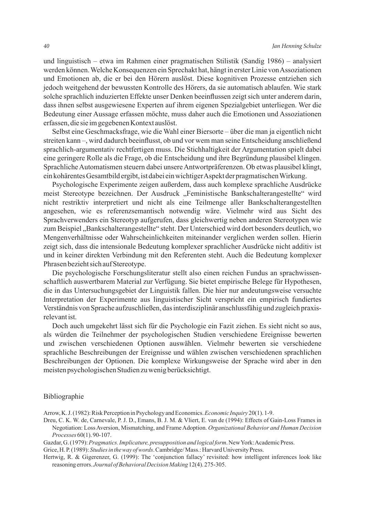und linguistisch – etwa im Rahmen einer pragmatischen Stilistik (Sandig 1986) – analysiert werden können. Welche Konsequenzen ein Sprechakt hat, hängt in erster Linie von Assoziationen und Emotionen ab, die er bei den Hörern auslöst. Diese kognitiven Prozesse entziehen sich jedoch weitgehend der bewussten Kontrolle des Hörers, da sie automatisch ablaufen. Wie stark solche sprachlich induzierten Effekte unser Denken beeinflussen zeigt sich unter anderem darin, dass ihnen selbst ausgewiesene Experten auf ihrem eigenen Spezialgebiet unterliegen. Wer die Bedeutung einer Aussage erfassen möchte, muss daher auch die Emotionen und Assoziationen erfassen, die sie im gegebenen Kontext auslöst.

Selbst eine Geschmacksfrage, wie die Wahl einer Biersorte – über die man ja eigentlich nicht streiten kann –, wird dadurch beeinflusst, ob und vor wem man seine Entscheidung anschließend sprachlich-argumentativ rechtfertigen muss. Die Stichhaltigkeit der Argumentation spielt dabei eine geringere Rolle als die Frage, ob die Entscheidung und ihre Begründung plausibel klingen. Sprachliche Automatismen steuern dabei unsere Antwortpräferenzen. Ob etwas plausibel klingt, ein kohärentes Gesamtbild ergibt, ist dabei ein wichtiger Aspekt der pragmatischen Wirkung.

Psychologische Experimente zeigen außerdem, dass auch komplexe sprachliche Ausdrücke meist Stereotype bezeichnen. Der Ausdruck "Feministische Bankschalterangestellte" wird nicht restriktiv interpretiert und nicht als eine Teilmenge aller Bankschalterangestellten angesehen, wie es referenzsemantisch notwendig wäre. Vielmehr wird aus Sicht des Sprachverwenders ein Stereotyp aufgerufen, dass gleichwertig neben anderen Stereotypen wie zum Beispiel "Bankschalterangestellte" steht. Der Unterschied wird dort besonders deutlich, wo Mengenverhältnisse oder Wahrscheinlichkeiten miteinander verglichen werden sollen. Hierin zeigt sich, dass die intensionale Bedeutung komplexer sprachlicher Ausdrücke nicht additiv ist und in keiner direkten Verbindung mit den Referenten steht. Auch die Bedeutung komplexer Phrasen bezieht sich auf Stereotype.

Die psychologische Forschungsliteratur stellt also einen reichen Fundus an sprachwissenschaftlich auswertbarem Material zur Verfügung. Sie bietet empirische Belege für Hypothesen, die in das Untersuchungsgebiet der Linguistik fallen. Die hier nur andeutungsweise versuchte Interpretation der Experimente aus linguistischer Sicht verspricht ein empirisch fundiertes Verständnis von Sprache aufzuschließen, das interdisziplinär anschlussfähig und zugleich praxisrelevant ist.

Doch auch umgekehrt lässt sich für die Psychologie ein Fazit ziehen. Es sieht nicht so aus, als würden die Teilnehmer der psychologischen Studien verschiedene Ereignisse bewerten und zwischen verschiedenen Optionen auswählen. Vielmehr bewerten sie verschiedene sprachliche Beschreibungen der Ereignisse und wählen zwischen verschiedenen sprachlichen Beschreibungen der Optionen. Die komplexe Wirkungsweise der Sprache wird aber in den meisten psychologischen Studien zu wenig berücksichtigt.

#### Bibliographie

Arrow, K. J. (1982): Risk Perception in Psychology and Economics. *Economic Inquiry* 20(1). 1-9.

Dreu, C. K. W. de, Carnevale, P. J. D., Emans, B. J. M. & Vliert, E. van de (1994): Effects of Gain-Loss Frames in Negotiation: Loss Aversion, Mismatching, and Frame Adoption. *Organizational Behavior and Human Decision Processes* 60(1). 90-107.

Gazdar, G. (1979): *Pragmatics. Implicature, presupposition and logical form*. New York: Academic Press.

Grice, H. P. (1989): *Studies in the way of words*. Cambridge/ Mass.: Harvard University Press.

Hertwig, R. & Gigerenzer, G. (1999): The 'conjunction fallacy' revisited: how intelligent inferences look like reasoning errors. *Journal of Behavioral Decision Making* 12(4). 275-305.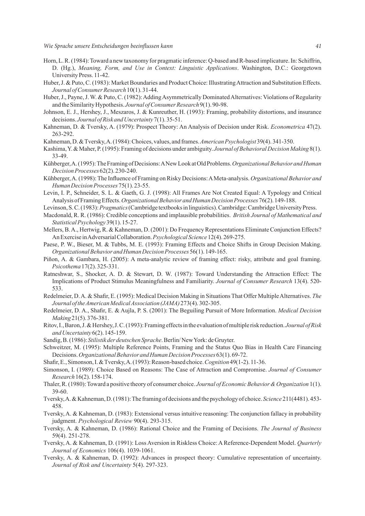- Horn, L. R. (1984): Toward a new taxonomy for pragmatic inference: Q-based and R-based implicature. In: Schiffrin, D. (Hg.), *Meaning, Form, and Use in Context: Linguistic Applications*. Washington, D.C.: Georgetown University Press. 11-42.
- Huber, J. & Puto, C. (1983): Market Boundaries and Product Choice: Illustrating Attraction and Substitution Effects. *Journal of Consumer Research* 10(1). 31-44.
- Huber, J., Payne, J. W. & Puto, C. (1982): Adding Asymmetrically Dominated Alternatives: Violations of Regularity and the Similarity Hypothesis. *Journal of Consumer Research* 9(1). 90-98.
- Johnson, E. J., Hershey, J., Meszaros, J. & Kunreuther, H. (1993): Framing, probability distortions, and insurance decisions. *Journal of Risk and Uncertainty* 7(1). 35-51.
- Kahneman, D. & Tversky, A. (1979): Prospect Theory: An Analysis of Decision under Risk. *Econometrica* 47(2). 263-292.
- Kahneman, D. & Tversky, A. (1984): Choices, values, and frames. *American Psychologist* 39(4). 341-350.
- Kashima, Y. & Maher, P. (1995): Framing of decisions under ambiguity. *Journal of Behavioral Decision Making* 8(1). 33-49.
- Kühberger, A. (1995): The Framing of Decisions: A New Look at Old Problems. *Organizational Behavior and Human Decision Processes* 62(2). 230-240.
- Kühberger, A. (1998): The Influence of Framing on Risky Decisions: A Meta-analysis. *Organizational Behavior and Human Decision Processes* 75(1). 23-55.
- Levin, I. P., Schneider, S. L. & Gaeth, G. J. (1998): All Frames Are Not Created Equal: A Typology and Critical Analysis of Framing Effects. *Organizational Behavior and Human Decision Processes* 76(2). 149-188.
- Levinson, S. C. (1983): *Pragmatics* (Cambridge textbooks in linguistics). Cambridge: Cambridge University Press.
- Macdonald, R. R. (1986): Credible conceptions and implausible probabilities. *British Journal of Mathematical and Statistical Psychology* 39(1). 15-27.
- Mellers, B. A., Hertwig, R. & Kahneman, D. (2001): Do Frequency Representations Eliminate Conjunction Effects? An Exercise in Adversarial Collaboration. *Psychological Science* 12(4). 269-275.
- Paese, P. W., Bieser, M. & Tubbs, M. E. (1993): Framing Effects and Choice Shifts in Group Decision Making. *Organizational Behavior and Human Decision Processes* 56(1). 149-165.
- Piñon, A. & Gambara, H. (2005): A meta-analytic review of framing effect: risky, attribute and goal framing. *Psicothema* 17(2). 325-331.
- Ratneshwar, S., Shocker, A. D. & Stewart, D. W. (1987): Toward Understanding the Attraction Effect: The Implications of Product Stimulus Meaningfulness and Familiarity. *Journal of Consumer Research* 13(4). 520- 533.
- Redelmeier, D. A. & Shafir, E. (1995): Medical Decision Making in Situations That Offer Multiple Alternatives. *The Journal of the American Medical Association (JAMA)* 273(4). 302-305.
- Redelmeier, D. A., Shafir, E. & Aujla, P. S. (2001): The Beguiling Pursuit of More Information. *Medical Decision Making* 21(5). 376-381.
- Ritov, I., Baron, J. & Hershey, J. C. (1993): Framing effects in the evaluation of multiple risk reduction. *Journal of Risk and Uncertainty* 6(2). 145-159.
- Sandig, B. (1986): *Stilistik der deutschen Sprache*. Berlin/ New York: de Gruyter.
- Schweitzer, M. (1995): Multiple Reference Points, Framing and the Status Quo Bias in Health Care Financing Decisions. *Organizational Behavior and Human Decision Processes* 63(1). 69-72.
- Shafir, E., Simonson, I. & Tversky, A. (1993): Reason-based choice. *Cognition* 49(1-2). 11-36.
- Simonson, I. (1989): Choice Based on Reasons: The Case of Attraction and Compromise. *Journal of Consumer Research* 16(2). 158-174.
- Thaler, R. (1980): Toward a positive theory of consumer choice. *Journal of Economic Behavior & Organization* 1(1). 39-60.
- Tversky, A. & Kahneman, D. (1981): The framing of decisions and the psychology of choice. *Science* 211(4481). 453- 458.
- Tversky, A. & Kahneman, D. (1983): Extensional versus intuitive reasoning: The conjunction fallacy in probability judgment. *Psychological Review* 90(4). 293-315.
- Tversky, A. & Kahneman, D. (1986): Rational Choice and the Framing of Decisions. *The Journal of Business*  59(4). 251-278.
- Tversky, A. & Kahneman, D. (1991): Loss Aversion in Riskless Choice: A Reference-Dependent Model. *Quarterly Journal of Economics* 106(4). 1039-1061.
- Tversky, A. & Kahneman, D. (1992): Advances in prospect theory: Cumulative representation of uncertainty. *Journal of Risk and Uncertainty* 5(4). 297-323.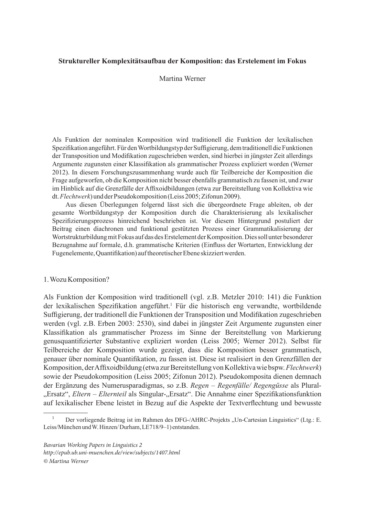# **Struktureller Komplexitätsaufbau der Komposition: das Erstelement im Fokus**

# Martina Werner

Als Funktion der nominalen Komposition wird traditionell die Funktion der lexikalischen Spezifikation angeführt. Für den Wortbildungstyp der Suffigierung, dem traditionell die Funktionen der Transposition und Modifikation zugeschrieben werden, sind hierbei in jüngster Zeit allerdings Argumente zugunsten einer Klassifikation als grammatischer Prozess expliziert worden (Werner 2012). In diesem Forschungszusammenhang wurde auch für Teilbereiche der Komposition die Frage aufgeworfen, ob die Komposition nicht besser ebenfalls grammatisch zu fassen ist, und zwar im Hinblick auf die Grenzfälle der Affixoidbildungen (etwa zur Bereitstellung von Kollektiva wie dt. *Flechtwerk*) und der Pseudokomposition (Leiss 2005; Zifonun 2009).

Aus diesen Überlegungen folgernd lässt sich die übergeordnete Frage ableiten, ob der gesamte Wortbildungstyp der Komposition durch die Charakterisierung als lexikalischer Spezifizierungsprozess hinreichend beschrieben ist. Vor diesem Hintergrund postuliert der Beitrag einen diachronen und funktional gestützten Prozess einer Grammatikalisierung der Wortstrukturbildung mit Fokus auf das des Erstelement der Komposition. Dies soll unter besonderer Bezugnahme auf formale, d.h. grammatische Kriterien (Einfluss der Wortarten, Entwicklung der Fugenelemente, Quantifikation) auf theoretischer Ebene skizziert werden.

# 1. Wozu Komposition?

Als Funktion der Komposition wird traditionell (vgl. z.B. Metzler 2010: 141) die Funktion der lexikalischen Spezifikation angeführt.<sup>1</sup> Für die historisch eng verwandte, wortbildende Suffigierung, der traditionell die Funktionen der Transposition und Modifikation zugeschrieben werden (vgl. z.B. Erben 2003: 2530), sind dabei in jüngster Zeit Argumente zugunsten einer Klassifikation als grammatischer Prozess im Sinne der Bereitstellung von Markierung genusquantifizierter Substantive expliziert worden (Leiss 2005; Werner 2012). Selbst für Teilbereiche der Komposition wurde gezeigt, dass die Komposition besser grammatisch, genauer über nominale Quantifikation, zu fassen ist. Diese ist realisiert in den Grenzfällen der Komposition, der Affixoidbildung (etwa zur Bereitstellung von Kollektiva wie bspw. *Flechtwerk*) sowie der Pseudokomposition (Leiss 2005; Zifonun 2012). Pseudokomposita dienen demnach der Ergänzung des Numerusparadigmas, so z.B. *Regen – Regenfälle/ Regengüsse* als Plural- "Ersatz", *Eltern – Elternteil* als Singular-"Ersatz". Die Annahme einer Spezifikationsfunktion auf lexikalischer Ebene leistet in Bezug auf die Aspekte der Textverflechtung und bewusste

*Bavarian Working Papers in Linguistics 2 http://epub.ub.uni-muenchen.de/view/subjects/1407.html © Martina Werner*

<sup>&</sup>lt;sup>1</sup> Der vorliegende Beitrag ist im Rahmen des DFG-/AHRC-Projekts "Un-Cartesian Linguistics" (Ltg.: E. Leiss/München und W. Hinzen/ Durham, LE718/9–1) entstanden.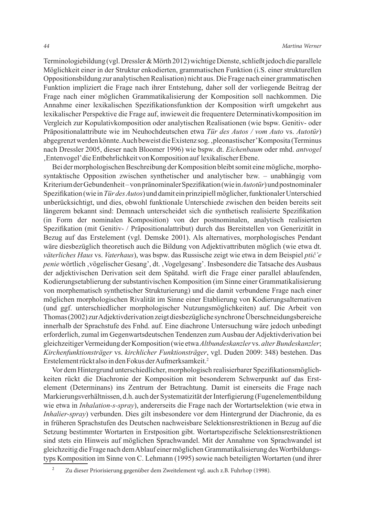Terminologiebildung (vgl. Dressler & Mörth 2012) wichtige Dienste, schließt jedoch die parallele Möglichkeit einer in der Struktur enkodierten, grammatischen Funktion (i.S. einer strukturellen Oppositionsbildung zur analytischen Realisation) nicht aus. Die Frage nach einer grammatischen Funktion impliziert die Frage nach ihrer Entstehung, daher soll der vorliegende Beitrag der Frage nach einer möglichen Grammatikalisierung der Komposition soll nachkommen. Die Annahme einer lexikalischen Spezifikationsfunktion der Komposition wirft umgekehrt aus lexikalischer Perspektive die Frage auf, inwieweit die frequentere Determinativkomposition im Vergleich zur Kopulativkomposition oder analytischen Realisationen (wie bspw. Genitiv- oder Präpositionalattribute wie im Neuhochdeutschen etwa *Tür des Autos / vom Auto* vs. *Autotür*) abgegrenzt werden könnte. Auch beweist die Existenz sog. 'pleonastischer' Komposita (Terminus nach Dressler 2005, dieser nach Bloomer 1996) wie bspw. dt. *Eichenbaum* oder mhd. *antvogel*  'Entenvogel' die Entbehrlichkeit von Komposition auf lexikalischer Ebene.

Bei der morphologischen Beschreibung der Komposition bleibt somit eine mögliche, morphosyntaktische Opposition zwischen synthetischer und analytischer bzw. – unabhängig vom Kriterium der Gebundenheit – von pränominaler Spezifikation (wie in *Autotür*) und postnominaler Spezifikation (wie in *Tür des Autos*) und damit ein prinzipiell möglicher, funktionaler Unterschied unberücksichtigt, und dies, obwohl funktionale Unterschiede zwischen den beiden bereits seit längerem bekannt sind: Demnach unterscheidet sich die synthetisch realisierte Spezifikation (in Form der nominalen Komposition) von der postnominalen, analytisch realisierten Spezifikation (mit Genitiv- / Präpositionalattribut) durch das Bereitstellen von Generizität in Bezug auf das Erstelement (vgl. Demske 2001). Als alternatives, morphologisches Pendant wäre diesbezüglich theoretisch auch die Bildung von Adjektivattributen möglich (wie etwa dt. *väterliches Haus* vs. *Vaterhaus*), was bspw. das Russische zeigt wie etwa in dem Beispiel *ptič'e penie* wörtlich , vögelischer Gesang', dt. , Vogelgesang'. Insbesondere die Tatsache des Ausbaus der adjektivischen Derivation seit dem Spätahd. wirft die Frage einer parallel ablaufenden, Kodierungsetablierung der substantivischen Komposition (im Sinne einer Grammatikalisierung von morphematisch synthetischer Strukturierung) und die damit verbundene Frage nach einer möglichen morphologischen Rivalität im Sinne einer Etablierung von Kodierungsalternativen (und ggf. unterschiedlicher morphologischer Nutzungsmöglichkeiten) auf. Die Arbeit von Thomas (2002) zur Adjektivderivation zeigt diesbezügliche synchrone Überschneidungsbereiche innerhalb der Sprachstufe des Fnhd. auf. Eine diachrone Untersuchung wäre jedoch unbedingt erforderlich, zumal im Gegenwartsdeutschen Tendenzen zum Ausbau der Adjektivderivation bei gleichzeitiger Vermeidung der Komposition (wie etwa *Altbundeskanzler* vs. *alter Bundeskanzler*; *Kirchenfunktionsträger* vs. *kirchlicher Funktionsträger*, vgl. Duden 2009: 348) bestehen. Das Erstelement rückt also in den Fokus der Aufmerksamkeit.2

Vor dem Hintergrund unterschiedlicher, morphologisch realisierbarer Spezifikationsmöglichkeiten rückt die Diachronie der Komposition mit besonderem Schwerpunkt auf das Erstelement (Determinans) ins Zentrum der Betrachtung. Damit ist einerseits die Frage nach Markierungsverhältnissen, d.h. auch der Systematizität der Interfigierung (Fugenelementbildung wie etwa in *Inhalation-s-spray*), andererseits die Frage nach der Wortartselektion (wie etwa in *Inhalier-spray*) verbunden. Dies gilt insbesondere vor dem Hintergrund der Diachronie, da es in früheren Sprachstufen des Deutschen nachweisbare Selektionsrestriktionen in Bezug auf die Setzung bestimmter Wortarten in Erstposition gibt. Wortartspezifische Selektionsrestriktionen sind stets ein Hinweis auf möglichen Sprachwandel. Mit der Annahme von Sprachwandel ist gleichzeitig die Frage nach dem Ablauf einer möglichen Grammatikalisierung des Wortbildungstyps Komposition im Sinne von C. Lehmann (1995) sowie nach beteiligten Wortarten (und ihrer

<sup>2</sup> Zu dieser Priorisierung gegenüber dem Zweitelement vgl. auch z.B. Fuhrhop (1998).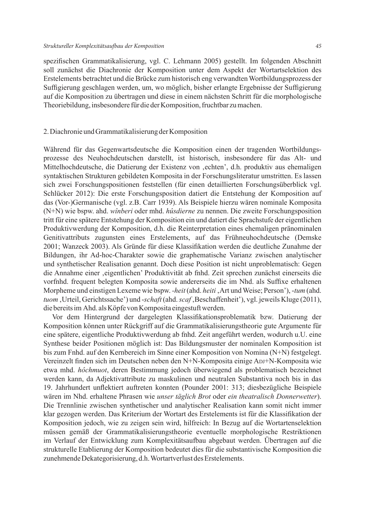spezifischen Grammatikalisierung, vgl. C. Lehmann 2005) gestellt. Im folgenden Abschnitt soll zunächst die Diachronie der Komposition unter dem Aspekt der Wortartselektion des Erstelements betrachtet und die Brücke zum historisch eng verwandten Wortbildungsprozess der Suffigierung geschlagen werden, um, wo möglich, bisher erlangte Ergebnisse der Suffigierung auf die Komposition zu übertragen und diese in einem nächsten Schritt für die morphologische Theoriebildung, insbesondere für die der Komposition, fruchtbar zu machen.

# 2. Diachronie und Grammatikalisierung der Komposition

Während für das Gegenwartsdeutsche die Komposition einen der tragenden Wortbildungsprozesse des Neuhochdeutschen darstellt, ist historisch, insbesondere für das Alt- und Mittelhochdeutsche, die Datierung der Existenz von , echten', d.h. produktiv aus ehemaligen syntaktischen Strukturen gebildeten Komposita in der Forschungsliteratur umstritten. Es lassen sich zwei Forschungspositionen feststellen (für einen detaillierten Forschungsüberblick vgl. Schlücker 2012): Die erste Forschungsposition datiert die Entstehung der Komposition auf das (Vor-)Germanische (vgl. z.B. Carr 1939). Als Beispiele hierzu wären nominale Komposita (N+N) wie bspw. ahd. *wînberi* oder mhd. *hûsdierne* zu nennen. Die zweite Forschungsposition tritt für eine spätere Entstehung der Komposition ein und datiert die Sprachstufe der eigentlichen Produktivwerdung der Komposition, d.h. die Reinterpretation eines ehemaligen pränominalen Genitivattributs zugunsten eines Erstelements, auf das Frühneuhochdeutsche (Demske 2001; Wanzeck 2003). Als Gründe für diese Klassifikation werden die deutliche Zunahme der Bildungen, ihr Ad-hoc-Charakter sowie die graphematische Varianz zwischen analytischer und synthetischer Realisation genannt. Doch diese Position ist nicht unproblematisch: Gegen die Annahme einer 'eigentlichen' Produktivität ab fnhd. Zeit sprechen zunächst einerseits die vorfnhd. frequent belegten Komposita sowie andererseits die im Nhd. als Suffixe erhaltenen Morpheme und einstigen Lexeme wie bspw. *-heit* (ahd. *heiti*, Art und Weise; Person'), -*tum* (ahd. *tuom*, Urteil, Gerichtssache') und -*schaft* (ahd. *scaf*, Beschaffenheit'), vgl. jeweils Kluge (2011), die bereits im Ahd. als Köpfe von Komposita eingestuft werden.

Vor dem Hintergrund der dargelegten Klassifikationsproblematik bzw. Datierung der Komposition können unter Rückgriff auf die Grammatikalisierungstheorie gute Argumente für eine spätere, eigentliche Produktivwerdung ab fnhd. Zeit angeführt werden, wodurch u.U. eine Synthese beider Positionen möglich ist: Das Bildungsmuster der nominalen Komposition ist bis zum Fnhd. auf den Kernbereich im Sinne einer Komposition von Nomina (N+N) festgelegt. Vereinzelt finden sich im Deutschen neben den N+N-Komposita einige ADJ+N-Komposita wie etwa mhd. *hôchmuot*, deren Bestimmung jedoch überwiegend als problematisch bezeichnet werden kann, da Adjektivattribute zu maskulinen und neutralen Substantiva noch bis in das 19. Jahrhundert unflektiert auftreten konnten (Pounder 2001: 313; diesbezügliche Beispiele wären im Nhd. erhaltene Phrasen wie *unser täglich Brot* oder *ein theatralisch Donnerwetter*). Die Trennlinie zwischen synthetischer und analytischer Realisation kann somit nicht immer klar gezogen werden. Das Kriterium der Wortart des Erstelements ist für die Klassifikation der Komposition jedoch, wie zu zeigen sein wird, hilfreich: In Bezug auf die Wortartenselektion müssen gemäß der Grammatikalisierungstheorie eventuelle morphologische Restriktionen im Verlauf der Entwicklung zum Komplexitätsaufbau abgebaut werden. Übertragen auf die strukturelle Etablierung der Komposition bedeutet dies für die substantivische Komposition die zunehmende Dekategorisierung, d.h. Wortartverlust des Erstelements.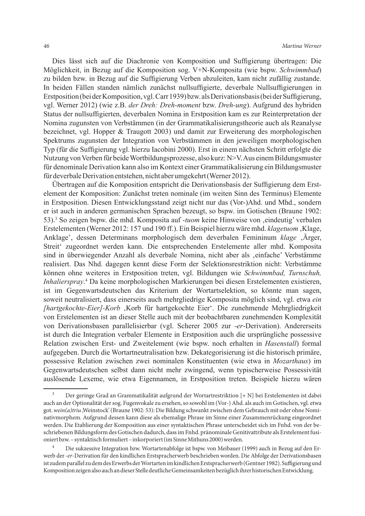Dies lässt sich auf die Diachronie von Komposition und Suffigierung übertragen: Die Möglichkeit, in Bezug auf die Komposition sog. V+N-Komposita (wie bspw. *Schwimmbad*) zu bilden bzw. in Bezug auf die Suffigierung Verben abzuleiten, kam nicht zufällig zustande. In beiden Fällen standen nämlich zunächst nullsuffigierte, deverbale Nullsuffigierungen in Erstposition (bei der Komposition, vgl. Carr 1939) bzw. als Derivationsbasis (bei der Suffigierung, vgl. Werner 2012) (wie z.B. *der Dreh: Dreh-moment* bzw. *Dreh-ung*). Aufgrund des hybriden Status der nullsuffigierten, deverbalen Nomina in Erstposition kam es zur Reinterpretation der Nomina zugunsten von Verbstämmen (in der Grammatikalisierungstheorie auch als Reanalyse bezeichnet, vgl. Hopper & Traugott 2003) und damit zur Erweiterung des morphologischen Spektrums zugunsten der Integration von Verbstämmen in den jeweiligen morphologischen Typ (für die Suffigierung vgl. hierzu Iacobini 2000). Erst in einem nächsten Schritt erfolgte die Nutzung von Verben für beide Wortbildungsprozesse, also kurz: N>V. Aus einem Bildungsmuster für denominale Derivation kann also im Kontext einer Grammatikalisierung ein Bildungsmuster für deverbale Derivation entstehen, nicht aber umgekehrt (Werner 2012).

Übertragen auf die Komposition entspricht die Derivationsbasis der Suffigierung dem Erstelement der Komposition: Zunächst treten nominale (im weiten Sinn des Terminus) Elemente in Erstposition. Diesen Entwicklungsstand zeigt nicht nur das (Vor-)Ahd. und Mhd., sondern er ist auch in anderen germanischen Sprachen bezeugt, so bspw. im Gotischen (Braune 1902: 53).<sup>3</sup> So zeigen bspw. die mhd. Komposita auf *-tuom* keine Hinweise von ,eindeutig' verbalen Erstelementen (Werner 2012: 157 und 190 ff.). Ein Beispiel hierzu wäre mhd. *klagetuom* Klage, Anklage', dessen Determinans morphologisch dem deverbalen Femininum *klage*, Ärger, Streit' zugeordnet werden kann. Die entsprechenden Erstelemente aller mhd. Komposita sind in überwiegender Anzahl als deverbale Nomina, nicht aber als , einfache' Verbstämme realisiert. Das Nhd. dagegen kennt diese Form der Selektionsrestriktion nicht: Verbstämme können ohne weiteres in Erstposition treten, vgl. Bildungen wie *Schwimmbad, Turnschuh, Inhalierspray*. 4 Da keine morphologischen Markierungen bei diesen Erstelementen existieren, ist im Gegenwartsdeutschen das Kriterium der Wortartselektion, so könnte man sagen, soweit neutralisiert, dass einerseits auch mehrgliedrige Komposita möglich sind, vgl. etwa *ein [hartgekochte-Eier]-Korb* 'Korb für hartgekochte Eier'. Die zunehmende Mehrgliedrigkeit von Erstelementen ist an dieser Stelle auch mit der beobachtbaren zunehmenden Komplexität von Derivationsbasen parallelisierbar (vgl. Scherer 2005 zur *-er*-Derivation). Andererseits ist durch die Integration verbaler Elemente in Erstposition auch die ursprüngliche possessive Relation zwischen Erst- und Zweitelement (wie bspw. noch erhalten in *Hasenstall*) formal aufgegeben. Durch die Wortartneutralisation bzw. Dekategorisierung ist die historisch primäre, possessive Relation zwischen zwei nominalen Konstituenten (wie etwa in *Mozarthaus*) im Gegenwartsdeutschen selbst dann nicht mehr zwingend, wenn typischerweise Possessivität auslösende Lexeme, wie etwa Eigennamen, in Erstposition treten. Beispiele hierzu wären

<sup>3</sup> Der geringe Grad an Grammatikalität aufgrund der Wortartrestriktion [+ N] bei Erstelementen ist dabei auch an der Optionalität der sog. Fugenvokale zu ersehen, so sowohl im (Vor-) Ahd. als auch im Gotischen, vgl. etwa got. *wein(a)triu* 'Weinstock' (Braune 1902: 53): Die Bildung schwankt zwischen dem Gebrauch mit oder ohne Nominativmorphem. Aufgrund dessen kann diese als ehemalige Phrase im Sinne einer Zusammenrückung eingeordnet werden. Die Etablierung der Komposition aus einer syntaktischen Phrase unterscheidet sich im Fnhd. von der beschriebenen Bildungsform des Gotischen dadurch, dass im Fnhd. pränominale Genitivattribute als Erstelement fusioniert bzw. – syntaktisch formuliert – inkorporiert (im Sinne Mithuns 2000) werden.

<sup>4</sup> Die sukzessive Integration bzw. Wortartenabfolge ist bspw. von Meibauer (1999) auch in Bezug auf den Erwerb der *-er*-Derivation für den kindlichen Erstspracherwerb beschrieben worden. Die Abfolge der Derivationsbasen ist zudem parallel zu dem des Erwerbs der Wortarten im kindlichen Erstspracherwerb (Gentner 1982). Suffigierung und Komposition zeigen also auch an dieser Stelle deutliche Gemeinsamkeiten bezüglich ihrer historischen Entwicklung.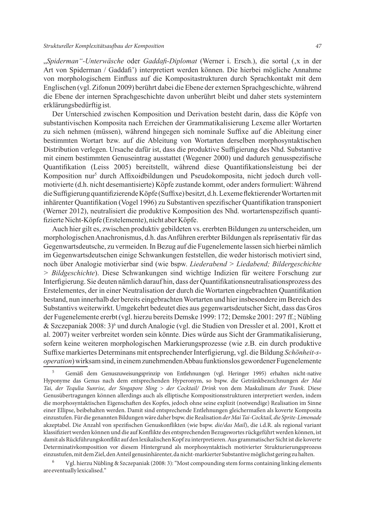"*Spiderman"-Unterwäsche* oder *Gaddafi-Diplomat* (Werner i. Ersch.), die sortal ('x in der Art von Spiderman / Gaddafi') interpretiert werden können. Die hierbei mögliche Annahme von morphologischem Einfluss auf die Kompositastrukturen durch Sprachkontakt mit dem Englischen (vgl. Zifonun 2009) berührt dabei die Ebene der externen Sprachgeschichte, während die Ebene der internen Sprachgeschichte davon unberührt bleibt und daher stets systemintern erklärungsbedürftig ist.

Der Unterschied zwischen Komposition und Derivation besteht darin, dass die Köpfe von substantivischen Komposita nach Erreichen der Grammatikalisierung Lexeme aller Wortarten zu sich nehmen (müssen), während hingegen sich nominale Suffixe auf die Ableitung einer bestimmten Wortart bzw. auf die Ableitung von Wortarten derselben morphosyntaktischen Distribution verlegen. Ursache dafür ist, dass die produktive Suffigierung des Nhd. Substantive mit einem bestimmten Genuseintrag ausstattet (Wegener 2000) und dadurch genusspezifische Quantifikation (Leiss 2005) bereitstellt, während diese Quantifikationsleistung bei der Komposition nur<sup>5</sup> durch Affixoidbildungen und Pseudokomposita, nicht jedoch durch vollmotivierte (d.h. nicht desemantisierte) Köpfe zustande kommt, oder anders formuliert: Während die Suffigierung quantifizierende Köpfe (Suffixe) besitzt, d.h. Lexeme flektierender Wortarten mit inhärenter Quantifikation (Vogel 1996) zu Substantiven spezifischer Quantifikation transponiert (Werner 2012), neutralisiert die produktive Komposition des Nhd. wortartenspezifisch quantifizierte Nicht-Köpfe (Erstelemente), nicht aber Köpfe.

Auch hier gilt es, zwischen produktiv gebildeten vs. ererbten Bildungen zu unterscheiden, um morphologischen Anachronismus, d.h. das Anführen ererbter Bildungen als repräsentativ für das Gegenwartsdeutsche, zu vermeiden. In Bezug auf die Fugenelemente lassen sich hierbei nämlich im Gegenwartsdeutschen einige Schwankungen feststellen, die weder historisch motiviert sind, noch über Analogie motivierbar sind (wie bspw. *Liederabend > Liedabend; Bildergeschichte > Bildgeschichte*). Diese Schwankungen sind wichtige Indizien für weitere Forschung zur Interfigierung. Sie deuten nämlich darauf hin, dass der Quantifikationsneutralisationsprozess des Erstelementes, der in einer Neutralisation der durch die Wortarten eingebrachten Quantifikation bestand, nun innerhalb der bereits eingebrachten Wortarten und hier insbesondere im Bereich des Substantivs weiterwirkt. Umgekehrt bedeutet dies aus gegenwartsdeutscher Sicht, dass das Gros der Fugenelemente ererbt (vgl. hierzu bereits Demske 1999: 172; Demske 2001: 297 ff.; Nübling & Szczepaniak 2008: 3)<sup>6</sup> und durch Analogie (vgl. die Studien von Dressler et al. 2001, Krott et al. 2007) weiter verbreitet worden sein könnte. Dies würde aus Sicht der Grammatikalisierung, sofern keine weiteren morphologischen Markierungsprozesse (wie z.B. ein durch produktive Suffixe markiertes Determinans mit entsprechender Interfigierung, vgl. die Bildung *Schönheit-soperation*) wirksam sind, in einem zunehmenden Abbau funktionslos gewordener Fugenelemente

<sup>5</sup> Gemäß dem Genuszuweisungsprinzip von Entlehnungen (vgl. Heringer 1995) erhalten nicht-native Hyponyme das Genus nach dem entsprechenden Hyperonym, so bspw. die Getränkbezeichnungen *der Mai Tai, der Tequlia Sunrise, der Singapore Sling > der Cocktail/ Drink* von dem Maskulinum *der Trank*. Diese Genusübertragungen können allerdings auch als elliptische Kompositionsstrukturen interpretiert werden, indem die morphosyntaktischen Eigenschaften des Kopfes, jedoch ohne seine explizit (notwendige) Realisation im Sinne einer Ellipse, beibehalten werden. Damit sind entsprechende Entlehnungen gleichermaßen als koverte Komposita einzustufen. Für die genannten Bildungen wäre daher bspw. die Realisation *der Mai Tai-Cocktail, die Sprite-Limonade* akzeptabel. Die Anzahl von spezifischen Genuskonflikten (wie bspw. *die/das Mail*), die i.d.R. als regional variant klassifiziert werden können und die auf Konflikte des entsprechenden Bezugswortes rückgeführt werden können, ist damit als Rückführungskonflikt auf den lexikalischen Kopf zu interpretieren. Aus grammatischer Sicht ist die koverte Determinativkomposition vor diesem Hintergrund als morphosyntaktisch motivierter Strukturierungsprozess einzustufen, mit dem Ziel, den Anteil genusinhärenter, da nicht-markierter Substantive möglichst gering zu halten.

<sup>6</sup> Vgl. hierzu Nübling & Szczepaniak (2008: 3): "Most compounding stem forms containing linking elements are eventually lexicalised."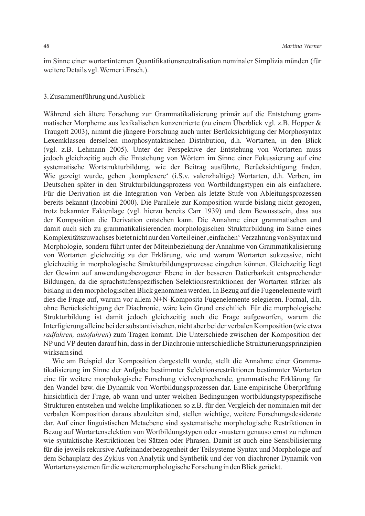im Sinne einer wortartinternen Quantifikationsneutralisation nominaler Simplizia münden (für weitere Details vgl. Werner i.Ersch.).

#### 3. Zusammenführung und Ausblick

Während sich ältere Forschung zur Grammatikalisierung primär auf die Entstehung grammatischer Morpheme aus lexikalischen konzentrierte (zu einem Überblick vgl. z.B. Hopper & Traugott 2003), nimmt die jüngere Forschung auch unter Berücksichtigung der Morphosyntax Lexemklassen derselben morphosyntaktischen Distribution, d.h. Wortarten, in den Blick (vgl. z.B. Lehmann 2005). Unter der Perspektive der Entstehung von Wortarten muss jedoch gleichzeitig auch die Entstehung von Wörtern im Sinne einer Fokussierung auf eine systematische Wortstrukturbildung, wie der Beitrag ausführte, Berücksichtigung finden. Wie gezeigt wurde, gehen , komplexere' (i.S.v. valenzhaltige) Wortarten, d.h. Verben, im Deutschen später in den Strukturbildungsprozess von Wortbildungstypen ein als einfachere. Für die Derivation ist die Integration von Verben als letzte Stufe von Ableitungsprozessen bereits bekannt (Iacobini 2000). Die Parallele zur Komposition wurde bislang nicht gezogen, trotz bekannter Faktenlage (vgl. hierzu bereits Carr 1939) und dem Bewusstsein, dass aus der Komposition die Derivation entstehen kann. Die Annahme einer grammatischen und damit auch sich zu grammatikalisierenden morphologischen Strukturbildung im Sinne eines Komplexitätszuwachses bietet nicht nur den Vorteil einer , einfachen' Verzahnung von Syntax und Morphologie, sondern führt unter der Miteinbeziehung der Annahme von Grammatikalisierung von Wortarten gleichzeitig zu der Erklärung, wie und warum Wortarten sukzessive, nicht gleichzeitig in morphologische Strukturbildungsprozesse eingehen können. Gleichzeitig liegt der Gewinn auf anwendungsbezogener Ebene in der besseren Datierbarkeit entsprechender Bildungen, da die sprachstufenspezifischen Selektionsrestriktionen der Wortarten stärker als bislang in den morphologischen Blick genommen werden. In Bezug auf die Fugenelemente wirft dies die Frage auf, warum vor allem N+N-Komposita Fugenelemente selegieren. Formal, d.h. ohne Berücksichtigung der Diachronie, wäre kein Grund ersichtlich. Für die morphologische Strukturbildung ist damit jedoch gleichzeitig auch die Frage aufgeworfen, warum die Interfigierung alleine bei der substantivischen, nicht aber bei der verbalen Komposition (wie etwa *radfahren, autofahren*) zum Tragen kommt. Die Unterschiede zwischen der Komposition der NP und VP deuten darauf hin, dass in der Diachronie unterschiedliche Strukturierungsprinzipien wirksam sind.

Wie am Beispiel der Komposition dargestellt wurde, stellt die Annahme einer Grammatikalisierung im Sinne der Aufgabe bestimmter Selektionsrestriktionen bestimmter Wortarten eine für weitere morphologische Forschung vielversprechende, grammatische Erklärung für den Wandel bzw. die Dynamik von Wortbildungsprozessen dar. Eine empirische Überprüfung hinsichtlich der Frage, ab wann und unter welchen Bedingungen wortbildungstypspezifische Strukturen entstehen und welche Implikationen so z.B. für den Vergleich der nominalen mit der verbalen Komposition daraus abzuleiten sind, stellen wichtige, weitere Forschungsdesiderate dar. Auf einer linguistischen Metaebene sind systematische morphologische Restriktionen in Bezug auf Wortartenselektion von Wortbildungstypen oder -mustern genauso ernst zu nehmen wie syntaktische Restriktionen bei Sätzen oder Phrasen. Damit ist auch eine Sensibilisierung für die jeweils rekursive Aufeinanderbezogenheit der Teilsysteme Syntax und Morphologie auf dem Schauplatz des Zyklus von Analytik und Synthetik und der von diachroner Dynamik von Wortartensystemen für die weitere morphologische Forschung in den Blick gerückt.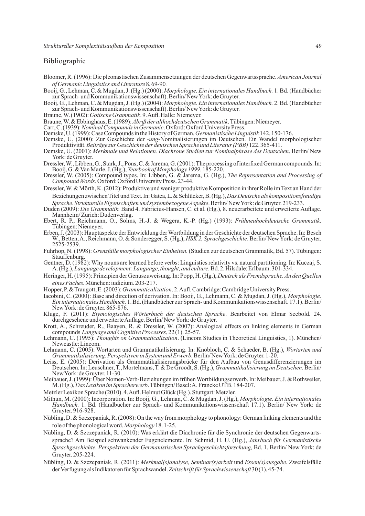### Bibliographie

- Bloomer, R. (1996): Die pleonastischen Zusammensetzungen der deutschen Gegenwartssprache. *American Journal of Germanic Linguistics and Literature* 8*.* 69-90*.*
- Booij, G., Lehman, C. & Mugdan, J. (Hg.) (2000): *Morphologie. Ein internationales Handbuch.* 1. Bd. (Handbücher zur Sprach- und Kommunikationswissenschaft). Berlin/ New York: de Gruyter.
- Booij, G., Lehman, C. & Mugdan, J. (Hg.) (2004): *Morphologie. Ein internationales Handbuch.* 2. Bd. (Handbücher zur Sprach- und Kommunikationswissenschaft). Berlin/ New York: de Gruyter.
- Braune, W. (1902): *Gotische Grammatik*. 9. Aufl. Halle: Niemeyer.
- Braune, W. & Ebbinghaus, E. (1989): *Abriß der althochdeutschen Grammatik*. Tübingen: Niemeyer.
- Carr, C. (1939): *Nominal Compounds in Germanic*. Oxford: Oxford University Press.
- Demske, U. (1999): Case Compounds in the History of German. *Germanistische Linguistik* 142. 150-176.
- Demske, U. (2000): Zur Geschichte der *-ung*-Nominalisierungen im Deutschen. Ein Wandel morphologischer Produktivität. *Beiträge zur Geschichte der deutschen Sprache und Literatur (PBB)* 122. 365-411.
- Demske, U. (2001): *Merkmale und Relationen. Diachrone Studien zur Nominalphrase des Deutschen*. Berlin/ New York: de Gruyter.
- Dressler, W., Libben, G., Stark, J., Pons, C. & Jarema, G. (2001): The processing of interfixed German compounds. In: Booij, G. & Van Marle, J. (Hg.), *Yearbook of Morphology 1999*. 185-220.
- Dressler, W. (2005): Compound types. In: Libben, G. & Jarema, G. (Hg.), *The Representation and Processing of Compound Words.*Oxford: Oxford University Press. 23-44.
- Dressler, W. & Mörth, K. (2012): Produktive und weniger produktive Komposition in ihrer Rolle im Text an Hand der Beziehungen zwischen Titel und Text. In: Gatea, L. & Schlücker, B. (Hg.), *Das Deutsche als kompositionsfreudige Sprache. Strukturelle Eigenschaften und systembezogene Aspekte*. Berlin/ New York: de Gruyter. 219-233.
- Duden (2009): *Die Grammatik.* Band 4. Fabricius-Hansen, C. et al. (Hg.), 8. neuerarbeitete und erweiterte Auflage. Mannheim/ Zürich: Dudenverlag.
- Ebert, R. P., Reichmann, O., Solms, H.-J. & Wegera, K.-P. (Hg.) (1993): *Frühneuhochdeutsche Grammatik*. Tübingen: Niemeyer.
- Erben, J. (2003): Hauptaspekte der Entwicklung der Wortbildung in der Geschichte der deutschen Sprache. In: Besch W., Betten, A., Reichmann, O. & Sonderegger, S. (Hg.), *HSK 2, Sprachgeschichte*. Berlin/ New York: de Gruyter. 2525-2539.
- Fuhrhop, N. (1998): *Grenzfälle morphologischer Einheiten.* (Studien zur deutschen Grammatik, Bd. 57). Tübingen: **Stauffenburg**
- Gentner, D. (1982): Why nouns are learned before verbs: Linguistics relativity vs. natural partitioning. In: Kuczaj, S. A. (Hg.), *Language development: Language, thought, and culture.* Bd. 2. Hilsdale: Erlbaum. 301-334.
- Heringer, H. (1995): Prinzipien der Genuszuweisung. In: Popp, H. (Hg.), *Deutsch als Fremdsprache. An den Quellen eines Faches.* München: iudicium. 203-217.
- Hopper, P. & Traugott, E. (2003): *Grammaticalization*. 2. Aufl. Cambridge: Cambridge University Press.
- Iacobini, C. (2000): Base and direction of derivation. In: Booij, G., Lehmann, C. & Mugdan, J. (Hg.), *Morphologie. Ein internationales Handbuch.* 1. Bd. (Handbücher zur Sprach- und Kommunikationswissenschaft. 17.1). Berlin/ New York: de Gruyter. 865-876.
- Kluge, F. (2011): *Etymologisches Wörterbuch der deutschen Sprache*. Bearbeitet von Elmar Seebold. 24. durchgesehene und erweiterte Auflage. Berlin/ New York: de Gruyter.
- Krott, A., Schreuder, R., Baayen, R. & Dressler, W. (2007): Analogical effects on linking elements in German compounds *Language and Cognitive Processes*, 22 (1). 25-57.
- Lehmann, C. (1995): *Thoughts on Grammaticalization*. (Lincom Studies in Theoretical Linguistics, 1). München/ Newcastle: Lincom.
- Lehmann, C. (2005): Wortarten und Grammatikalisierung. In: Knobloch, C. & Schaeder, B. (Hg.), *Wortarten und Grammatikalisierung. Perspektiven in System und Erwerb.* Berlin/ New York: de Gruyter. 1-20.
- Leiss, E. (2005): Derivation als Grammatikalisierungsbrücke für den Aufbau von Genusdifferenzierungen im Deutschen. In: Leuschner, T., Mortelmans, T. & De Groodt, S. (Hg.), *Grammatikalisierung im Deutschen.* Berlin/ New York: de Gruyter. 11-30.
- Meibauer, J. (1999): Über Nomen-Verb-Beziehungen im frühen Wortbildungserwerb. In: Meibauer, J. & Rothweiler, M. (Hg.), *Das Lexikon im Spracherwerb*. Tübingen/ Basel: A. Francke UTB. 184-207.
- Metzler Lexikon Sprache (2010). 4. Aufl. Helmut Glück (Hg.). Stuttgart: Metzler.
- Mithun, M. (2000): Incorporation. In: Booij, G., Lehman, C. & Mugdan, J. (Hg.), *Morphologie. Ein internationales Handbuch.* 1. Bd. (Handbücher zur Sprach- und Kommunikationswissenschaft 17.1). Berlin/ New York: de Gruyter. 916-928.
- Nübling, D. & Szczepaniak, R. (2008): On the way from morphology to phonology: German linking elements and the role of the phonological word. *Morphology* 18. 1-25.
- Nübling, D. & Szczepaniak, R. (2010): Was erklärt die Diachronie für die Synchronie der deutschen Gegenwartssprache? Am Beispiel schwankender Fugenelemente. In: Schmid, H. U. (Hg.), *Jahrbuch für Germanistische Sprachgeschichte. Perspektiven der Germanistischen Sprachgeschichtsforschung,* Bd. 1. Berlin/ New York: de Gruyter. 205-224.
- Nübling, D. & Szczepaniak, R. (2011): *Merkmal(s)analyse, Seminar(s)arbeit* und *Essen(s)ausgabe.* Zweifelsfälle der Verfugung als Indikatoren für Sprachwandel. *Zeitschrift für Sprachwissenschaft* 30 (1). 45-74.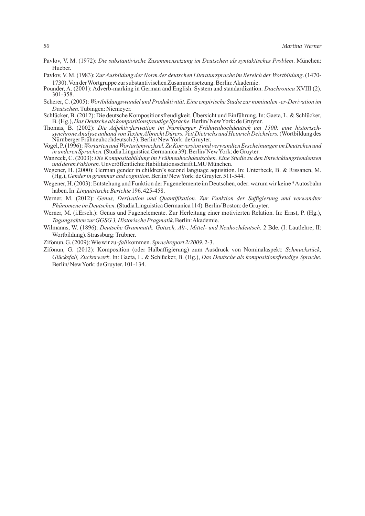- Pavlov, V. M. (1972): *Die substantivische Zusammensetzung im Deutschen als syntaktisches Problem*. München: Hueber.
- Pavlov, V. M. (1983): *Zur Ausbildung der Norm der deutschen Literatursprache im Bereich der Wortbildung*. (1470- 1730). Von der Wortgruppe zur substantivischen Zusammensetzung. Berlin: Akademie.
- Pounder, A. (2001): Adverb-marking in German and English. System and standardization. *Diachronica* XVIII (2). 301-358.
- Scherer, C. (2005): *Wortbildungswandel und Produktivität. Eine empirische Studie zur nominalen -er-Derivation im Deutschen.* Tübingen: Niemeyer.
- Schlücker, B. (2012): Die deutsche Kompositionsfreudigkeit. Übersicht und Einführung. In: Gaeta, L. & Schlücker, B. (Hg.), *Das Deutsche als kompositionsfreudige Sprache.* Berlin/ New York: de Gruyter.
- Thomas, B. (2002): *Die Adjektivderivation im Nürnberger Frühneuhochdeutsch um 1500: eine historischsynchrone Analyse anhand von Texten Albrecht Dürers, Veit Dietrichs und Heinrich Deichslers.* (Wortbildung des Nürnberger Frühneuhochdeutsch 3). Berlin/ New York: de Gruyter.
- Vogel, P. (1996): *Wortarten und Wortartenwechsel. Zu Konversion und verwandten Erscheinungen im Deutschen und in anderen Sprachen.* (Studia Linguistica Germanica 39). Berlin/ New York: de Gruyter.
- Wanzeck, C. (2003): *Die Kompositabildung im Frühneuhochdeutschen. Eine Studie zu den Entwicklungstendenzen und deren Faktoren.* Unveröffentlichte Habilitationsschrift LMU München.
- Wegener, H. (2000): German gender in children's second language aquisition. In: Unterbeck, B. & Rissanen, M. (Hg.), *Gender in grammar and cognition*. Berlin/ New York: de Gruyter. 511-544.
- Wegener, H. (2003): Entstehung und Funktion der Fugenelemente im Deutschen, oder: warum wir keine \*Autosbahn haben. In: *Linguistische Berichte* 196. 425-458.
- Werner, M. (2012): *Genus, Derivation und Quantifikation. Zur Funktion der Suffigierung und verwandter Phänomene im Deutschen.* (Studia Linguistica Germanica 114). Berlin/ Boston: de Gruyter.
- Werner, M. (i.Ersch.): Genus und Fugenelemente. Zur Herleitung einer motivierten Relation. In: Ernst, P. (Hg.), *Tagungsakten zur GGSG 3, Historische Pragmatik*. Berlin: Akademie.
- Wilmanns, W. (1896): *Deutsche Grammatik. Gotisch, Alt-, Mittel- und Neuhochdeutsch.* 2 Bde. (I: Lautlehre; II: Wortbildung). Strassburg: Trübner.
- Zifonun, G. (2009): Wie wir zu *-fall* kommen.*Sprachreport 2/2009.* 2-3.
- Zifonun, G. (2012): Komposition (oder Halbaffigierung) zum Ausdruck von Nominalaspekt: *Schmuckstück, Glücksfall, Zuckerwerk*. In: Gaeta, L. & Schlücker, B. (Hg.), *Das Deutsche als kompositionsfreudige Sprache.* Berlin/ New York: de Gruyter. 101-134.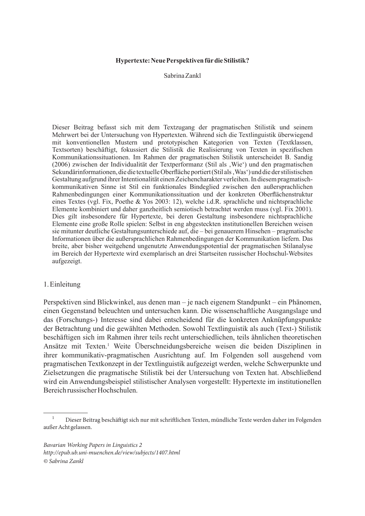# **Hypertexte: Neue Perspektiven für die Stilistik?**

Sabrina Zankl

Dieser Beitrag befasst sich mit dem Textzugang der pragmatischen Stilistik und seinem Mehrwert bei der Untersuchung von Hypertexten. Während sich die Textlinguistik überwiegend mit konventionellen Mustern und prototypischen Kategorien von Texten (Textklassen, Textsorten) beschäftigt, fokussiert die Stilistik die Realisierung von Texten in spezifischen Kommunikationssituationen. Im Rahmen der pragmatischen Stilistik unterscheidet B. Sandig (2006) zwischen der Individualität der Textperformanz (Stil als 'Wie') und den pragmatischen Sekundärinformationen, die die textuelle Oberfläche portiert (Stil als , Was') und die der stilistischen Gestaltung aufgrund ihrer Intentionalität einen Zeichencharakter verleihen. In diesem pragmatischkommunikativen Sinne ist Stil ein funktionales Bindeglied zwischen den außersprachlichen Rahmenbedingungen einer Kommunikationssituation und der konkreten Oberflächenstruktur eines Textes (vgl. Fix, Poethe & Yos 2003: 12), welche i.d.R. sprachliche und nichtsprachliche Elemente kombiniert und daher ganzheitlich semiotisch betrachtet werden muss (vgl. Fix 2001). Dies gilt insbesondere für Hypertexte, bei deren Gestaltung insbesondere nichtsprachliche Elemente eine große Rolle spielen: Selbst in eng abgesteckten institutionellen Bereichen weisen sie mitunter deutliche Gestaltungsunterschiede auf, die – bei genauerem Hinsehen – pragmatische Informationen über die außersprachlichen Rahmenbedingungen der Kommunikation liefern. Das breite, aber bisher weitgehend ungenutzte Anwendungspotential der pragmatischen Stilanalyse im Bereich der Hypertexte wird exemplarisch an drei Startseiten russischer Hochschul-Websites aufgezeigt.

# 1. Einleitung

Perspektiven sind Blickwinkel, aus denen man – je nach eigenem Standpunkt – ein Phänomen, einen Gegenstand beleuchten und untersuchen kann. Die wissenschaftliche Ausgangslage und das (Forschungs-) Interesse sind dabei entscheidend für die konkreten Anknüpfungspunkte der Betrachtung und die gewählten Methoden. Sowohl Textlinguistik als auch (Text-) Stilistik beschäftigen sich im Rahmen ihrer teils recht unterschiedlichen, teils ähnlichen theoretischen Ansätze mit Texten.1 Weite Überschneidungsbereiche weisen die beiden Disziplinen in ihrer kommunikativ-pragmatischen Ausrichtung auf. Im Folgenden soll ausgehend vom pragmatischen Textkonzept in der Textlinguistik aufgezeigt werden, welche Schwerpunkte und Zielsetzungen die pragmatische Stilistik bei der Untersuchung von Texten hat. Abschließend wird ein Anwendungsbeispiel stilistischer Analysen vorgestellt: Hypertexte im institutionellen Bereich russischer Hochschulen.

<sup>1</sup> Dieser Beitrag beschäftigt sich nur mit schriftlichen Texten, mündliche Texte werden daher im Folgenden außer Acht gelassen.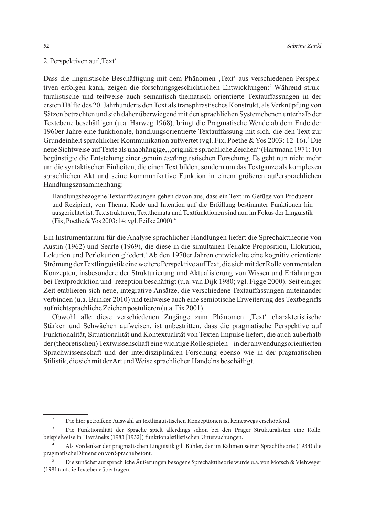# 2. Perspektiven auf, Text

Dass die linguistische Beschäftigung mit dem Phänomen ,Text' aus verschiedenen Perspektiven erfolgen kann, zeigen die forschungsgeschichtlichen Entwicklungen:<sup>2</sup> Während strukturalistische und teilweise auch semantisch-thematisch orientierte Textauffassungen in der ersten Hälfte des 20. Jahrhunderts den Text als transphrastisches Konstrukt, als Verknüpfung von Sätzen betrachten und sich daher überwiegend mit den sprachlichen Systemebenen unterhalb der Textebene beschäftigen (u.a. Harweg 1968), bringt die Pragmatische Wende ab dem Ende der 1960er Jahre eine funktionale, handlungsorientierte Textauffassung mit sich, die den Text zur Grundeinheit sprachlicher Kommunikation aufwertet (vgl. Fix, Poethe & Yos 2003: 12-16).<sup>3</sup> Die neue Sichtweise auf Texte als unabhängige, "originäre sprachliche Zeichen" (Hartmann 1971: 10) begünstigte die Entstehung einer genuin *text*linguistischen Forschung. Es geht nun nicht mehr um die syntaktischen Einheiten, die einen Text bilden, sondern um das Textganze als komplexen sprachlichen Akt und seine kommunikative Funktion in einem größeren außersprachlichen Handlungszusammenhang:

Handlungsbezogene Textauffassungen gehen davon aus, dass ein Text im Gefüge von Produzent und Rezipient, von Thema, Kode und Intention auf die Erfüllung bestimmter Funktionen hin ausgerichtet ist. Textstrukturen, Textthemata und Textfunktionen sind nun im Fokus der Linguistik (Fix, Poethe & Yos 2003: 14; vgl. Feilke 2000).4

Ein Instrumentarium für die Analyse sprachlicher Handlungen liefert die Sprechakttheorie von Austin (1962) und Searle (1969), die diese in die simultanen Teilakte Proposition, Illokution, Lokution und Perlokution gliedert.<sup>5</sup>Ab den 1970er Jahren entwickelte eine kognitiv orientierte Strömung der Textlinguistik eine weitere Perspektive auf Text, die sich mit der Rolle von mentalen Konzepten, insbesondere der Strukturierung und Aktualisierung von Wissen und Erfahrungen bei Textproduktion und -rezeption beschäftigt (u.a. van Dijk 1980; vgl. Figge 2000). Seit einiger Zeit etablieren sich neue, integrative Ansätze, die verschiedene Textauffassungen miteinander verbinden (u.a. Brinker 2010) und teilweise auch eine semiotische Erweiterung des Textbegriffs auf nichtsprachliche Zeichen postulieren (u.a. Fix 2001).

Obwohl alle diese verschiedenen Zugänge zum Phänomen ,Text charakteristische Stärken und Schwächen aufweisen, ist unbestritten, dass die pragmatische Perspektive auf Funktionalität, Situationalität und Kontextualität von Texten Impulse liefert, die auch außerhalb der (theoretischen) Textwissenschaft eine wichtige Rolle spielen – in der anwendungsorientierten Sprachwissenschaft und der interdisziplinären Forschung ebenso wie in der pragmatischen Stilistik, die sich mit der Art und Weise sprachlichen Handelns beschäftigt.

<sup>2</sup> Die hier getroffene Auswahl an textlinguistischen Konzeptionen ist keineswegs erschöpfend.

<sup>3</sup> Die Funktionalität der Sprache spielt allerdings schon bei den Prager Strukturalisten eine Rolle, beispielweise in Havráneks (1983 [1932]) funktionalstilistischen Untersuchungen.

<sup>4</sup> Als Vordenker der pragmatischen Linguistik gilt Bühler, der im Rahmen seiner Sprachtheorie (1934) die pragmatische Dimension von Sprache betont.

<sup>5</sup> Die zunächst auf sprachliche Äußerungen bezogene Sprechakttheorie wurde u.a. von Motsch & Viehweger (1981) auf die Textebene übertragen.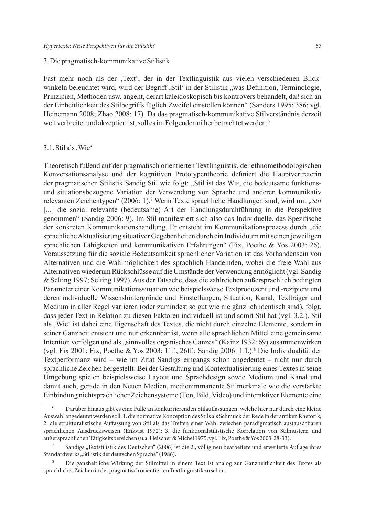#### 3. Die pragmatisch-kommunikative Stilistik

Fast mehr noch als der ,Text', der in der Textlinguistik aus vielen verschiedenen Blickwinkeln beleuchtet wird, wird der Begriff , Stil' in der Stilistik "was Definition, Terminologie, Prinzipien, Methoden usw. angeht, derart kaleidoskopisch bis kontrovers behandelt, daß sich an der Einheitlichkeit des Stilbegriffs füglich Zweifel einstellen können" (Sanders 1995: 386; vgl. Heinemann 2008; Zhao 2008: 17). Da das pragmatisch-kommunikative Stilverständnis derzeit weit verbreitet und akzeptiert ist, soll es im Folgenden näher betrachtet werden.<sup>6</sup>

## 3.1. Stil als, Wie'

Theoretisch fußend auf der pragmatisch orientierten Textlinguistik, der ethnomethodologischen Konversationsanalyse und der kognitiven Prototypentheorie definiert die Hauptvertreterin der pragmatischen Stilistik Sandig Stil wie folgt: "Stil ist das WIE, die bedeutsame funktionsund situationsbezogene Variation der Verwendung von Sprache und anderen kommunikativ relevanten Zeichentypen" (2006: 1).<sup>7</sup> Wenn Texte sprachliche Handlungen sind, wird mit "Stil [...] die sozial relevante (bedeutsame) Art der Handlungsdurchführung in die Perspektive genommen" (Sandig 2006: 9). Im Stil manifestiert sich also das Individuelle, das Spezifische der konkreten Kommunikationshandlung. Er entsteht im Kommunikationsprozess durch "die sprachliche Aktualisierung situativer Gegebenheiten durch ein Individuum mit seinen jeweiligen sprachlichen Fähigkeiten und kommunikativen Erfahrungen" (Fix, Poethe & Yos 2003: 26). Voraussetzung für die soziale Bedeutsamkeit sprachlicher Variation ist das Vorhandensein von Alternativen und die Wahlmöglichkeit des sprachlich Handelnden, wobei die freie Wahl aus Alternativen wiederum Rückschlüsse auf die Umstände der Verwendung ermöglicht (vgl. Sandig & Selting 1997; Selting 1997). Aus der Tatsache, dass die zahlreichen außersprachlich bedingten Parameter einer Kommunikationssituation wie beispielsweise Textproduzent und -rezipient und deren individuelle Wissenshintergründe und Einstellungen, Situation, Kanal, Textträger und Medium in aller Regel variieren (oder zumindest so gut wie nie gänzlich identisch sind), folgt, dass jeder Text in Relation zu diesen Faktoren individuell ist und somit Stil hat (vgl. 3.2.). Stil als , Wie' ist dabei eine Eigenschaft des Textes, die nicht durch einzelne Elemente, sondern in seiner Ganzheit entsteht und nur erkennbar ist, wenn alle sprachlichen Mittel eine gemeinsame Intention verfolgen und als "sinnvolles organisches Ganzes" (Kainz 1932: 69) zusammenwirken (vgl. Fix 2001; Fix, Poethe & Yos 2003: 11f., 26ff.; Sandig 2006: 1ff.).8 Die Individualität der Textperformanz wird – wie im Zitat Sandigs eingangs schon angedeutet – nicht nur durch sprachliche Zeichen hergestellt: Bei der Gestaltung und Kontextualisierung eines Textes in seine Umgebung spielen beispielsweise Layout und Sprachdesign sowie Medium und Kanal und damit auch, gerade in den Neuen Medien, medienimmanente Stilmerkmale wie die verstärkte Einbindung nichtsprachlicher Zeichensysteme (Ton, Bild, Video) und interaktiver Elemente eine

<sup>6</sup> Darüber hinaus gibt es eine Fülle an konkurrierenden Stilauffassungen, welche hier nur durch eine kleine Auswahl angedeutet werden soll: 1. die normative Konzeption des Stils als Schmuck der Rede in der antiken Rhetorik; 2. die strukturalistische Auffassung von Stil als das Treffen einer Wahl zwischen paradigmatisch austauschbaren sprachlichen Ausdrucksweisen (Enkvist 1972); 3. die funktionalstilistische Korrelation von Stilmustern und außersprachlichen Tätigkeitsbereichen (u.a. Fleischer & Michel 1975; vgl. Fix, Poethe & Yos 2003: 28-33).

Sandigs "Textstilistik des Deutschen" (2006) ist die 2., völlig neu bearbeitete und erweiterte Auflage ihres Standardwerks "Stilistik der deutschen Sprache" (1986).

<sup>8</sup> Die ganzheitliche Wirkung der Stilmittel in einem Text ist analog zur Ganzheitlichkeit des Textes als sprachliches Zeichen in der pragmatisch orientierten Textlinguistik zu sehen.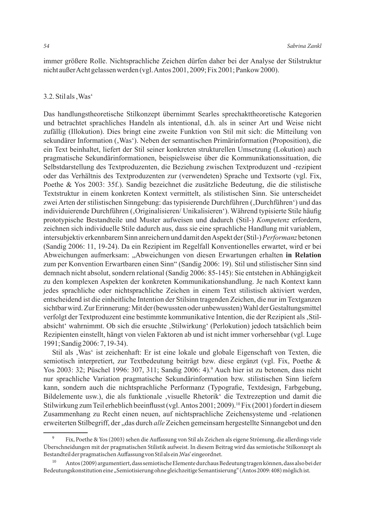immer größere Rolle. Nichtsprachliche Zeichen dürfen daher bei der Analyse der Stilstruktur nicht außer Acht gelassen werden (vgl. Antos 2001, 2009; Fix 2001; Pankow 2000).

#### 3.2. Stil als, Was'

Das handlungstheoretische Stilkonzept übernimmt Searles sprechakttheoretische Kategorien und betrachtet sprachliches Handeln als intentional, d.h. als in seiner Art und Weise nicht zufällig (Illokution). Dies bringt eine zweite Funktion von Stil mit sich: die Mitteilung von sekundärer Information ('Was'). Neben der semantischen Primärinformation (Proposition), die ein Text beinhaltet, liefert der Stil seiner konkreten strukturellen Umsetzung (Lokution) auch pragmatische Sekundärinformationen, beispielsweise über die Kommunikationssituation, die Selbstdarstellung des Textproduzenten, die Beziehung zwischen Textproduzent und -rezipient oder das Verhältnis des Textproduzenten zur (verwendeten) Sprache und Textsorte (vgl. Fix, Poethe & Yos 2003: 35f.). Sandig bezeichnet die zusätzliche Bedeutung, die die stilistische Textstruktur in einem konkreten Kontext vermittelt, als stilistischen Sinn. Sie unterscheidet zwei Arten der stilistischen Sinngebung: das typisierende Durchführen ("Durchführen") und das individuierende Durchführen ("Originalisieren/ Unikalisieren"). Während typisierte Stile häufig prototypische Bestandteile und Muster aufweisen und dadurch (Stil-) *Kompetenz* erfordern, zeichnen sich individuelle Stile dadurch aus, dass sie eine sprachliche Handlung mit variablem, intersubjektiv erkennbarem Sinn anreichern und damit den Aspekt der (Stil-) *Performanz* betonen (Sandig 2006: 11, 19-24). Da ein Rezipient im Regelfall Konventionelles erwartet, wird er bei Abweichungen aufmerksam: "Abweichungen von diesen Erwartungen erhalten **in Relation** zum per Konvention Erwartbaren einen Sinn" (Sandig 2006: 19). Stil und stilistischer Sinn sind demnach nicht absolut, sondern relational (Sandig 2006: 85-145): Sie entstehen in Abhängigkeit zu den komplexen Aspekten der konkreten Kommunikationshandlung. Je nach Kontext kann jedes sprachliche oder nichtsprachliche Zeichen in einem Text stilistisch aktiviert werden, entscheidend ist die einheitliche Intention der Stilsinn tragenden Zeichen, die nur im Textganzen sichtbar wird. Zur Erinnerung: Mit der (bewussten oder unbewussten) Wahl der Gestaltungsmittel verfolgt der Textproduzent eine bestimmte kommunikative Intention, die der Rezipient als , Stilabsicht' wahrnimmt. Ob sich die ersuchte 'Stilwirkung' (Perlokution) jedoch tatsächlich beim Rezipienten einstellt, hängt von vielen Faktoren ab und ist nicht immer vorhersehbar (vgl. Luge 1991; Sandig 2006: 7, 19-34).

Stil als , Was' ist zeichenhaft: Er ist eine lokale und globale Eigenschaft von Texten, die semiotisch interpretiert, zur Textbedeutung beiträgt bzw. diese ergänzt (vgl. Fix, Poethe & Yos 2003: 32; Püschel 1996: 307, 311; Sandig 2006: 4).<sup>9</sup> Auch hier ist zu betonen, dass nicht nur sprachliche Variation pragmatische Sekundärinformation bzw. stilistischen Sinn liefern kann, sondern auch die nichtsprachliche Performanz (Typografie, Textdesign, Farbgebung, Bildelemente usw.), die als funktionale , visuelle Rhetorik' die Textrezeption und damit die Stilwirkung zum Teil erheblich beeinflusst (vgl. Antos 2001; 2009).10 Fix (2001) fordert in diesem Zusammenhang zu Recht einen neuen, auf nichtsprachliche Zeichensysteme und -relationen erweiterten Stilbegriff, der "das durch alle Zeichen gemeinsam hergestellte Sinnangebot und den

<sup>9</sup> Fix, Poethe & Yos (2003) sehen die Auffassung von Stil als Zeichen als eigene Strömung, die allerdings viele Überschneidungen mit der pragmatischen Stilistik aufweist. In diesem Beitrag wird das semiotische Stilkonzept als Bestandteil der pragmatischen Auffassung von Stil als ein "Was' eingeordnet.

<sup>10</sup> Antos (2009) argumentiert, dass semiotische Elemente durchaus Bedeutung tragen können, dass also bei der Bedeutungskonstitution eine "Semiotisierung ohne gleichzeitige Semantisierung" (Antos 2009: 408) möglich ist.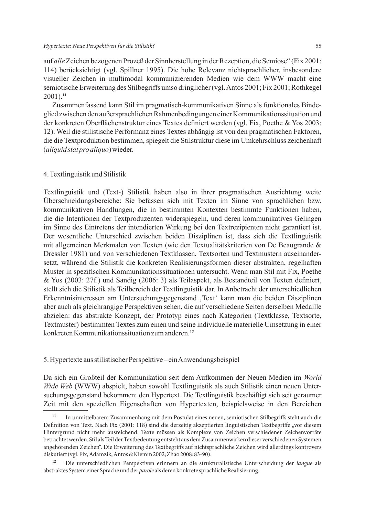#### *Hypertexte: Neue Perspektiven für die Stilistik? 55*

auf *alle*Zeichen bezogenen Prozeß der Sinnherstellung in der Rezeption, die Semiose" (Fix 2001: 114) berücksichtigt (vgl. Spillner 1995). Die hohe Relevanz nichtsprachlicher, insbesondere visueller Zeichen in multimodal kommunizierenden Medien wie dem WWW macht eine semiotische Erweiterung des Stilbegriffs umso dringlicher (vgl. Antos 2001; Fix 2001; Rothkegel  $2001$ ).<sup>11</sup>

Zusammenfassend kann Stil im pragmatisch-kommunikativen Sinne als funktionales Bindeglied zwischen den außersprachlichen Rahmenbedingungen einer Kommunikationssituation und der konkreten Oberflächenstruktur eines Textes definiert werden (vgl. Fix, Poethe & Yos 2003: 12). Weil die stilistische Performanz eines Textes abhängig ist von den pragmatischen Faktoren, die die Textproduktion bestimmen, spiegelt die Stilstruktur diese im Umkehrschluss zeichenhaft (*aliquid stat pro aliquo*) wieder.

## 4. Textlinguistik und Stilistik

Textlinguistik und (Text-) Stilistik haben also in ihrer pragmatischen Ausrichtung weite Überschneidungsbereiche: Sie befassen sich mit Texten im Sinne von sprachlichen bzw. kommunikativen Handlungen, die in bestimmten Kontexten bestimmte Funktionen haben, die die Intentionen der Textproduzenten widerspiegeln, und deren kommunikatives Gelingen im Sinne des Eintretens der intendierten Wirkung bei den Textrezipienten nicht garantiert ist. Der wesentliche Unterschied zwischen beiden Disziplinen ist, dass sich die Textlinguistik mit allgemeinen Merkmalen von Texten (wie den Textualitätskriterien von De Beaugrande & Dressler 1981) und von verschiedenen Textklassen, Textsorten und Textmustern auseinandersetzt, während die Stilistik die konkreten Realisierungsformen dieser abstrakten, regelhaften Muster in spezifischen Kommunikationssituationen untersucht. Wenn man Stil mit Fix, Poethe & Yos (2003: 27f.) und Sandig (2006: 3) als Teilaspekt, als Bestandteil von Texten definiert, stellt sich die Stilistik als Teilbereich der Textlinguistik dar. In Anbetracht der unterschiedlichen Erkenntnisinteressen am Untersuchungsgegenstand 'Text' kann man die beiden Disziplinen aber auch als gleichrangige Perspektiven sehen, die auf verschiedene Seiten derselben Medaille abzielen: das abstrakte Konzept, der Prototyp eines nach Kategorien (Textklasse, Textsorte, Textmuster) bestimmten Textes zum einen und seine individuelle materielle Umsetzung in einer konkreten Kommunikationssituation zum anderen.12

#### 5. Hypertexte aus stilistischer Perspektive – ein Anwendungsbeispiel

Da sich ein Großteil der Kommunikation seit dem Aufkommen der Neuen Medien im *World Wide Web* (WWW) abspielt, haben sowohl Textlinguistik als auch Stilistik einen neuen Untersuchungsgegenstand bekommen: den Hypertext. Die Textlinguistik beschäftigt sich seit geraumer Zeit mit den speziellen Eigenschaften von Hypertexten, beispielsweise in den Bereichen

<sup>11</sup> In unmittelbarem Zusammenhang mit dem Postulat eines neuen, semiotischen Stilbegriffs steht auch die Definition von Text. Nach Fix (2001: 118) sind die derzeitig akzeptierten linguistischen Textbegriffe "vor diesem Hintergrund nicht mehr ausreichend. Texte müssen als Komplexe von Zeichen verschiedener Zeichenvorräte betrachtet werden. Stil als Teil der Textbedeutung entsteht aus dem Zusammenwirken dieser verschiedenen Systemen angehörenden Zeichen". Die Erweiterung des Textbegriffs auf nichtsprachliche Zeichen wird allerdings kontrovers diskutiert (vgl. Fix, Adamzik, Antos & Klemm 2002; Zhao 2008: 83-90).

<sup>12</sup> Die unterschiedlichen Perspektiven erinnern an die strukturalistische Unterscheidung der *langue* als abstraktes System einer Sprache und der *parole* als deren konkrete sprachliche Realisierung.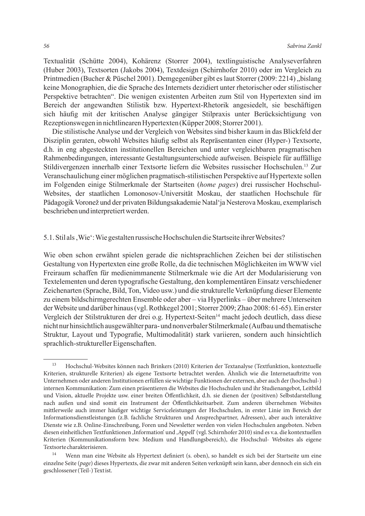Textualität (Schütte 2004), Kohärenz (Storrer 2004), textlinguistische Analyseverfahren (Huber 2003), Textsorten (Jakobs 2004), Textdesign (Schirnhofer 2010) oder im Vergleich zu Printmedien (Bucher & Püschel 2001). Demgegenüber gibt es laut Storrer (2009: 2214), bislang keine Monographien, die die Sprache des Internets dezidiert unter rhetorischer oder stilistischer Perspektive betrachten". Die wenigen existenten Arbeiten zum Stil von Hypertexten sind im Bereich der angewandten Stilistik bzw. Hypertext-Rhetorik angesiedelt, sie beschäftigen sich häufig mit der kritischen Analyse gängiger Stilpraxis unter Berücksichtigung von Rezeptionswegen in nichtlinearen Hypertexten (Küpper 2008; Storrer 2001).

Die stilistische Analyse und der Vergleich von Websites sind bisher kaum in das Blickfeld der Disziplin geraten, obwohl Websites häufig selbst als Repräsentanten einer (Hyper-) Textsorte, d.h. in eng abgesteckten institutionellen Bereichen und unter vergleichbaren pragmatischen Rahmenbedingungen, interessante Gestaltungsunterschiede aufweisen. Beispiele für auffällige Stildivergenzen innerhalb einer Textsorte liefern die Websites russischer Hochschulen.13 Zur Veranschaulichung einer möglichen pragmatisch-stilistischen Perspektive auf Hypertexte sollen im Folgenden einige Stilmerkmale der Startseiten (*home pages*) drei russischer Hochschul-Websites, der staatlichen Lomonosov-Universität Moskau, der staatlichen Hochschule für Pädagogik Voronež und der privaten Bildungsakademie Natal'ja Nesterova Moskau, exemplarisch beschrieben und interpretiert werden.

## 5.1. Stil als , Wie $\cdot$ : Wie gestalten russische Hochschulen die Startseite ihrer Websites?

Wie oben schon erwähnt spielen gerade die nichtsprachlichen Zeichen bei der stilistischen Gestaltung von Hypertexten eine große Rolle, da die technischen Möglichkeiten im WWW viel Freiraum schaffen für medienimmanente Stilmerkmale wie die Art der Modularisierung von Textelementen und deren typografische Gestaltung, den komplementären Einsatz verschiedener Zeichenarten (Sprache, Bild, Ton, Video usw.) und die strukturelle Verknüpfung dieser Elemente zu einem bildschirmgerechten Ensemble oder aber – via Hyperlinks – über mehrere Unterseiten der Website und darüber hinaus (vgl. Rothkegel 2001; Storrer 2009; Zhao 2008: 61-65). Ein erster Vergleich der Stilstrukturen der drei o.g. Hypertext-Seiten<sup>14</sup> macht jedoch deutlich, dass diese nicht nur hinsichtlich ausgewählter para- und nonverbaler Stilmerkmale (Aufbau und thematische Struktur, Layout und Typografie, Multimodalität) stark variieren, sondern auch hinsichtlich sprachlich-struktureller Eigenschaften.

<sup>13</sup> Hochschul-Websites können nach Brinkers (2010) Kriterien der Textanalyse (Textfunktion, kontextuelle Kriterien, strukturelle Kriterien) als eigene Textsorte betrachtet werden. Ähnlich wie die Internetauftritte von Unternehmen oder anderen Institutionen erfüllen sie wichtige Funktionen der externen, aber auch der (hochschul-) internen Kommunikation: Zum einen präsentieren die Websites die Hochschulen und ihr Studienangebot, Leitbild und Vision, aktuelle Projekte usw. einer breiten Öffentlichkeit, d.h. sie dienen der (positiven) Selbstdarstellung nach außen und sind somit ein Instrument der Öffentlichkeitsarbeit. Zum anderen übernehmen Websites mittlerweile auch immer häufiger wichtige Serviceleistungen der Hochschulen, in erster Linie im Bereich der Informationsdienstleistungen (z.B. fachliche Strukturen und Ansprechpartner, Adressen), aber auch interaktive Dienste wie z.B. Online-Einschreibung, Foren und Newsletter werden von vielen Hochschulen angeboten. Neben diesen einheitlichen Textfunktionen ,Information' und ,Appell' (vgl. Schirnhofer 2010) sind es v.a. die kontextuellen Kriterien (Kommunikationsform bzw. Medium und Handlungsbereich), die Hochschul- Websites als eigene Textsorte charakterisieren.

<sup>14</sup> Wenn man eine Website als Hypertext definiert (s. oben), so handelt es sich bei der Startseite um eine einzelne Seite (*page*) dieses Hypertexts, die zwar mit anderen Seiten verknüpft sein kann, aber dennoch ein sich ein geschlossener (Teil-) Text ist.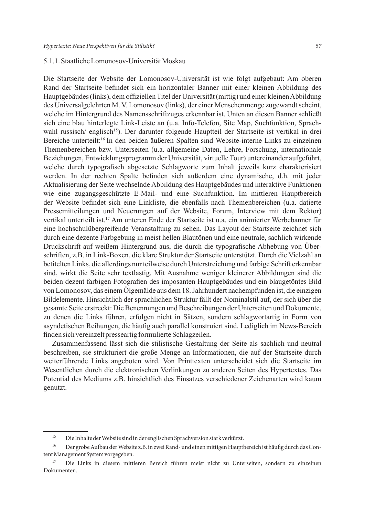#### 5.1.1. Staatliche Lomonosov-Universität Moskau

Die Startseite der Website der Lomonosov-Universität ist wie folgt aufgebaut: Am oberen Rand der Startseite befindet sich ein horizontaler Banner mit einer kleinen Abbildung des Hauptgebäudes (links), dem offiziellen Titel der Universität (mittig) und einer kleinen Abbildung des Universalgelehrten M. V. Lomonosov (links), der einer Menschenmenge zugewandt scheint, welche im Hintergrund des Namensschriftzuges erkennbar ist. Unten an diesen Banner schließt sich eine blau hinterlegte Link-Leiste an (u.a. Info-Telefon, Site Map, Suchfunktion, Sprachwahl russisch/ englisch<sup>15</sup>). Der darunter folgende Hauptteil der Startseite ist vertikal in drei Bereiche unterteilt:<sup>16</sup> In den beiden äußeren Spalten sind Website-interne Links zu einzelnen Themenbereichen bzw. Unterseiten (u.a. allgemeine Daten, Lehre, Forschung, internationale Beziehungen, Entwicklungsprogramm der Universität, virtuelle Tour) untereinander aufgeführt, welche durch typografisch abgesetzte Schlagworte zum Inhalt jeweils kurz charakterisiert werden. In der rechten Spalte befinden sich außerdem eine dynamische, d.h. mit jeder Aktualisierung der Seite wechselnde Abbildung des Hauptgebäudes und interaktive Funktionen wie eine zugangsgeschützte E-Mail- und eine Suchfunktion. Im mittleren Hauptbereich der Website befindet sich eine Linkliste, die ebenfalls nach Themenbereichen (u.a. datierte Pressemitteilungen und Neuerungen auf der Website, Forum, Interview mit dem Rektor) vertikal unterteilt ist.17 Am unteren Ende der Startseite ist u.a. ein animierter Werbebanner für eine hochschulübergreifende Veranstaltung zu sehen. Das Layout der Startseite zeichnet sich durch eine dezente Farbgebung in meist hellen Blautönen und eine neutrale, sachlich wirkende Druckschrift auf weißem Hintergrund aus, die durch die typografische Abhebung von Überschriften, z.B. in Link-Boxen, die klare Struktur der Startseite unterstützt. Durch die Vielzahl an betitelten Links, die allerdings nur teilweise durch Unterstreichung und farbige Schrift erkennbar sind, wirkt die Seite sehr textlastig. Mit Ausnahme weniger kleinerer Abbildungen sind die beiden dezent farbigen Fotografien des imposanten Hauptgebäudes und ein blaugetöntes Bild von Lomonosov, das einem Ölgemälde aus dem 18. Jahrhundert nachempfunden ist, die einzigen Bildelemente. Hinsichtlich der sprachlichen Struktur fällt der Nominalstil auf, der sich über die gesamte Seite erstreckt: Die Benennungen und Beschreibungen der Unterseiten und Dokumente, zu denen die Links führen, erfolgen nicht in Sätzen, sondern schlagwortartig in Form von asyndetischen Reihungen, die häufig auch parallel konstruiert sind. Lediglich im News-Bereich finden sich vereinzelt presseartig formulierte Schlagzeilen.

Zusammenfassend lässt sich die stilistische Gestaltung der Seite als sachlich und neutral beschreiben, sie strukturiert die große Menge an Informationen, die auf der Startseite durch weiterführende Links angeboten wird. Von Printtexten unterscheidet sich die Startseite im Wesentlichen durch die elektronischen Verlinkungen zu anderen Seiten des Hypertextes. Das Potential des Mediums z.B. hinsichtlich des Einsatzes verschiedener Zeichenarten wird kaum genutzt.

<sup>15</sup> Die Inhalte der Website sind in der englischen Sprachversion stark verkürzt.

<sup>16</sup> Der grobe Aufbau der Website z.B. in zwei Rand- und einen mittigen Hauptbereich ist häufig durch das Content Management System vorgegeben.

<sup>&</sup>lt;sup>17</sup> Die Links in diesem mittleren Bereich führen meist nicht zu Unterseiten, sondern zu einzelnen Dokumenten.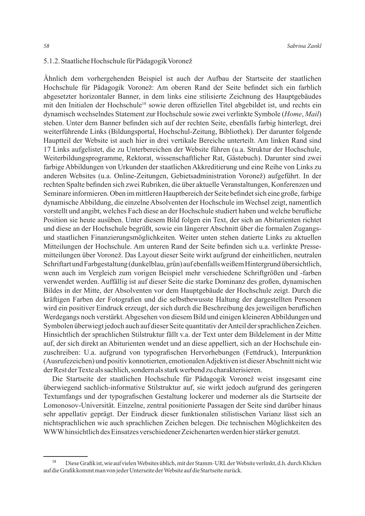#### 5.1.2. Staatliche Hochschule für Pädagogik Voronež

Ähnlich dem vorhergehenden Beispiel ist auch der Aufbau der Startseite der staatlichen Hochschule für Pädagogik Voronež: Am oberen Rand der Seite befindet sich ein farblich abgesetzter horizontaler Banner, in dem links eine stilisierte Zeichnung des Hauptgebäudes mit den Initialen der Hochschule18 sowie deren offiziellen Titel abgebildet ist, und rechts ein dynamisch wechselndes Statement zur Hochschule sowie zwei verlinkte Symbole (*Home*, *Mail*) stehen. Unter dem Banner befinden sich auf der rechten Seite, ebenfalls farbig hinterlegt, drei weiterführende Links (Bildungsportal, Hochschul-Zeitung, Bibliothek). Der darunter folgende Hauptteil der Website ist auch hier in drei vertikale Bereiche unterteilt. Am linken Rand sind 17 Links aufgelistet, die zu Unterbereichen der Website führen (u.a. Struktur der Hochschule, Weiterbildungsprogramme, Rektorat, wissenschaftlicher Rat, Gästebuch). Darunter sind zwei farbige Abbildungen von Urkunden der staatlichen Akkreditierung und eine Reihe von Links zu anderen Websites (u.a. Online-Zeitungen, Gebietsadministration Voronež) aufgeführt. In der rechten Spalte befinden sich zwei Rubriken, die über aktuelle Veranstaltungen, Konferenzen und Seminare informieren. Oben im mittleren Hauptbereich der Seite befindet sich eine große, farbige dynamische Abbildung, die einzelne Absolventen der Hochschule im Wechsel zeigt, namentlich vorstellt und angibt, welches Fach diese an der Hochschule studiert haben und welche berufliche Position sie heute ausüben. Unter diesem Bild folgen ein Text, der sich an Abiturienten richtet und diese an der Hochschule begrüßt, sowie ein längerer Abschnitt über die formalen Zugangsund staatlichen Finanzierungsmöglichkeiten. Weiter unten stehen datierte Links zu aktuellen Mitteilungen der Hochschule. Am unteren Rand der Seite befinden sich u.a. verlinkte Pressemitteilungen über Voronež. Das Layout dieser Seite wirkt aufgrund der einheitlichen, neutralen Schriftart und Farbgestaltung (dunkelblau, grün) auf ebenfalls weißem Hintergrund übersichtlich, wenn auch im Vergleich zum vorigen Beispiel mehr verschiedene Schriftgrößen und -farben verwendet werden. Auffällig ist auf dieser Seite die starke Dominanz des großen, dynamischen Bildes in der Mitte, der Absolventen vor dem Hauptgebäude der Hochschule zeigt. Durch die kräftigen Farben der Fotografien und die selbstbewusste Haltung der dargestellten Personen wird ein positiver Eindruck erzeugt, der sich durch die Beschreibung des jeweiligen beruflichen Werdegangs noch verstärkt. Abgesehen von diesem Bild und einigen kleineren Abbildungen und Symbolen überwiegt jedoch auch auf dieser Seite quantitativ der Anteil der sprachlichen Zeichen. Hinsichtlich der sprachlichen Stilstruktur fällt v.a. der Text unter dem Bildelement in der Mitte auf, der sich direkt an Abiturienten wendet und an diese appelliert, sich an der Hochschule einzuschreiben: U.a. aufgrund von typografischen Hervorhebungen (Fettdruck), Interpunktion (Ausrufezeichen) und positiv konnotierten, emotionalen Adjektiven ist dieser Abschnitt nicht wie der Rest der Texte als sachlich, sondern als stark werbend zu charakterisieren.

Die Startseite der staatlichen Hochschule für Pädagogik Voronež weist insgesamt eine überwiegend sachlich-informative Stilstruktur auf, sie wirkt jedoch aufgrund des geringeren Textumfangs und der typografischen Gestaltung lockerer und moderner als die Startseite der Lomonosov-Universität. Einzelne, zentral positionierte Passagen der Seite sind darüber hinaus sehr appellativ geprägt. Der Eindruck dieser funktionalen stilistischen Varianz lässt sich an nichtsprachlichen wie auch sprachlichen Zeichen belegen. Die technischen Möglichkeiten des WWW hinsichtlich des Einsatzes verschiedener Zeichenarten werden hier stärker genutzt.

<sup>18</sup> Diese Grafik ist, wie auf vielen Websites üblich, mit der Stamm-URL der Website verlinkt, d.h. durch Klicken auf die Grafik kommt man von jeder Unterseite der Website auf die Startseite zurück.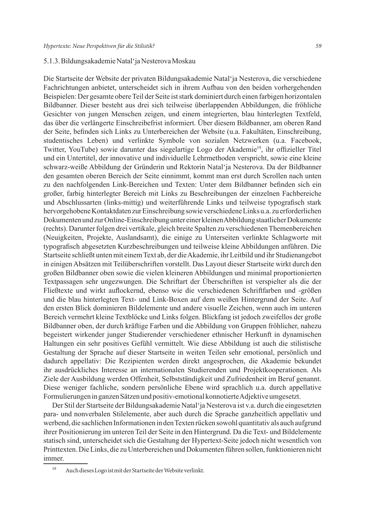### 5.1.3. Bildungsakademie Natal'ja Nesterova Moskau

Die Startseite der Website der privaten Bildungsakademie Natal'ja Nesterova, die verschiedene Fachrichtungen anbietet, unterscheidet sich in ihrem Aufbau von den beiden vorhergehenden Beispielen: Der gesamte obere Teil der Seite ist stark dominiert durch einen farbigen horizontalen Bildbanner. Dieser besteht aus drei sich teilweise überlappenden Abbildungen, die fröhliche Gesichter von jungen Menschen zeigen, und einem integrierten, blau hinterlegten Textfeld, das über die verlängerte Einschreibefrist informiert. Über diesem Bildbanner, am oberen Rand der Seite, befinden sich Links zu Unterbereichen der Website (u.a. Fakultäten, Einschreibung, studentisches Leben) und verlinkte Symbole von sozialen Netzwerken (u.a. Facebook, Twitter, YouTube) sowie darunter das siegelartige Logo der Akademie19, ihr offizieller Titel und ein Untertitel, der innovative und individuelle Lehrmethoden verspricht, sowie eine kleine schwarz-weiße Abbildung der Gründerin und Rektorin Natal'ja Nesterova. Da der Bildbanner den gesamten oberen Bereich der Seite einnimmt, kommt man erst durch Scrollen nach unten zu den nachfolgenden Link-Bereichen und Texten: Unter dem Bildbanner befinden sich ein großer, farbig hinterlegter Bereich mit Links zu Beschreibungen der einzelnen Fachbereiche und Abschlussarten (links-mittig) und weiterführende Links und teilweise typografisch stark hervorgehobene Kontaktdaten zur Einschreibung sowie verschiedene Links u.a. zu erforderlichen Dokumenten und zur Online-Einschreibung unter einer kleinen Abbildung staatlicher Dokumente (rechts). Darunter folgen drei vertikale, gleich breite Spalten zu verschiedenen Themenbereichen (Neuigkeiten, Projekte, Auslandsamt), die einige zu Unterseiten verlinkte Schlagworte mit typografisch abgesetzten Kurzbeschreibungen und teilweise kleine Abbildungen anführen. Die Startseite schließt unten mit einem Text ab, der die Akademie, ihr Leitbild und ihr Studienangebot in einigen Absätzen mit Teilüberschriften vorstellt. Das Layout dieser Startseite wirkt durch den großen Bildbanner oben sowie die vielen kleineren Abbildungen und minimal proportionierten Textpassagen sehr ungezwungen. Die Schriftart der Überschriften ist verspielter als die der Fließtexte und wirkt auflockernd, ebenso wie die verschiedenen Schriftfarben und -größen und die blau hinterlegten Text- und Link-Boxen auf dem weißen Hintergrund der Seite. Auf den ersten Blick dominieren Bildelemente und andere visuelle Zeichen, wenn auch im unteren Bereich vermehrt kleine Textblöcke und Links folgen. Blickfang ist jedoch zweifellos der große Bildbanner oben, der durch kräftige Farben und die Abbildung von Gruppen fröhlicher, nahezu begeistert wirkender junger Studierender verschiedener ethnischer Herkunft in dynamischen Haltungen ein sehr positives Gefühl vermittelt. Wie diese Abbildung ist auch die stilistische Gestaltung der Sprache auf dieser Startseite in weiten Teilen sehr emotional, persönlich und dadurch appellativ: Die Rezipienten werden direkt angesprochen, die Akademie bekundet ihr ausdrückliches Interesse an internationalen Studierenden und Projektkooperationen. Als Ziele der Ausbildung werden Offenheit, Selbstständigkeit und Zufriedenheit im Beruf genannt. Diese weniger fachliche, sondern persönliche Ebene wird sprachlich u.a. durch appellative Formulierungen in ganzen Sätzen und positiv-emotional konnotierte Adjektive umgesetzt.

Der Stil der Startseite der Bildungsakademie Natal'ja Nesterova ist v.a. durch die eingesetzten para- und nonverbalen Stilelemente, aber auch durch die Sprache ganzheitlich appellativ und werbend, die sachlichen Informationen in den Texten rücken sowohl quantitativ als auch aufgrund ihrer Positionierung im unteren Teil der Seite in den Hintergrund. Da die Text- und Bildelemente statisch sind, unterscheidet sich die Gestaltung der Hypertext-Seite jedoch nicht wesentlich von Printtexten. Die Links, die zu Unterbereichen und Dokumenten führen sollen, funktionieren nicht immer.

<sup>19</sup> Auch dieses Logo ist mit der Startseite der Website verlinkt.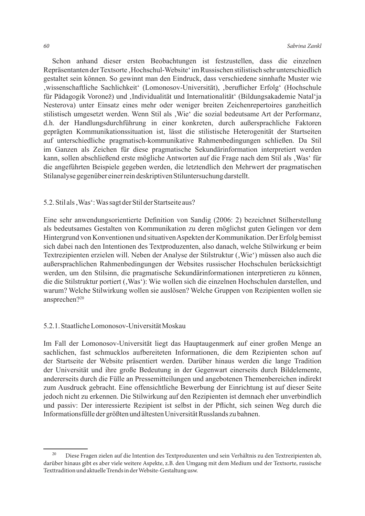Schon anhand dieser ersten Beobachtungen ist festzustellen, dass die einzelnen Repräsentanten der Textsorte , Hochschul-Website' im Russischen stilistisch sehr unterschiedlich gestaltet sein können. So gewinnt man den Eindruck, dass verschiedene sinnhafte Muster wie 'wissenschaftliche Sachlichkeit' (Lomonosov-Universität), 'beruflicher Erfolg' (Hochschule für Pädagogik Voronež) und 'Individualität und Internationalität' (Bildungsakademie Natal'ja Nesterova) unter Einsatz eines mehr oder weniger breiten Zeichenrepertoires ganzheitlich stilistisch umgesetzt werden. Wenn Stil als "Wie" die sozial bedeutsame Art der Performanz, d.h. der Handlungsdurchführung in einer konkreten, durch außersprachliche Faktoren geprägten Kommunikationssituation ist, lässt die stilistische Heterogenität der Startseiten auf unterschiedliche pragmatisch-kommunikative Rahmenbedingungen schließen. Da Stil im Ganzen als Zeichen für diese pragmatische Sekundärinformation interpretiert werden kann, sollen abschließend erste mögliche Antworten auf die Frage nach dem Stil als 'Was' für die angeführten Beispiele gegeben werden, die letztendlich den Mehrwert der pragmatischen Stilanalyse gegenüber einer rein deskriptiven Stiluntersuchung darstellt.

## 5.2. Stil als, Was': Was sagt der Stil der Startseite aus?

Eine sehr anwendungsorientierte Definition von Sandig (2006: 2) bezeichnet Stilherstellung als bedeutsames Gestalten von Kommunikation zu deren möglichst guten Gelingen vor dem Hintergrund von Konventionen und situativen Aspekten der Kommunikation. Der Erfolg bemisst sich dabei nach den Intentionen des Textproduzenten, also danach, welche Stilwirkung er beim Textrezipienten erzielen will. Neben der Analyse der Stilstruktur (, Wie') müssen also auch die außersprachlichen Rahmenbedingungen der Websites russischer Hochschulen berücksichtigt werden, um den Stilsinn, die pragmatische Sekundärinformationen interpretieren zu können, die die Stilstruktur portiert ('Was'): Wie wollen sich die einzelnen Hochschulen darstellen, und warum? Welche Stilwirkung wollen sie auslösen? Welche Gruppen von Rezipienten wollen sie ansprechen?20

# 5.2.1. Staatliche Lomonosov-Universität Moskau

Im Fall der Lomonosov-Universität liegt das Hauptaugenmerk auf einer großen Menge an sachlichen, fast schmucklos aufbereiteten Informationen, die dem Rezipienten schon auf der Startseite der Website präsentiert werden. Darüber hinaus werden die lange Tradition der Universität und ihre große Bedeutung in der Gegenwart einerseits durch Bildelemente, andererseits durch die Fülle an Pressemitteilungen und angebotenen Themenbereichen indirekt zum Ausdruck gebracht. Eine offensichtliche Bewerbung der Einrichtung ist auf dieser Seite jedoch nicht zu erkennen. Die Stilwirkung auf den Rezipienten ist demnach eher unverbindlich und passiv: Der interessierte Rezipient ist selbst in der Pflicht, sich seinen Weg durch die Informationsfülle der größten und ältesten Universität Russlands zu bahnen.

<sup>20</sup> Diese Fragen zielen auf die Intention des Textproduzenten und sein Verhältnis zu den Textrezipienten ab, darüber hinaus gibt es aber viele weitere Aspekte, z.B. den Umgang mit dem Medium und der Textsorte, russische Texttradition und aktuelle Trends in der Website-Gestaltung usw.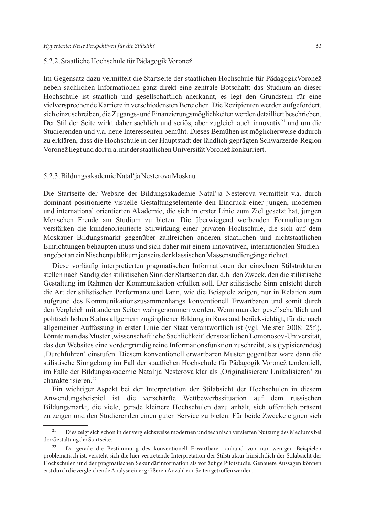#### 5.2.2. Staatliche Hochschule für Pädagogik Voronež

Im Gegensatz dazu vermittelt die Startseite der staatlichen Hochschule für PädagogikVoronež neben sachlichen Informationen ganz direkt eine zentrale Botschaft: das Studium an dieser Hochschule ist staatlich und gesellschaftlich anerkannt, es legt den Grundstein für eine vielversprechende Karriere in verschiedensten Bereichen. Die Rezipienten werden aufgefordert, sich einzuschreiben, die Zugangs- und Finanzierungsmöglichkeiten werden detailliert beschrieben. Der Stil der Seite wirkt daher sachlich und seriös, aber zugleich auch innovativ<sup>21</sup> und um die Studierenden und v.a. neue Interessenten bemüht. Dieses Bemühen ist möglicherweise dadurch zu erklären, dass die Hochschule in der Hauptstadt der ländlich geprägten Schwarzerde-Region Voronež liegt und dort u.a. mit der staatlichen Universität Voronež konkurriert.

### 5.2.3. Bildungsakademie Natal'ja Nesterova Moskau

Die Startseite der Website der Bildungsakademie Natal'ja Nesterova vermittelt v.a. durch dominant positionierte visuelle Gestaltungselemente den Eindruck einer jungen, modernen und international orientierten Akademie, die sich in erster Linie zum Ziel gesetzt hat, jungen Menschen Freude am Studium zu bieten. Die überwiegend werbenden Formulierungen verstärken die kundenorientierte Stilwirkung einer privaten Hochschule, die sich auf dem Moskauer Bildungsmarkt gegenüber zahlreichen anderen staatlichen und nichtstaatlichen Einrichtungen behaupten muss und sich daher mit einem innovativen, internationalen Studienangebot an ein Nischenpublikum jenseits der klassischen Massenstudiengänge richtet.

Diese vorläufig interpretierten pragmatischen Informationen der einzelnen Stilstrukturen stellen nach Sandig den stilistischen Sinn der Startseiten dar, d.h. den Zweck, den die stilistische Gestaltung im Rahmen der Kommunikation erfüllen soll. Der stilistische Sinn entsteht durch die Art der stilistischen Performanz und kann, wie die Beispiele zeigen, nur in Relation zum aufgrund des Kommunikationszusammenhangs konventionell Erwartbaren und somit durch den Vergleich mit anderen Seiten wahrgenommen werden. Wenn man den gesellschaftlich und politisch hohen Status allgemein zugänglicher Bildung in Russland berücksichtigt, für die nach allgemeiner Auffassung in erster Linie der Staat verantwortlich ist (vgl. Meister 2008: 25f.), könnte man das Muster, wissenschaftliche Sachlichkeit' der staatlichen Lomonosov-Universität, das den Websites eine vordergründig reine Informationsfunktion zuschreibt, als (typisierendes) 'Durchführen' einstufen. Diesem konventionell erwartbaren Muster gegenüber wäre dann die stilistische Sinngebung im Fall der staatlichen Hochschule für Pädagogik Voronež tendentiell, im Falle der Bildungsakademie Natal'ja Nesterova klar als 'Originalisieren/ Unikalisieren' zu charakterisieren.22

Ein wichtiger Aspekt bei der Interpretation der Stilabsicht der Hochschulen in diesem Anwendungsbeispiel ist die verschärfte Wettbewerbssituation auf dem russischen Bildungsmarkt, die viele, gerade kleinere Hochschulen dazu anhält, sich öffentlich präsent zu zeigen und den Studierenden einen guten Service zu bieten. Für beide Zwecke eignen sich

<sup>&</sup>lt;sup>21</sup> Dies zeigt sich schon in der vergleichsweise modernen und technisch versierten Nutzung des Mediums bei der Gestaltung der Startseite.

<sup>22</sup> Da gerade die Bestimmung des konventionell Erwartbaren anhand von nur wenigen Beispielen problematisch ist, versteht sich die hier vertretende Interpretation der Stilstruktur hinsichtlich der Stilabsicht der Hochschulen und der pragmatischen Sekundärinformation als vorläufige Pilotstudie. Genauere Aussagen können erst durch die vergleichende Analyse einer größeren Anzahl von Seiten getroffen werden.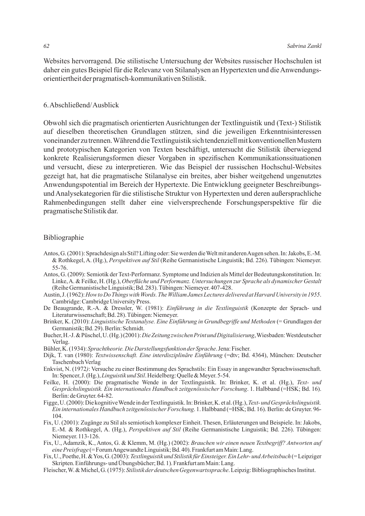Websites hervorragend. Die stilistische Untersuchung der Websites russischer Hochschulen ist daher ein gutes Beispiel für die Relevanz von Stilanalysen an Hypertexten und die Anwendungsorientiertheit der pragmatisch-kommunikativen Stilistik.

#### 6. Abschließend/ Ausblick

Obwohl sich die pragmatisch orientierten Ausrichtungen der Textlinguistik und (Text-) Stilistik auf dieselben theoretischen Grundlagen stützen, sind die jeweiligen Erkenntnisinteressen voneinander zu trennen. Während die Textlinguistik sich tendenziell mit konventionellen Mustern und prototypischen Kategorien von Texten beschäftigt, untersucht die Stilistik überwiegend konkrete Realisierungsformen dieser Vorgaben in spezifischen Kommunikationssituationen und versucht, diese zu interpretieren. Wie das Beispiel der russischen Hochschul-Websites gezeigt hat, hat die pragmatische Stilanalyse ein breites, aber bisher weitgehend ungenutztes Anwendungspotential im Bereich der Hypertexte. Die Entwicklung geeigneter Beschreibungsund Analysekategorien für die stilistische Struktur von Hypertexten und deren außersprachliche Rahmenbedingungen stellt daher eine vielversprechende Forschungsperspektive für die pragmatische Stilistik dar.

## Bibliographie

- Antos, G. (2001): Sprachdesign als Stil? Lifting oder: Sie werden die Welt mit anderen Augen sehen. In: Jakobs, E.-M. & Rothkegel, A. (Hg.), *Perspektiven auf Stil* (Reihe Germanistische Linguistik; Bd. 226). Tübingen: Niemeyer. 55-76.
- Antos, G. (2009): Semiotik der Text-Performanz. Symptome und Indizien als Mittel der Bedeutungskonstitution. In: Linke, A. & Feilke, H. (Hg.), *Oberfläche und Performanz. Untersuchungen zur Sprache als dynamischer Gestalt* (Reihe Germanistische Linguistik; Bd. 283). Tübingen: Niemeyer. 407-428.
- Austin, J. (1962): *How to Do Things with Words. The William James Lectures delivered at Harvard University in 1955*. Cambridge: Cambridge University Press.
- De Beaugrande, R.-A. & Dressler, W. (1981): *Einführung in die Textlinguistik* (Konzepte der Sprach- und Literaturwissenschaft; Bd. 28). Tübingen: Niemeyer.
- Brinker, K. (2010): *Linguistische Textanalyse. Eine Einführung in Grundbegriffe und Methoden* (= Grundlagen der Germanistik; Bd. 29). Berlin: Schmidt.
- Bucher, H.-J. & Püschel, U. (Hg.) (2001): *Die Zeitung zwischen Print und Digitalisierung*, Wiesbaden: Westdeutscher Verlag.
- Bühler, K. (1934): *Sprachtheorie. Die Darstellungsfunktion der Sprache*. Jena: Fischer.
- Dijk, T. van (1980): *Textwissenschaft. Eine interdisziplinäre Einführung* (=dtv; Bd. 4364), München: Deutscher Taschenbuch Verlag
- Enkvist, N. (1972*)*: Versuche zu einer Bestimmung des Sprachstils: Ein Essay in angewandter Sprachwissenschaft. In: Spencer, J. (Hg.), *Linguistik und Stil*. Heidelberg: Quelle & Meyer. 5-54.
- Feilke, H. (2000): Die pragmatische Wende in der Textlinguistik. In: Brinker, K. et al. (Hg.), *Text- und Gesprächslinguistik. Ein internationales Handbuch zeitgenössischer Forschung*. 1. Halbband (=HSK; Bd. 16). Berlin: de Gruyter. 64-82.
- Figge, U. (2000): Die kognitive Wende in der Textlinguistik. In: Brinker, K. et al. (Hg.), *Text- und Gesprächslinguistik. Ein internationales Handbuch zeitgenössischer Forschung*. 1. Halbband (=HSK; Bd. 16). Berlin: de Gruyter. 96- 104.
- Fix, U. (2001): Zugänge zu Stil als semiotisch komplexer Einheit. Thesen, Erläuterungen und Beispiele. In: Jakobs, E.-M. & Rothkegel, A. (Hg.), *Perspektiven auf Stil* (Reihe Germanistische Linguistik; Bd. 226). Tübingen: Niemeyer. 113-126.
- Fix, U., Adamzik, K., Antos, G. & Klemm, M. (Hg.) (2002): *Brauchen wir einen neuen Textbegriff? Antworten auf eine Preisfrage* (= Forum Angewandte Linguistik; Bd. 40). Frankfurt am Main: Lang.
- Fix, U., Poethe, H. & Yos, G. (2003): *Textlinguistik und Stilistik für Einsteiger. Ein Lehr- und Arbeitsbuch* (= Leipziger Skripten. Einführungs- und Übungsbücher; Bd. 1). Frankfurt am Main: Lang.
- Fleischer, W. & Michel, G. (1975): *Stilistik der deutschen Gegenwartssprache*. Leipzig: Bibliographisches Institut.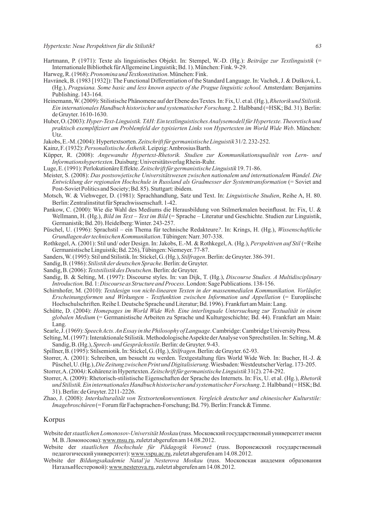- Hartmann, P. (1971): Texte als linguistisches Objekt. In: Stempel, W.-D. (Hg.): *Beiträge zur Textlinguistik* (= Internationale Bibliothek für Allgemeine Linguistik; Bd. 1). München: Fink. 9-29.
- Harweg, R. (1968): *Pronomina und Textkonstitution*. München: Fink.
- Havránek, B. (1983 [1932]): The Functional Differentiation of the Standard Language. In: Vachek, J. & Dušková, L. (Hg.), *Praguiana. Some basic and less known aspects of the Prague linguistic school.* Amsterdam: Benjamins Publishing. 143-164.
- Heinemann, W. (2009): Stilistische Phänomene auf der Ebene des Textes*.* In: Fix, U. et al. (Hg.), *Rhetorik und Stilistik. Ein internationales Handbuch historischer und systematischer Forschung*. 2. Halbband (=HSK; Bd. 31). Berlin: de Gruyter. 1610-1630.
- Huber, O. (2003): *Hyper-Text-Linguistik. TAH: Ein textlinguistisches Analysemodell für Hypertexte. Theoretisch und praktisch exemplifiziert am Problemfeld der typisierten Links von Hypertexten im World Wide Web*. München: Utz.
- Jakobs, E.-M. (2004): Hypertextsorten. *Zeitschrift für germanistische Linguistik* 31/2. 232-252.
- Kainz, F. (1932): *Personalistische Ästhetik*. Leipzig: Ambrosius Barth.
- Küpper, R. (2008): *Angewandte Hypertext-Rhetorik. Studien zur Kommunikationsqualität von Lern- und Informationshypertexten*. Duisburg: Universitätsverlag Rhein-Ruhr.
- Luge, E. (1991): Perlokutionäre Effekte. *Zeitschrift für germanistische Linguistik* 19. 71-86.
- Meister, S. (2008): *Das postsowjetische Universitätswesen zwischen nationalem und internationalem Wandel. Die Entwicklung der regionalen Hochschule in Russland als Gradmesser der Systemtransformation* (= Soviet and Post-Soviet Politics and Society; Bd. 85). Stuttgart: ibidem.
- Motsch, W. & Viehweger, D. (1981): Sprachhandlung, Satz und Text. In: *Linguistische Studien*, Reihe A, H. 80. Berlin:Zentralinstitut für Sprachwissenschaft. 1-42.
- Pankow, C. (2000): Wie die Wahl des Mediums die Herausbildung von Stilmerkmalen beeinflusst. In: Fix, U. & Wellmann, H. (Hg.), *Bild im Text – Text im Bild* (= Sprache – Literatur und Geschichte. Studien zur Linguistik, Germanistik; Bd. 20). Heidelberg: Winter. 243-257.
- Püschel, U. (1996): Sprachstil ein Thema für technische Redakteure*?*. In: Krings, H. (Hg.), *Wissenschaftliche Grundlagen der technischen Kommunikation*. Tübingen: Narr. 307-338.
- Rothkegel, A. (2001): Stil und/ oder Design. In: Jakobs, E.-M. & Rothkegel, A. (Hg.), *Perspektiven auf Stil* (=Reihe Germanistische Linguistik; Bd. 226), Tübingen: Niemeyer. 77-87.
- Sanders, W. (1995): Stil und Stilistik. In: Stickel, G. (Hg.), *Stilfragen*. Berlin: de Gruyter. 386-391.
- Sandig, B. (1986): *Stilistik der deutschen Sprache*. Berlin: de Gruyter.
- Sandig, B. (2006): *Textstilistik des Deutschen*. Berlin: de Gruyter.
- Sandig, B. & Selting, M. (1997): Discourse styles. In: van Dijk, T. (Hg.), *Discourse Studies. A Multidisciplinary Introduction*. Bd. 1: *Discourse as Structure and Process*. London: Sage Publications. 138-156.
- Schirnhofer, M. (2010): *Textdesign von nicht-linearen Texten in der massenmedialen Kommunikation. Vorläufer, Erscheinungsformen und Wirkungen - Textfunktion zwischen Information und Appellation* (= Europäische Hochschulschriften. Reihe I. Deutsche Sprache und Literatur; Bd. 1996). Frankfurt am Main: Lang.
- Schütte, D. (2004): *Homepages im World Wide Web. Eine interlinguale Untersuchung zur Textualität in einem globalen Medium* (= Germanistische Arbeiten zu Sprache und Kulturgeschichte; Bd. 44). Frankfurt am Main: Lang.
- Searle, J. (1969): *Speech Acts. An Essay in the Philosophy of Language*. Cambridge: Cambridge University Press.
- Selting, M. (1997): Interaktionale Stilistik. Methodologische Aspekte der Analyse von Sprechstilen. In: Selting, M. & Sandig, B. (Hg.), *Sprech- und Gesprächsstile*. Berlin: de Gruyter. 9-43.
- Spillner, B. (1995): Stilsemiotik. In: Stickel, G. (Hg.), *Stilfragen*. Berlin: de Gruyter. 62-93.
- Storrer, A. (2001): Schreiben, um besucht zu werden. Textgestaltung fürs World Wide Web. In: Bucher, H.-J. & Püschel, U. (Hg.), *Die Zeitung zwischen Print und Digitalisierung*. Wiesbaden: Westdeutscher Verlag. 173-205.
- Storrer, A. (2004*)*:Kohärenz in Hypertexten. *Zeitschrift für germanistische Linguistik* 31(2). 274-292.
- Storrer, A. (2009): Rhetorisch-stilistische Eigenschaften der Sprache des Internets. In: Fix, U. et al. (Hg.), *Rhetorik und Stilistik. Ein internationales Handbuch historischer und systematischer Forschung*. 2. Halbband (= HSK; Bd. 31). Berlin: de Gruyter. 2211-2226.
- Zhao, J. (2008): *Interkulturalität von Textsortenkonventionen. Vergleich deutscher und chinesischer Kulturstile: Imagebroschüren* (= Forum für Fachsprachen-Forschung; Bd. 79). Berlin: Franck & Timme.

#### Korpus

- Website der *staatlichen Lomonosov-Universität Moskau* (russ. Московский государственный университет имени М. В. Ломоносова): www.msu.ru, zuletzt abgerufen am 14.08.2012.
- Website der *staatlichen Hochschule für Pädagogik Voronež* (russ. Воронежский государственный педагогический университет): www.vspu.ac.ru, zuletzt abgerufen am 14.08.2012.
- Website der *Bildungsakademie Natal'ja Nesterova Moskau* (russ. Московская академия образования НатальиНестеровой): www.nesterova.ru, zuletzt abgerufen am 14.08.2012.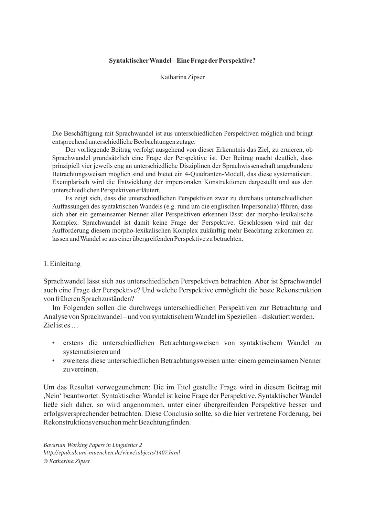# **Syntaktischer Wandel – Eine Frage der Perspektive?**

Katharina Zipser

Die Beschäftigung mit Sprachwandel ist aus unterschiedlichen Perspektiven möglich und bringt entsprechend unterschiedliche Beobachtungen zutage.

Der vorliegende Beitrag verfolgt ausgehend von dieser Erkenntnis das Ziel, zu eruieren, ob Sprachwandel grundsätzlich eine Frage der Perspektive ist. Der Beitrag macht deutlich, dass prinzipiell vier jeweils eng an unterschiedliche Disziplinen der Sprachwissenschaft angebundene Betrachtungsweisen möglich sind und bietet ein 4-Quadranten-Modell, das diese systematisiert. Exemplarisch wird die Entwicklung der impersonalen Konstruktionen dargestellt und aus den unterschiedlichen Perspektiven erläutert.

Es zeigt sich, dass die unterschiedlichen Perspektiven zwar zu durchaus unterschiedlichen Auffassungen des syntaktischen Wandels (e.g. rund um die englischen Impersonalia) führen, dass sich aber ein gemeinsamer Nenner aller Perspektiven erkennen lässt: der morpho-lexikalische Komplex. Sprachwandel ist damit keine Frage der Perspektive. Geschlossen wird mit der Aufforderung diesem morpho-lexikalischen Komplex zukünftig mehr Beachtung zukommen zu lassen und Wandel so aus einer übergreifenden Perspektive zu betrachten.

# 1. Einleitung

Sprachwandel lässt sich aus unterschiedlichen Perspektiven betrachten. Aber ist Sprachwandel auch eine Frage der Perspektive? Und welche Perspektive ermöglicht die beste Rekonstruktion von früheren Sprachzuständen?

Im Folgenden sollen die durchwegs unterschiedlichen Perspektiven zur Betrachtung und Analyse von Sprachwandel – und von syntaktischem Wandel im Speziellen – diskutiert werden. Ziel ist es …

- erstens die unterschiedlichen Betrachtungsweisen von syntaktischem Wandel zu systematisieren und
- zweitens diese unterschiedlichen Betrachtungsweisen unter einem gemeinsamen Nenner zu vereinen.

Um das Resultat vorwegzunehmen: Die im Titel gestellte Frage wird in diesem Beitrag mit ,Nein' beantwortet: Syntaktischer Wandel ist keine Frage der Perspektive. Syntaktischer Wandel ließe sich daher, so wird angenommen, unter einer übergreifenden Perspektive besser und erfolgsversprechender betrachten. Diese Conclusio sollte, so die hier vertretene Forderung, bei Rekonstruktionsversuchen mehr Beachtung finden.

*Bavarian Working Papers in Linguistics 2 http://epub.ub.uni-muenchen.de/view/subjects/1407.html © Katharina Zipser*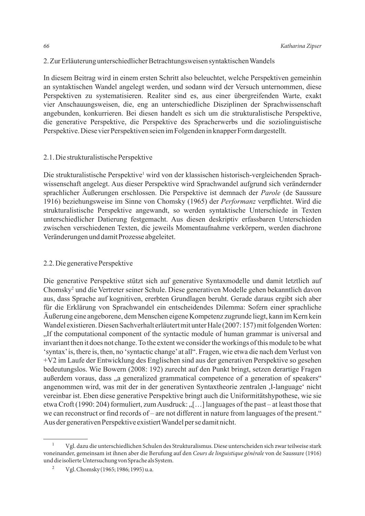# 2. Zur Erläuterung unterschiedlicher Betrachtungsweisen syntaktischen Wandels

In diesem Beitrag wird in einem ersten Schritt also beleuchtet, welche Perspektiven gemeinhin an syntaktischen Wandel angelegt werden, und sodann wird der Versuch unternommen, diese Perspektiven zu systematisieren. Realiter sind es, aus einer übergreifenden Warte, exakt vier Anschauungsweisen, die, eng an unterschiedliche Disziplinen der Sprachwissenschaft angebunden, konkurrieren. Bei diesen handelt es sich um die strukturalistische Perspektive, die generative Perspektive, die Perspektive des Spracherwerbs und die soziolinguistische Perspektive. Diese vier Perspektiven seien im Folgenden in knapper Form dargestellt.

# 2.1. Die strukturalistische Perspektive

Die strukturalistische Perspektive<sup>1</sup> wird von der klassischen historisch-vergleichenden Sprachwissenschaft angelegt. Aus dieser Perspektive wird Sprachwandel aufgrund sich verändernder sprachlicher Äußerungen erschlossen. Die Perspektive ist demnach der *Parole* (de Saussure 1916) beziehungsweise im Sinne von Chomsky (1965) der *Performanz* verpflichtet. Wird die strukturalistische Perspektive angewandt, so werden syntaktische Unterschiede in Texten unterschiedlicher Datierung festgemacht. Aus diesen deskriptiv erfassbaren Unterschieden zwischen verschiedenen Texten, die jeweils Momentaufnahme verkörpern, werden diachrone Veränderungen und damit Prozesse abgeleitet.

# 2.2. Die generative Perspektive

Die generative Perspektive stützt sich auf generative Syntaxmodelle und damit letztlich auf Chomsky2 und die Vertreter seiner Schule. Diese generativen Modelle gehen bekanntlich davon aus, dass Sprache auf kognitiven, ererbten Grundlagen beruht. Gerade daraus ergibt sich aber für die Erklärung von Sprachwandel ein entscheidendes Dilemma: Sofern einer sprachliche Äußerung eine angeborene, dem Menschen eigene Kompetenz zugrunde liegt, kann im Kern kein Wandel existieren. Diesen Sachverhalt erläutert mit unter Hale (2007: 157) mit folgenden Worten: . If the computational component of the syntactic module of human grammar is universal and invariant then it does not change. To the extent we consider the workings of this module to be what 'syntax' is, there is, then, no 'syntactic change' at all". Fragen, wie etwa die nach dem Verlust von +V2 im Laufe der Entwicklung des Englischen sind aus der generativen Perspektive so gesehen bedeutungslos. Wie Bowern (2008: 192) zurecht auf den Punkt bringt, setzen derartige Fragen außerdem voraus, dass "a generalized grammatical competence of a generation of speakers" angenommen wird, was mit der in der generativen Syntaxtheorie zentralen ,I-language' nicht vereinbar ist. Eben diese generative Perspektive bringt auch die Uniformitätshypothese, wie sie etwa Croft (1990: 204) formuliert, zum Ausdruck: "[...] languages of the past – at least those that we can reconstruct or find records of – are not different in nature from languages of the present." Aus der generativen Perspektive existiert Wandel per se damit nicht.

<sup>1</sup> Vgl. dazu die unterschiedlichen Schulen des Strukturalismus. Diese unterscheiden sich zwar teilweise stark voneinander, gemeinsam ist ihnen aber die Berufung auf den *Cours de linguistique générale* von de Saussure (1916) und die isolierte Untersuchung von Sprache als System.

<sup>2</sup> Vgl. Chomsky (1965; 1986; 1995) u.a.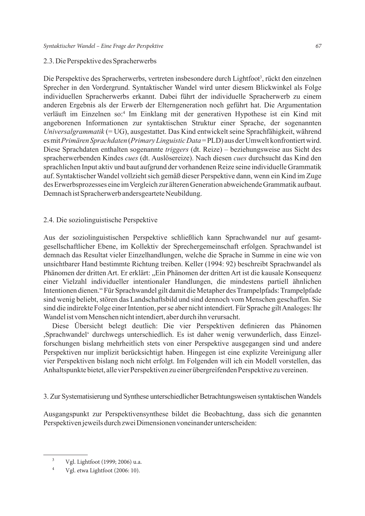# 2.3. Die Perspektive des Spracherwerbs

Die Perspektive des Spracherwerbs, vertreten insbesondere durch Lightfoot<sup>3</sup>, rückt den einzelnen Sprecher in den Vordergrund. Syntaktischer Wandel wird unter diesem Blickwinkel als Folge individuellen Spracherwerbs erkannt. Dabei führt der individuelle Spracherwerb zu einem anderen Ergebnis als der Erwerb der Elterngeneration noch geführt hat. Die Argumentation verläuft im Einzelnen so:4 Im Einklang mit der generativen Hypothese ist ein Kind mit angeborenen Informationen zur syntaktischen Struktur einer Sprache, der sogenannten *Universalgrammatik* (= UG), ausgestattet. Das Kind entwickelt seine Sprachfähigkeit, während es mit *Primären Sprachdaten* (*Primary Linguistic Data* = PLD) aus der Umwelt konfrontiert wird. Diese Sprachdaten enthalten sogenannte *triggers* (dt. Reize) – beziehungsweise aus Sicht des spracherwerbenden Kindes *cues* (dt. Auslösereize). Nach diesen *cues* durchsucht das Kind den sprachlichen Input aktiv und baut aufgrund der vorhandenen Reize seine individuelle Grammatik auf. Syntaktischer Wandel vollzieht sich gemäß dieser Perspektive dann, wenn ein Kind im Zuge des Erwerbsprozesses eine im Vergleich zur älteren Generation abweichende Grammatik aufbaut. Demnach ist Spracherwerb andersgeartete Neubildung.

# 2.4. Die soziolinguistische Perspektive

Aus der soziolinguistischen Perspektive schließlich kann Sprachwandel nur auf gesamtgesellschaftlicher Ebene, im Kollektiv der Sprechergemeinschaft erfolgen. Sprachwandel ist demnach das Resultat vieler Einzelhandlungen, welche die Sprache in Summe in eine wie von unsichtbarer Hand bestimmte Richtung treiben. Keller (1994: 92) beschreibt Sprachwandel als Phänomen der dritten Art. Er erklärt: "Ein Phänomen der dritten Art ist die kausale Konsequenz einer Vielzahl individueller intentionaler Handlungen, die mindestens partiell ähnlichen Intentionen dienen." Für Sprachwandel gilt damit die Metapher des Trampelpfads: Trampelpfade sind wenig beliebt, stören das Landschaftsbild und sind dennoch vom Menschen geschaffen. Sie sind die indirekte Folge einer Intention, per se aber nicht intendiert. Für Sprache gilt Analoges: Ihr Wandel ist vom Menschen nicht intendiert, aber durch ihn verursacht.

Diese Übersicht belegt deutlich: Die vier Perspektiven definieren das Phänomen ,Sprachwandel' durchwegs unterschiedlich. Es ist daher wenig verwunderlich, dass Einzelforschungen bislang mehrheitlich stets von einer Perspektive ausgegangen sind und andere Perspektiven nur implizit berücksichtigt haben. Hingegen ist eine explizite Vereinigung aller vier Perspektiven bislang noch nicht erfolgt. Im Folgenden will ich ein Modell vorstellen, das Anhaltspunkte bietet, alle vier Perspektiven zu einer übergreifenden Perspektive zu vereinen.

3. Zur Systematisierung und Synthese unterschiedlicher Betrachtungsweisen syntaktischen Wandels

Ausgangspunkt zur Perspektivensynthese bildet die Beobachtung, dass sich die genannten Perspektiven jeweils durch zwei Dimensionen voneinander unterscheiden:

<sup>3</sup> Vgl. Lightfoot (1999; 2006) u.a.

 $4$  Vgl. etwa Lightfoot (2006: 10).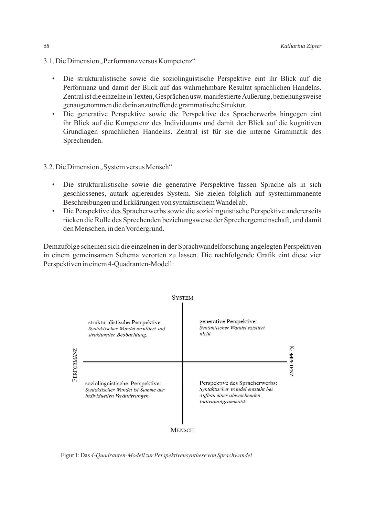- 3.1. Die Dimension "Performanz versus Kompetenz"
	- Die strukturalistische sowie die soziolinguistische Perspektive eint ihr Blick auf die Performanz und damit der Blick auf das wahrnehmbare Resultat sprachlichen Handelns. Zentral ist die einzelne in Texten, Gesprächen usw. manifestierte Äußerung, beziehungsweise genaugenommen die darin anzutreffende grammatische Struktur.
	- Die generative Perspektive sowie die Perspektive des Spracherwerbs hingegen eint ihr Blick auf die Kompetenz des Individuums und damit der Blick auf die kognitiven Grundlagen sprachlichen Handelns. Zentral ist für sie die interne Grammatik des Sprechenden.

# 3.2. Die Dimension "System versus Mensch"

- Die strukturalistische sowie die generative Perspektive fassen Sprache als in sich geschlossenes, autark agierendes System. Sie zielen folglich auf systemimmanente Beschreibungen und Erklärungen von syntaktischem Wandel ab.
- Die Perspektive des Spracherwerbs sowie die soziolinguistische Perspektive andererseits rücken die Rolle des Sprechenden beziehungsweise der Sprechergemeinschaft, und damit den Menschen, in den Vordergrund.

Demzufolge scheinen sich die einzelnen in der Sprachwandelforschung angelegten Perspektiven in einem gemeinsamen Schema verorten zu lassen. Die nachfolgende Grafik eint diese vier Perspektiven in einem 4-Quadranten-Modell:



Figur 1: Das *4-Quadranten-Modell zur Perspektivensynthese von Sprachwandel*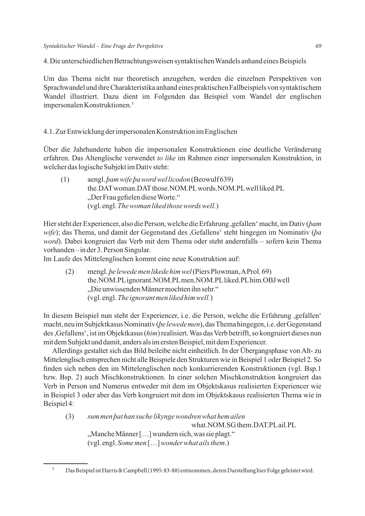4. Die unterschiedlichen Betrachtungsweisen syntaktischen Wandels anhand eines Beispiels

Um das Thema nicht nur theoretisch anzugehen, werden die einzelnen Perspektiven von Sprachwandel und ihre Charakteristika anhand eines praktischen Fallbeispiels von syntaktischem Wandel illustriert. Dazu dient im Folgenden das Beispiel vom Wandel der englischen impersonalen Konstruktionen.5

## 4.1. Zur Entwicklung der impersonalen Konstruktion im Englischen

Über die Jahrhunderte haben die impersonalen Konstruktionen eine deutliche Veränderung erfahren. Das Altenglische verwendet *to like* im Rahmen einer impersonalen Konstruktion, in welcher das logische Subjekt im Dativ steht:

(1) aengl. *þam wife þa word wel licodon* (Beowulf 639) the.DAT woman.DAT those.NOM.PL words.NOM.PL well liked.PL "Der Frau gefielen diese Worte." (vgl. engl. *The woman liked those words well.*)

Hier steht der Experiencer, also die Person, welche die Erfahrung ,gefallen' macht, im Dativ (*þam wife*); das Thema, und damit der Gegenstand des ,Gefallens' steht hingegen im Nominativ (*þa word*). Dabei kongruiert das Verb mit dem Thema oder steht andernfalls – sofern kein Thema vorhanden – in der 3. Person Singular.

Im Laufe des Mittelenglischen kommt eine neue Konstruktion auf:

(2) mengl. *þe lewede men likede him wel* (Piers Plowman, A Prol. 69) the.NOM.PL ignorant.NOM.PL men.NOM.PL liked.PL him.OBJ well "Die unwissenden Männer mochten ihn sehr." (vgl. engl. *The ignorant men liked him well.*)

In diesem Beispiel nun steht der Experiencer, i.e. die Person, welche die Erfahrung ,gefallen' macht, neu im Subjektkasus Nominativ (*þe lewede men*), das Thema hingegen, i.e. der Gegenstand des ,Gefallens', ist im Objektkasus (*him*) realisiert. Was das Verb betrifft, so kongruiert dieses nun mit dem Subjekt und damit, anders als im ersten Beispiel, mit dem Experiencer.

Allerdings gestaltet sich das Bild beileibe nicht einheitlich. In der Übergangsphase von Alt- zu Mittelenglisch entsprechen nicht alle Beispiele den Strukturen wie in Beispiel 1 oder Beispiel 2. So finden sich neben den im Mittelenglischen noch konkurrierenden Konstruktionen (vgl. Bsp.1 bzw. Bsp. 2) auch Mischkonstruktionen. In einer solchen Mischkonstruktion kongruiert das Verb in Person und Numerus entweder mit dem im Objektskasus realisierten Experiencer wie in Beispiel 3 oder aber das Verb kongruiert mit dem im Objektskasus realisierten Thema wie in Beispiel 4:

(3) *sum men þat han suche likynge wondren what hem ailen* what.NOM.SG them.DAT.PL ail.PL "Manche Männer [...] wundern sich, was sie plagt." (vgl. engl. *Some men* […] *wonder what ails them.*)

<sup>5</sup> Das Beispiel ist Harris & Campbell (1995: 83-88) entnommen, deren Darstellung hier Folge geleistet wird.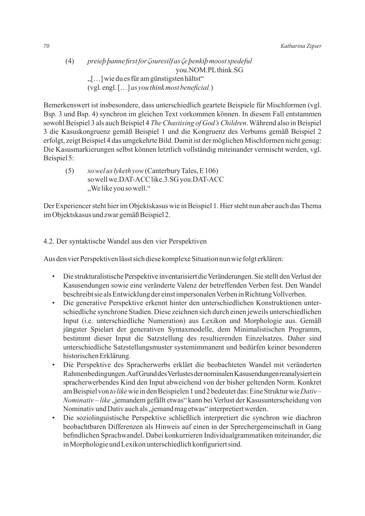preiep banne first for Couresilf as Ce benkip moost spedeful  $(4)$ you.NOM.PL think.SG "[...] wie du es für am günstigsten hältst" (vgl. engl. [...] as you think most beneficial.)

Bemerkenswert ist insbesondere, dass unterschiedlich geartete Beispiele für Mischformen (vgl. Bsp. 3 und Bsp. 4) synchron im gleichen Text vorkommen können. In diesem Fall entstammen sowohl Beispiel 3 als auch Beispiel 4 The Chastising of God's Children. Während also in Beispiel 3 die Kasuskongruenz gemäß Beispiel 1 und die Kongruenz des Verbums gemäß Beispiel 2 erfolgt, zeigt Beispiel 4 das umgekehrte Bild. Damit ist der möglichen Mischformen nicht genug: Die Kasusmarkierungen selbst können letztlich vollständig miteinander vermischt werden, vgl. Beispiel 5:

so wel us lyketh yow (Canterbury Tales, E 106)  $(5)$ so well we.DAT-ACC like.3.SG you.DAT-ACC "We like you so well."

Der Experiencer steht hier im Objektskasus wie in Beispiel 1. Hier steht nun aber auch das Thema im Objektskasus und zwar gemäß Beispiel 2.

4.2. Der syntaktische Wandel aus den vier Perspektiven

Aus den vier Perspektiven lässt sich diese komplexe Situation nun wie folgt erklären:

- Die strukturalistische Perspektive inventarisiert die Veränderungen. Sie stellt den Verlust der  $\bullet$ Kasusendungen sowie eine veränderte Valenz der betreffenden Verben fest. Den Wandel beschreibt sie als Entwicklung der einst impersonalen Verben in Richtung Vollverben.
- Die generative Perspektive erkennt hinter den unterschiedlichen Konstruktionen unter- $\bullet$ schiedliche synchrone Stadien. Diese zeichnen sich durch einen jeweils unterschiedlichen Input (i.e. unterschiedliche Numeration) aus Lexikon und Morphologie aus. Gemäß jüngster Spielart der generativen Syntaxmodelle, dem Minimalistischen Programm, bestimmt dieser Input die Satzstellung des resultierenden Einzelsatzes. Daher sind unterschiedliche Satzstellungsmuster systemimmanent und bedürfen keiner besonderen historischen Erklärung.
- $\bullet$ Die Perspektive des Spracherwerbs erklärt die beobachteten Wandel mit veränderten Rahmenbedingungen. Auf Grund des Verlustes der nominalen Kasusendungen reanalysiert ein spracherwerbendes Kind den Input abweichend von der bisher geltenden Norm. Konkret am Beispiel von to like wie in den Beispielen 1 und 2 bedeutet das: Eine Struktur wie Dativ-Nominativ – like "jemandem gefällt etwas" kann bei Verlust der Kasusunterscheidung von Nominativ und Dativ auch als "jemand mag etwas" interpretiert werden.
- Die soziolinguistische Perspektive schließlich interpretiert die synchron wie diachron  $\bullet$ beobachtbaren Differenzen als Hinweis auf einen in der Sprechergemeinschaft in Gang befindlichen Sprachwandel. Dabei konkurrieren Individualgrammatiken miteinander, die in Morphologie und Lexikon unterschiedlich konfiguriert sind.

70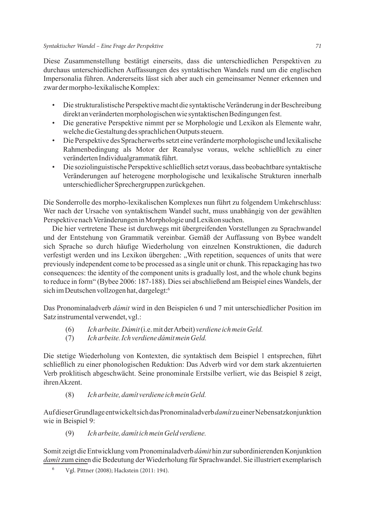Diese Zusammenstellung bestätigt einerseits, dass die unterschiedlichen Perspektiven zu durchaus unterschiedlichen Auffassungen des syntaktischen Wandels rund um die englischen Impersonalia führen. Andererseits lässt sich aber auch ein gemeinsamer Nenner erkennen und zwar der morpho-lexikalische Komplex:

- Die strukturalistische Perspektive macht die syntaktische Veränderung in der Beschreibung direkt an veränderten morphologischen wie syntaktischen Bedingungen fest.
- Die generative Perspektive nimmt per se Morphologie und Lexikon als Elemente wahr, welche die Gestaltung des sprachlichen Outputs steuern.
- Die Perspektive des Spracherwerbs setzt eine veränderte morphologische und lexikalische Rahmenbedingung als Motor der Reanalyse voraus, welche schließlich zu einer veränderten Individualgrammatik führt.
- Die soziolinguistische Perspektive schließlich setzt voraus, dass beobachtbare syntaktische Veränderungen auf heterogene morphologische und lexikalische Strukturen innerhalb unterschiedlicher Sprechergruppen zurückgehen.

Die Sonderrolle des morpho-lexikalischen Komplexes nun führt zu folgendem Umkehrschluss: Wer nach der Ursache von syntaktischem Wandel sucht, muss unabhängig von der gewählten Perspektive nach Veränderungen in Morphologie und Lexikon suchen.

Die hier vertretene These ist durchwegs mit übergreifenden Vorstellungen zu Sprachwandel und der Entstehung von Grammatik vereinbar. Gemäß der Auffassung von Bybee wandelt sich Sprache so durch häufige Wiederholung von einzelnen Konstruktionen, die dadurch verfestigt werden und ins Lexikon übergehen: "With repetition, sequences of units that were previously independent come to be processed as a single unit or chunk. This repackaging has two consequences: the identity of the component units is gradually lost, and the whole chunk begins to reduce in form" (Bybee 2006: 187-188). Dies sei abschließend am Beispiel eines Wandels, der sich im Deutschen vollzogen hat, dargelegt:<sup>6</sup>

Das Pronominaladverb *dámit* wird in den Beispielen 6 und 7 mit unterschiedlicher Position im Satz instrumental verwendet, vgl.:

- (6) *Ich arbeite. Dámit* (i.e. mit der Arbeit) *verdiene ich mein Geld.*
- (7) *Ich arbeite. Ich verdiene dámit mein Geld.*

Die stetige Wiederholung von Kontexten, die syntaktisch dem Beispiel 1 entsprechen, führt schließlich zu einer phonologischen Reduktion: Das Adverb wird vor dem stark akzentuierten Verb proklitisch abgeschwächt. Seine pronominale Erstsilbe verliert, wie das Beispiel 8 zeigt, ihren Akzent.

## (8) *Ich arbeite, damít verdiene ich mein Geld.*

Auf dieser Grundlage entwickelt sich das Pronominaladverb *damít* zu einer Nebensatzkonjunktion wie in Beispiel 9:

(9) *Ich arbeite, damít ich mein Geld verdiene.*

Somit zeigt die Entwicklung vom Pronominaladverb *dámit* hin zur subordinierenden Konjunktion *damít* zum einen die Bedeutung der Wiederholung für Sprachwandel. Sie illustriert exemplarisch

<sup>6</sup> Vgl. Pittner (2008); Hackstein (2011: 194).